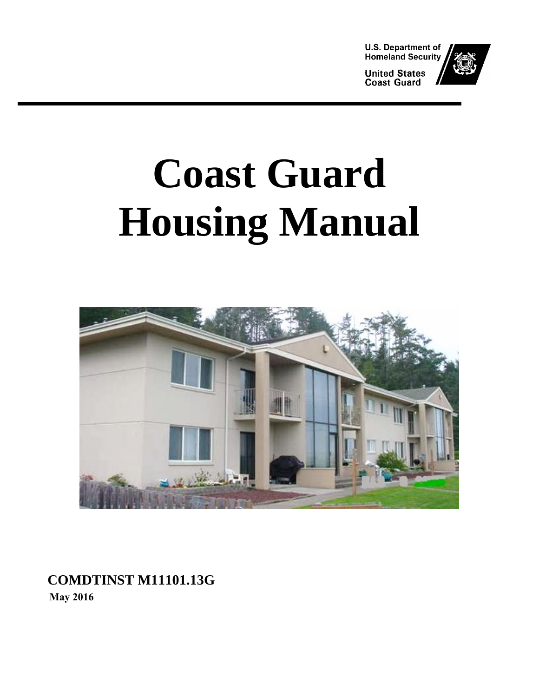

# **Coast Guard Housing Manual**



**COMDTINST M11101.13G May 2016**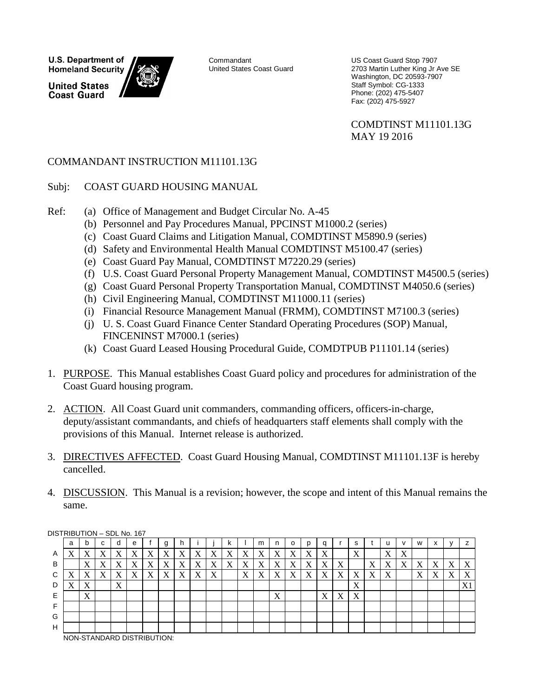**U.S. Department of Homeland Security United States Coast Guard** 

Commandant United States Coast Guard US Coast Guard Stop 7907 2703 Martin Luther King Jr Ave SE Washington, DC 20593-7907 Staff Symbol: CG-1333 Phone: (202) 475-5407 Fax: (202) 475-5927

 COMDTINST M11101.13G MAY 19 2016

# COMMANDANT INSTRUCTION M11101.13G

#### Subj: COAST GUARD HOUSING MANUAL

- Ref: (a) Office of Management and Budget Circular No. A-45
	- (b) Personnel and Pay Procedures Manual, PPCINST M1000.2 (series)
	- (c) Coast Guard Claims and Litigation Manual, COMDTINST M5890.9 (series)
	- (d) Safety and Environmental Health Manual COMDTINST M5100.47 (series)
	- (e) Coast Guard Pay Manual, COMDTINST M7220.29 (series)
	- (f) U.S. Coast Guard Personal Property Management Manual, COMDTINST M4500.5 (series)
	- (g) Coast Guard Personal Property Transportation Manual, COMDTINST M4050.6 (series)
	- (h) Civil Engineering Manual, COMDTINST M11000.11 (series)
	- (i) Financial Resource Management Manual (FRMM), COMDTINST M7100.3 (series)
	- (j) U. S. Coast Guard Finance Center Standard Operating Procedures (SOP) Manual, FINCENINST M7000.1 (series)
	- (k) Coast Guard Leased Housing Procedural Guide, COMDTPUB P11101.14 (series)
- 1. PURPOSE. This Manual establishes Coast Guard policy and procedures for administration of the Coast Guard housing program.
- 2. ACTION. All Coast Guard unit commanders, commanding officers, officers-in-charge, deputy/assistant commandants, and chiefs of headquarters staff elements shall comply with the provisions of this Manual. Internet release is authorized.
- 3. DIRECTIVES AFFECTED. Coast Guard Housing Manual, COMDTINST M11101.13F is hereby cancelled.
- 4. DISCUSSION. This Manual is a revision; however, the scope and intent of this Manual remains the same.

|   | a                 | ,,,,,,,,,,,,,,<br>D    |                | --------         | е         |                           |   |                       |                          |                          | n. |   | m              |                        | Ο                 |   |   |                                      | s                         |                              |                           |                | w                | $\lambda$ |                |                |
|---|-------------------|------------------------|----------------|------------------|-----------|---------------------------|---|-----------------------|--------------------------|--------------------------|----|---|----------------|------------------------|-------------------|---|---|--------------------------------------|---------------------------|------------------------------|---------------------------|----------------|------------------|-----------|----------------|----------------|
| A |                   | <b>TT</b>              | v<br>A         | v<br>$\Lambda$   |           | v<br>$\Lambda$            | X | v<br>Λ                | $\Lambda$                | ∡                        | X  | X | v<br>∡         |                        | △                 | X | Х |                                      | $\mathbf{v}$<br>$\Lambda$ |                              | $\mathbf{v}$              | v<br>$\Lambda$ |                  |           |                |                |
| B |                   | X                      | X              | X                | $\Lambda$ | $\mathbf{v}$<br>$\Lambda$ | X | v<br>$\Lambda$        | $\mathbf v$<br>$\Lambda$ | $\mathbf v$<br>$\Lambda$ | X  | X | v<br>△         | $\lambda$              | $\mathbf{v}$<br>△ | Χ | X | $\mathbf{v}$<br>$\Lambda$            |                           | $\overline{\mathbf{x}}$<br>Δ | X                         | X              | T 7<br>$\Lambda$ | $\Lambda$ | v<br>$\Lambda$ | v<br>$\Lambda$ |
| C |                   | T T<br>$\Lambda$       | v<br>$\Lambda$ | v<br>$\Lambda$   | $\Lambda$ | $\mathbf{v}$<br>$\Lambda$ | X | <b>T</b><br>$\Lambda$ | <b>TT</b><br>$\Lambda$   | $\Lambda$                |    | X | v<br>$\Lambda$ | <b>TT</b><br>$\Lambda$ | $\mathbf{v}$<br>△ | X | X | ٦z<br>$\Lambda$                      | $\mathbf v$<br>$\Lambda$  | ٦z<br>∡                      | $\mathbf{v}$<br>$\Lambda$ |                | τy<br>$\Lambda$  | $\Lambda$ | $\Lambda$      | $\Lambda$      |
| D | $\mathbf{v}$<br>∡ | $\Lambda$              |                | TT.<br>$\Lambda$ |           |                           |   |                       |                          |                          |    |   |                |                        |                   |   |   |                                      | <b>TT</b><br>$\lambda$    |                              |                           |                |                  |           |                | X1             |
| Е |                   | <b>TT</b><br>$\Lambda$ |                |                  |           |                           |   |                       |                          |                          |    |   |                | <b>TT</b><br>$\Lambda$ |                   |   | X | $\overline{\mathbf{x}}$<br>$\Lambda$ | $\Lambda$                 |                              |                           |                |                  |           |                |                |
|   |                   |                        |                |                  |           |                           |   |                       |                          |                          |    |   |                |                        |                   |   |   |                                      |                           |                              |                           |                |                  |           |                |                |
| G |                   |                        |                |                  |           |                           |   |                       |                          |                          |    |   |                |                        |                   |   |   |                                      |                           |                              |                           |                |                  |           |                |                |
| н |                   |                        |                |                  |           |                           |   |                       |                          |                          |    |   |                |                        |                   |   |   |                                      |                           |                              |                           |                |                  |           |                |                |

#### DISTRIBUTION – SDL No. 167

NON-STANDARD DISTRIBUTION: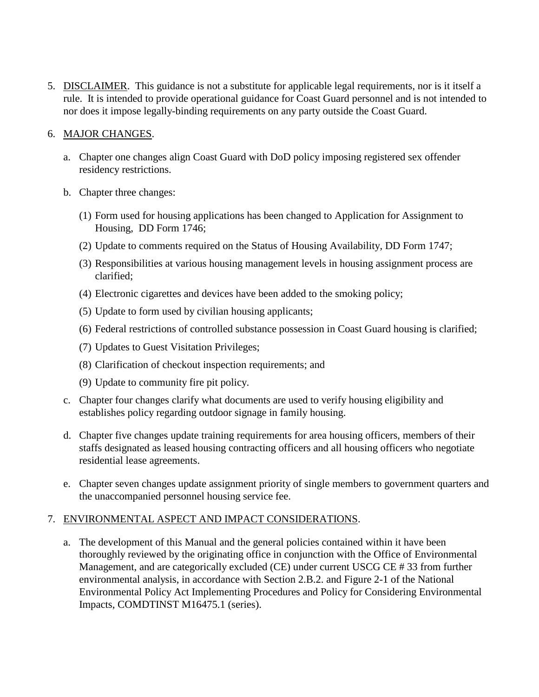5. DISCLAIMER. This guidance is not a substitute for applicable legal requirements, nor is it itself a rule. It is intended to provide operational guidance for Coast Guard personnel and is not intended to nor does it impose legally-binding requirements on any party outside the Coast Guard.

# 6. MAJOR CHANGES.

- a. Chapter one changes align Coast Guard with DoD policy imposing registered sex offender residency restrictions.
- b. Chapter three changes:
	- (1) Form used for housing applications has been changed to Application for Assignment to Housing, DD Form 1746;
	- (2) Update to comments required on the Status of Housing Availability, DD Form 1747;
	- (3) Responsibilities at various housing management levels in housing assignment process are clarified;
	- (4) Electronic cigarettes and devices have been added to the smoking policy;
	- (5) Update to form used by civilian housing applicants;
	- (6) Federal restrictions of controlled substance possession in Coast Guard housing is clarified;
	- (7) Updates to Guest Visitation Privileges;
	- (8) Clarification of checkout inspection requirements; and
	- (9) Update to community fire pit policy.
- c. Chapter four changes clarify what documents are used to verify housing eligibility and establishes policy regarding outdoor signage in family housing.
- d. Chapter five changes update training requirements for area housing officers, members of their staffs designated as leased housing contracting officers and all housing officers who negotiate residential lease agreements.
- e. Chapter seven changes update assignment priority of single members to government quarters and the unaccompanied personnel housing service fee.

# 7. ENVIRONMENTAL ASPECT AND IMPACT CONSIDERATIONS.

a. The development of this Manual and the general policies contained within it have been thoroughly reviewed by the originating office in conjunction with the Office of Environmental Management, and are categorically excluded (CE) under current USCG CE # 33 from further environmental analysis, in accordance with Section 2.B.2. and Figure 2-1 of the National Environmental Policy Act Implementing Procedures and Policy for Considering Environmental Impacts, COMDTINST M16475.1 (series).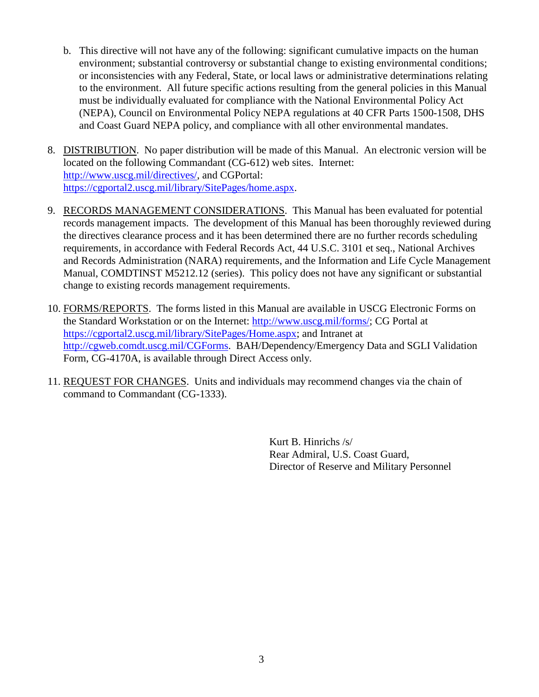- b. This directive will not have any of the following: significant cumulative impacts on the human environment; substantial controversy or substantial change to existing environmental conditions; or inconsistencies with any Federal, State, or local laws or administrative determinations relating to the environment. All future specific actions resulting from the general policies in this Manual must be individually evaluated for compliance with the National Environmental Policy Act (NEPA), Council on Environmental Policy NEPA regulations at 40 CFR Parts 1500-1508, DHS and Coast Guard NEPA policy, and compliance with all other environmental mandates.
- 8. DISTRIBUTION. No paper distribution will be made of this Manual. An electronic version will be located on the following Commandant (CG-612) web sites. Internet: [http://www.uscg.mil/directives/,](http://www.uscg.mil/directives/) and CGPortal: [https://cgportal2.uscg.mil/library/SitePages/home.aspx.](https://cgportal2.uscg.mil/library/SitePages/home.aspx)
- 9. RECORDS MANAGEMENT CONSIDERATIONS. This Manual has been evaluated for potential records management impacts. The development of this Manual has been thoroughly reviewed during the directives clearance process and it has been determined there are no further records scheduling requirements, in accordance with Federal Records Act, 44 U.S.C. 3101 et seq., National Archives and Records Administration (NARA) requirements, and the Information and Life Cycle Management Manual, COMDTINST M5212.12 (series). This policy does not have any significant or substantial change to existing records management requirements.
- 10. FORMS/REPORTS. The forms listed in this Manual are available in USCG Electronic Forms on the Standard Workstation or on the Internet: [http://www.uscg.mil/forms/;](http://www.uscg.mil/forms/) CG Portal at [https://cgportal2.uscg.mil/library/SitePages/Home.aspx;](https://cgportal2.uscg.mil/library/SitePages/Home.aspx) and Intranet at [http://cgweb.comdt.uscg.mil/CGForms.](http://cgweb.comdt.uscg.mil/CGForms) BAH/Dependency/Emergency Data and SGLI Validation Form, CG-4170A, is available through Direct Access only.
- 11. REQUEST FOR CHANGES. Units and individuals may recommend changes via the chain of command to Commandant (CG-1333).

Kurt B. Hinrichs /s/ Rear Admiral, U.S. Coast Guard, Director of Reserve and Military Personnel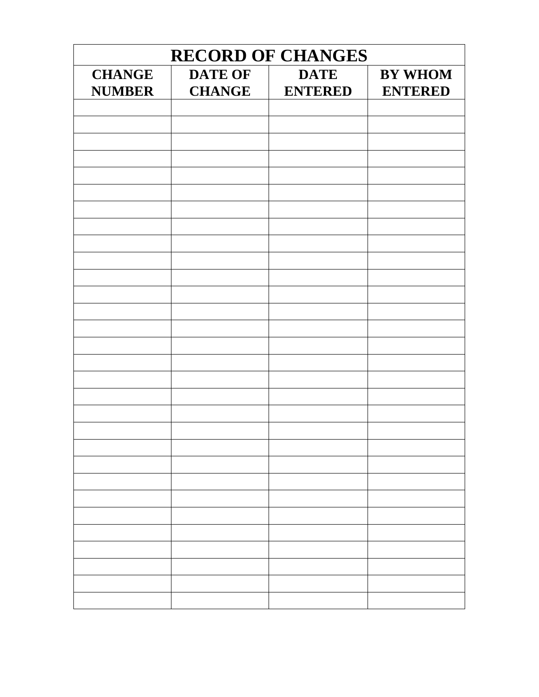|                                | <b>RECORD OF CHANGES</b>        |                               |                                  |  |  |  |  |  |  |  |  |  |
|--------------------------------|---------------------------------|-------------------------------|----------------------------------|--|--|--|--|--|--|--|--|--|
| <b>CHANGE</b><br><b>NUMBER</b> | <b>DATE OF</b><br><b>CHANGE</b> | <b>DATE</b><br><b>ENTERED</b> | <b>BY WHOM</b><br><b>ENTERED</b> |  |  |  |  |  |  |  |  |  |
|                                |                                 |                               |                                  |  |  |  |  |  |  |  |  |  |
|                                |                                 |                               |                                  |  |  |  |  |  |  |  |  |  |
|                                |                                 |                               |                                  |  |  |  |  |  |  |  |  |  |
|                                |                                 |                               |                                  |  |  |  |  |  |  |  |  |  |
|                                |                                 |                               |                                  |  |  |  |  |  |  |  |  |  |
|                                |                                 |                               |                                  |  |  |  |  |  |  |  |  |  |
|                                |                                 |                               |                                  |  |  |  |  |  |  |  |  |  |
|                                |                                 |                               |                                  |  |  |  |  |  |  |  |  |  |
|                                |                                 |                               |                                  |  |  |  |  |  |  |  |  |  |
|                                |                                 |                               |                                  |  |  |  |  |  |  |  |  |  |
|                                |                                 |                               |                                  |  |  |  |  |  |  |  |  |  |
|                                |                                 |                               |                                  |  |  |  |  |  |  |  |  |  |
|                                |                                 |                               |                                  |  |  |  |  |  |  |  |  |  |
|                                |                                 |                               |                                  |  |  |  |  |  |  |  |  |  |
|                                |                                 |                               |                                  |  |  |  |  |  |  |  |  |  |
|                                |                                 |                               |                                  |  |  |  |  |  |  |  |  |  |
|                                |                                 |                               |                                  |  |  |  |  |  |  |  |  |  |
|                                |                                 |                               |                                  |  |  |  |  |  |  |  |  |  |
|                                |                                 |                               |                                  |  |  |  |  |  |  |  |  |  |
|                                |                                 |                               |                                  |  |  |  |  |  |  |  |  |  |
|                                |                                 |                               |                                  |  |  |  |  |  |  |  |  |  |
|                                |                                 |                               |                                  |  |  |  |  |  |  |  |  |  |
|                                |                                 |                               |                                  |  |  |  |  |  |  |  |  |  |
|                                |                                 |                               |                                  |  |  |  |  |  |  |  |  |  |
|                                |                                 |                               |                                  |  |  |  |  |  |  |  |  |  |
|                                |                                 |                               |                                  |  |  |  |  |  |  |  |  |  |
|                                |                                 |                               |                                  |  |  |  |  |  |  |  |  |  |
|                                |                                 |                               |                                  |  |  |  |  |  |  |  |  |  |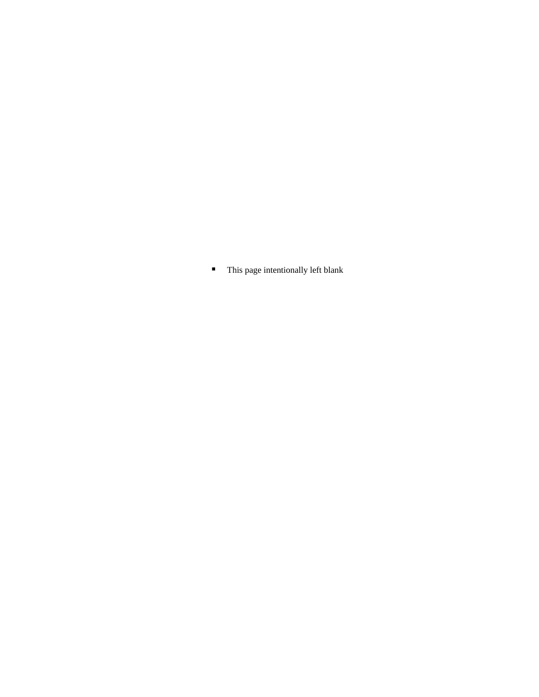■ This page intentionally left blank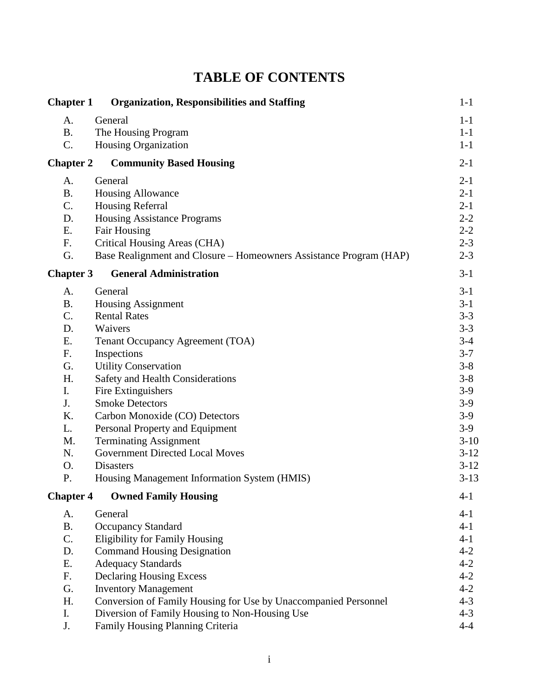# **TABLE OF CONTENTS**

| <b>Chapter 1</b> | <b>Organization, Responsibilities and Staffing</b>                 | $1 - 1$  |
|------------------|--------------------------------------------------------------------|----------|
| A.               | General                                                            | $1 - 1$  |
| <b>B.</b>        | The Housing Program                                                | $1 - 1$  |
| $C$ .            | Housing Organization                                               | $1-1$    |
| <b>Chapter 2</b> | <b>Community Based Housing</b>                                     | $2 - 1$  |
| A.               | General                                                            | $2 - 1$  |
| <b>B.</b>        | <b>Housing Allowance</b>                                           | $2 - 1$  |
| C.               | <b>Housing Referral</b>                                            | $2 - 1$  |
| D.               | <b>Housing Assistance Programs</b>                                 | $2 - 2$  |
| Ε.               | <b>Fair Housing</b>                                                | $2 - 2$  |
| F.               | Critical Housing Areas (CHA)                                       | $2 - 3$  |
| G.               | Base Realignment and Closure - Homeowners Assistance Program (HAP) | $2 - 3$  |
| <b>Chapter 3</b> | <b>General Administration</b>                                      | $3-1$    |
| A.               | General                                                            | $3-1$    |
| <b>B.</b>        | <b>Housing Assignment</b>                                          | $3-1$    |
| C.               | <b>Rental Rates</b>                                                | $3 - 3$  |
| D.               | Waivers                                                            | $3 - 3$  |
| Ε.               | Tenant Occupancy Agreement (TOA)                                   | $3-4$    |
| F.               | Inspections                                                        | $3 - 7$  |
| G.               | <b>Utility Conservation</b>                                        | $3 - 8$  |
| H.               | Safety and Health Considerations                                   | $3 - 8$  |
| I.               | Fire Extinguishers                                                 | $3-9$    |
| J.               | <b>Smoke Detectors</b>                                             | $3-9$    |
| Κ.               | Carbon Monoxide (CO) Detectors                                     | $3-9$    |
| L.               | Personal Property and Equipment                                    | $3-9$    |
| M.               | <b>Terminating Assignment</b>                                      | $3-10$   |
| N.               | <b>Government Directed Local Moves</b>                             | $3 - 12$ |
| O.               | <b>Disasters</b>                                                   | $3 - 12$ |
| P.               | Housing Management Information System (HMIS)                       | $3 - 13$ |
| <b>Chapter 4</b> | <b>Owned Family Housing</b>                                        | $4 - 1$  |
| A.               | General                                                            | $4 - 1$  |
| <b>B.</b>        | <b>Occupancy Standard</b>                                          | $4 - 1$  |
| $\mathcal{C}$ .  | <b>Eligibility for Family Housing</b>                              | $4 - 1$  |
| D.               | <b>Command Housing Designation</b>                                 | $4 - 2$  |
| Ε.               | <b>Adequacy Standards</b>                                          | $4 - 2$  |
| F.               | <b>Declaring Housing Excess</b>                                    | $4 - 2$  |
| G.               | <b>Inventory Management</b>                                        | $4 - 2$  |
| H.               | Conversion of Family Housing for Use by Unaccompanied Personnel    | $4 - 3$  |
| I.               | Diversion of Family Housing to Non-Housing Use                     | $4 - 3$  |
| J.               | Family Housing Planning Criteria                                   | $4 - 4$  |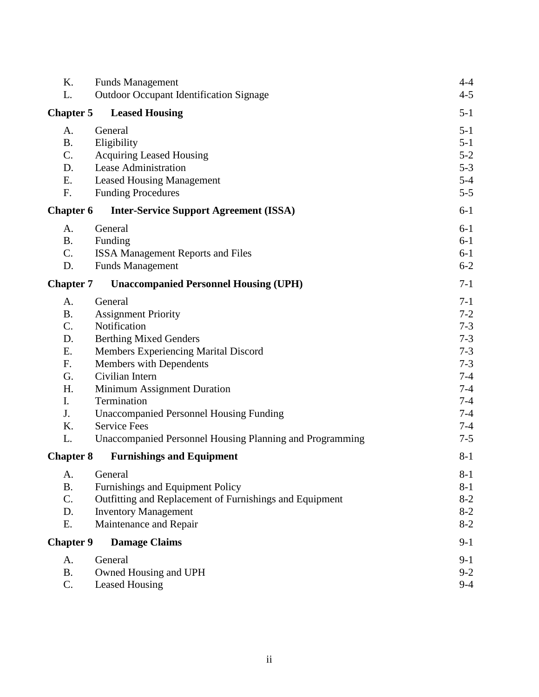| K.<br>L.         | <b>Funds Management</b><br><b>Outdoor Occupant Identification Signage</b> | $4 - 4$<br>$4 - 5$ |
|------------------|---------------------------------------------------------------------------|--------------------|
| <b>Chapter 5</b> | <b>Leased Housing</b>                                                     | $5-1$              |
|                  |                                                                           | $5 - 1$            |
| А.<br><b>B.</b>  | General<br>Eligibility                                                    | $5-1$              |
| C.               | <b>Acquiring Leased Housing</b>                                           | $5 - 2$            |
| D.               | <b>Lease Administration</b>                                               | $5 - 3$            |
| E.               | <b>Leased Housing Management</b>                                          | $5 - 4$            |
| F.               | <b>Funding Procedures</b>                                                 | $5 - 5$            |
| <b>Chapter 6</b> | <b>Inter-Service Support Agreement (ISSA)</b>                             | $6 - 1$            |
| А.               | General                                                                   | $6 - 1$            |
| <b>B.</b>        | Funding                                                                   | $6 - 1$            |
| C.               | <b>ISSA Management Reports and Files</b>                                  | $6 - 1$            |
| D.               | <b>Funds Management</b>                                                   | $6 - 2$            |
| <b>Chapter 7</b> | <b>Unaccompanied Personnel Housing (UPH)</b>                              | $7-1$              |
| А.               | General                                                                   | $7-1$              |
| <b>B.</b>        | <b>Assignment Priority</b>                                                | $7 - 2$            |
| C.               | Notification                                                              | $7 - 3$            |
| D.               | <b>Berthing Mixed Genders</b>                                             | $7 - 3$            |
| E.               | Members Experiencing Marital Discord                                      | $7 - 3$            |
| F.               | Members with Dependents                                                   | $7 - 3$            |
| G.               | Civilian Intern                                                           | $7 - 4$            |
| H.               | Minimum Assignment Duration                                               | $7 - 4$            |
| I.               | Termination                                                               | $7 - 4$            |
| J.               | <b>Unaccompanied Personnel Housing Funding</b>                            | $7 - 4$            |
| K.               | <b>Service Fees</b>                                                       | $7 - 4$            |
| L.               | Unaccompanied Personnel Housing Planning and Programming                  | $7 - 5$            |
| <b>Chapter 8</b> | <b>Furnishings and Equipment</b>                                          | $8 - 1$            |
| A.               | General                                                                   | $8 - 1$            |
| <b>B.</b>        | Furnishings and Equipment Policy                                          | $8 - 1$            |
| C.               | Outfitting and Replacement of Furnishings and Equipment                   | $8 - 2$            |
| D.               | <b>Inventory Management</b>                                               | $8 - 2$            |
| E.               | Maintenance and Repair                                                    | $8 - 2$            |
| <b>Chapter 9</b> | <b>Damage Claims</b>                                                      | $9-1$              |
| A.               | General                                                                   | $9-1$              |
| <b>B.</b>        | Owned Housing and UPH                                                     | $9 - 2$            |
| C.               | <b>Leased Housing</b>                                                     | $9-4$              |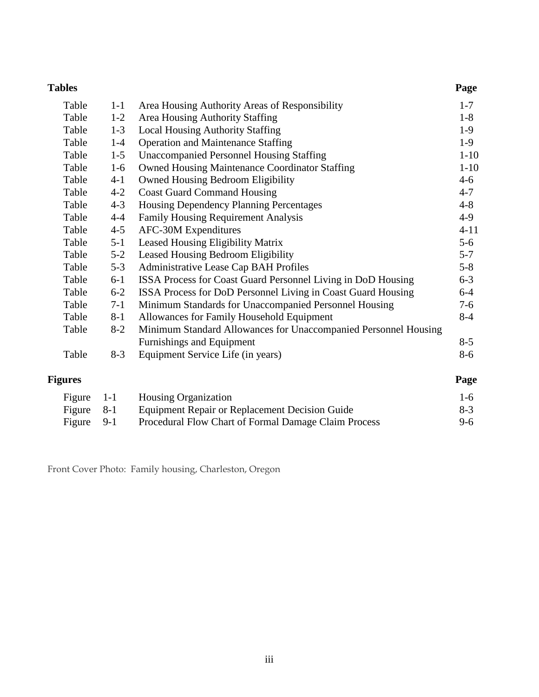| <b>Tables</b> |         |                                                                 | Page     |
|---------------|---------|-----------------------------------------------------------------|----------|
| Table         | $1 - 1$ | Area Housing Authority Areas of Responsibility                  | $1 - 7$  |
| Table         | $1 - 2$ | Area Housing Authority Staffing                                 | $1-8$    |
| Table         | $1-3$   | <b>Local Housing Authority Staffing</b>                         | $1-9$    |
| Table         | $1 - 4$ | <b>Operation and Maintenance Staffing</b>                       | $1-9$    |
| Table         | $1 - 5$ | <b>Unaccompanied Personnel Housing Staffing</b>                 | $1 - 10$ |
| Table         | $1-6$   | <b>Owned Housing Maintenance Coordinator Staffing</b>           | $1 - 10$ |
| Table         | $4 - 1$ | <b>Owned Housing Bedroom Eligibility</b>                        | $4 - 6$  |
| Table         | $4 - 2$ | <b>Coast Guard Command Housing</b>                              | $4 - 7$  |
| Table         | $4 - 3$ | <b>Housing Dependency Planning Percentages</b>                  | $4 - 8$  |
| Table         | $4 - 4$ | <b>Family Housing Requirement Analysis</b>                      | $4-9$    |
| Table         | $4 - 5$ | AFC-30M Expenditures                                            | $4 - 11$ |
| Table         | $5 - 1$ | <b>Leased Housing Eligibility Matrix</b>                        | $5 - 6$  |
| Table         | $5 - 2$ | <b>Leased Housing Bedroom Eligibility</b>                       | $5 - 7$  |
| Table         | $5 - 3$ | Administrative Lease Cap BAH Profiles                           | $5 - 8$  |
| Table         | $6 - 1$ | ISSA Process for Coast Guard Personnel Living in DoD Housing    | $6 - 3$  |
| Table         | $6 - 2$ | ISSA Process for DoD Personnel Living in Coast Guard Housing    | $6 - 4$  |
| Table         | $7-1$   | Minimum Standards for Unaccompanied Personnel Housing           | $7-6$    |
| Table         | $8-1$   | Allowances for Family Household Equipment                       | $8-4$    |
| Table         | $8 - 2$ | Minimum Standard Allowances for Unaccompanied Personnel Housing |          |
|               |         | Furnishings and Equipment                                       | $8 - 5$  |
| Table         | $8-3$   | Equipment Service Life (in years)                               | 8-6      |
| Figures       |         |                                                                 | Page     |
|               |         |                                                                 | $1\,$    |

| Figure $1-1$ | <b>Housing Organization</b>                           | $1-6$ |
|--------------|-------------------------------------------------------|-------|
| Figure 8-1   | <b>Equipment Repair or Replacement Decision Guide</b> | $8-3$ |
| Figure 9-1   | Procedural Flow Chart of Formal Damage Claim Process  | $9-6$ |

Front Cover Photo: Family housing, Charleston, Oregon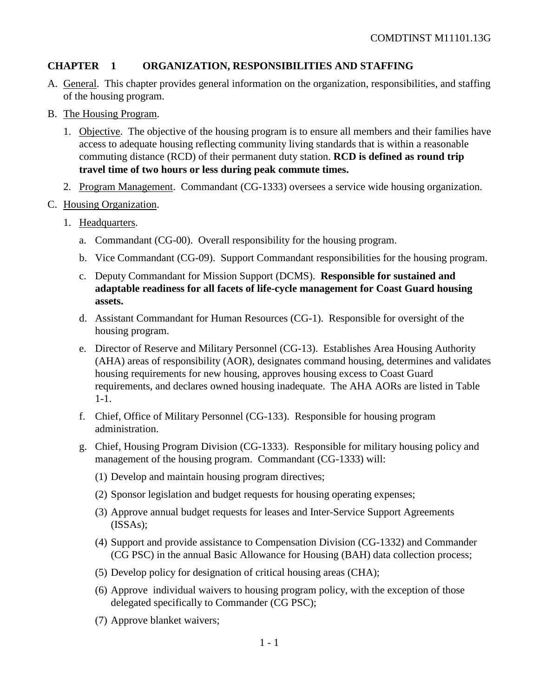# **CHAPTER 1 ORGANIZATION, RESPONSIBILITIES AND STAFFING**

- A. General. This chapter provides general information on the organization, responsibilities, and staffing of the housing program.
- B. The Housing Program.
	- 1. Objective. The objective of the housing program is to ensure all members and their families have access to adequate housing reflecting community living standards that is within a reasonable commuting distance (RCD) of their permanent duty station. **RCD is defined as round trip travel time of two hours or less during peak commute times.**
	- 2. Program Management. Commandant (CG-1333) oversees a service wide housing organization.
- C. Housing Organization.
	- 1. Headquarters.
		- a. Commandant (CG-00). Overall responsibility for the housing program.
		- b. Vice Commandant (CG-09). Support Commandant responsibilities for the housing program.
		- c. Deputy Commandant for Mission Support (DCMS). **Responsible for sustained and adaptable readiness for all facets of life-cycle management for Coast Guard housing assets.**
		- d. Assistant Commandant for Human Resources (CG-1). Responsible for oversight of the housing program.
		- e. Director of Reserve and Military Personnel (CG-13). Establishes Area Housing Authority (AHA) areas of responsibility (AOR), designates command housing, determines and validates housing requirements for new housing, approves housing excess to Coast Guard requirements, and declares owned housing inadequate. The AHA AORs are listed in Table 1-1.
		- f. Chief, Office of Military Personnel (CG-133). Responsible for housing program administration.
		- g. Chief, Housing Program Division (CG-1333). Responsible for military housing policy and management of the housing program. Commandant (CG-1333) will:
			- (1) Develop and maintain housing program directives;
			- (2) Sponsor legislation and budget requests for housing operating expenses;
			- (3) Approve annual budget requests for leases and Inter-Service Support Agreements (ISSAs);
			- (4) Support and provide assistance to Compensation Division (CG-1332) and Commander (CG PSC) in the annual Basic Allowance for Housing (BAH) data collection process;
			- (5) Develop policy for designation of critical housing areas (CHA);
			- (6) Approve individual waivers to housing program policy, with the exception of those delegated specifically to Commander (CG PSC);
			- (7) Approve blanket waivers;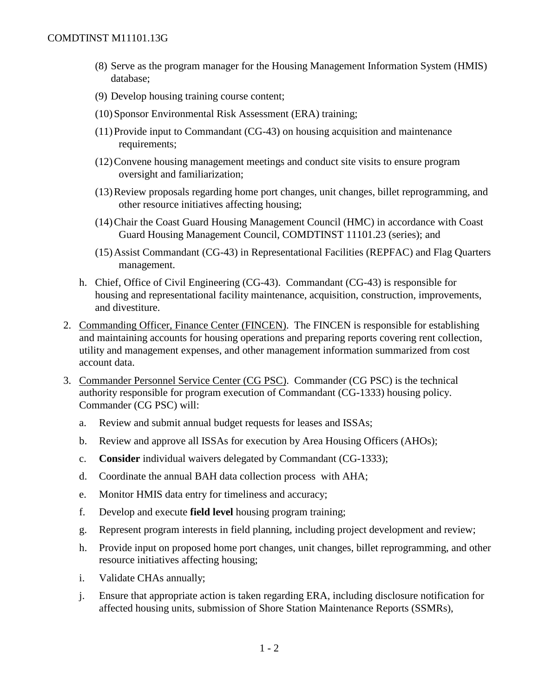- (8) Serve as the program manager for the Housing Management Information System (HMIS) database;
- (9) Develop housing training course content;
- (10)Sponsor Environmental Risk Assessment (ERA) training;
- (11)Provide input to Commandant (CG-43) on housing acquisition and maintenance requirements;
- (12)Convene housing management meetings and conduct site visits to ensure program oversight and familiarization;
- (13)Review proposals regarding home port changes, unit changes, billet reprogramming, and other resource initiatives affecting housing;
- (14)Chair the Coast Guard Housing Management Council (HMC) in accordance with Coast Guard Housing Management Council, COMDTINST 11101.23 (series); and
- (15)Assist Commandant (CG-43) in Representational Facilities (REPFAC) and Flag Quarters management.
- h. Chief, Office of Civil Engineering (CG-43). Commandant (CG-43) is responsible for housing and representational facility maintenance, acquisition, construction, improvements, and divestiture.
- 2. Commanding Officer, Finance Center (FINCEN). The FINCEN is responsible for establishing and maintaining accounts for housing operations and preparing reports covering rent collection, utility and management expenses, and other management information summarized from cost account data.
- 3. Commander Personnel Service Center (CG PSC). Commander (CG PSC) is the technical authority responsible for program execution of Commandant (CG-1333) housing policy. Commander (CG PSC) will:
	- a. Review and submit annual budget requests for leases and ISSAs;
	- b. Review and approve all ISSAs for execution by Area Housing Officers (AHOs);
	- c. **Consider** individual waivers delegated by Commandant (CG-1333);
	- d. Coordinate the annual BAH data collection process with AHA;
	- e. Monitor HMIS data entry for timeliness and accuracy;
	- f. Develop and execute **field level** housing program training;
	- g. Represent program interests in field planning, including project development and review;
	- h. Provide input on proposed home port changes, unit changes, billet reprogramming, and other resource initiatives affecting housing;
	- i. Validate CHAs annually;
	- j. Ensure that appropriate action is taken regarding ERA, including disclosure notification for affected housing units, submission of Shore Station Maintenance Reports (SSMRs),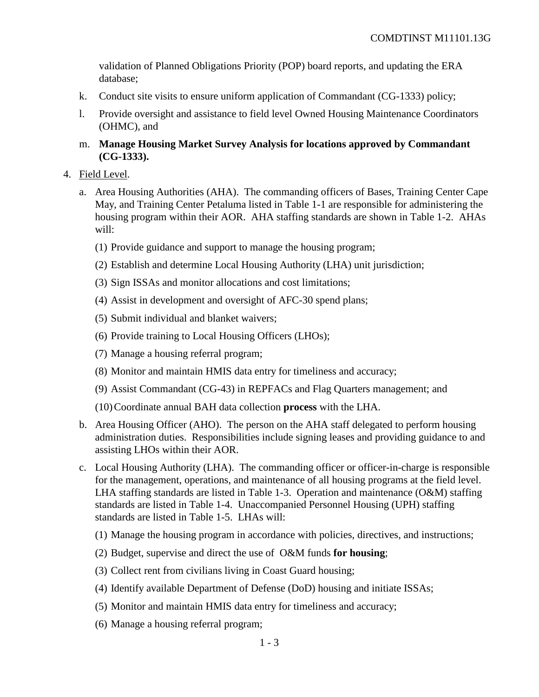validation of Planned Obligations Priority (POP) board reports, and updating the ERA database;

- k. Conduct site visits to ensure uniform application of Commandant (CG-1333) policy;
- l. Provide oversight and assistance to field level Owned Housing Maintenance Coordinators (OHMC), and
- m. **Manage Housing Market Survey Analysis for locations approved by Commandant (CG-1333).**
- 4. Field Level.
	- a. Area Housing Authorities (AHA). The commanding officers of Bases, Training Center Cape May, and Training Center Petaluma listed in Table 1-1 are responsible for administering the housing program within their AOR. AHA staffing standards are shown in Table 1-2. AHAs will:
		- (1) Provide guidance and support to manage the housing program;
		- (2) Establish and determine Local Housing Authority (LHA) unit jurisdiction;
		- (3) Sign ISSAs and monitor allocations and cost limitations;
		- (4) Assist in development and oversight of AFC-30 spend plans;
		- (5) Submit individual and blanket waivers;
		- (6) Provide training to Local Housing Officers (LHOs);
		- (7) Manage a housing referral program;
		- (8) Monitor and maintain HMIS data entry for timeliness and accuracy;
		- (9) Assist Commandant (CG-43) in REPFACs and Flag Quarters management; and
		- (10)Coordinate annual BAH data collection **process** with the LHA.
	- b. Area Housing Officer (AHO). The person on the AHA staff delegated to perform housing administration duties. Responsibilities include signing leases and providing guidance to and assisting LHOs within their AOR.
	- c. Local Housing Authority (LHA). The commanding officer or officer-in-charge is responsible for the management, operations, and maintenance of all housing programs at the field level. LHA staffing standards are listed in Table 1-3. Operation and maintenance  $(O\&M)$  staffing standards are listed in Table 1-4. Unaccompanied Personnel Housing (UPH) staffing standards are listed in Table 1-5. LHAs will:
		- (1) Manage the housing program in accordance with policies, directives, and instructions;
		- (2) Budget, supervise and direct the use of O&M funds **for housing**;
		- (3) Collect rent from civilians living in Coast Guard housing;
		- (4) Identify available Department of Defense (DoD) housing and initiate ISSAs;
		- (5) Monitor and maintain HMIS data entry for timeliness and accuracy;
		- (6) Manage a housing referral program;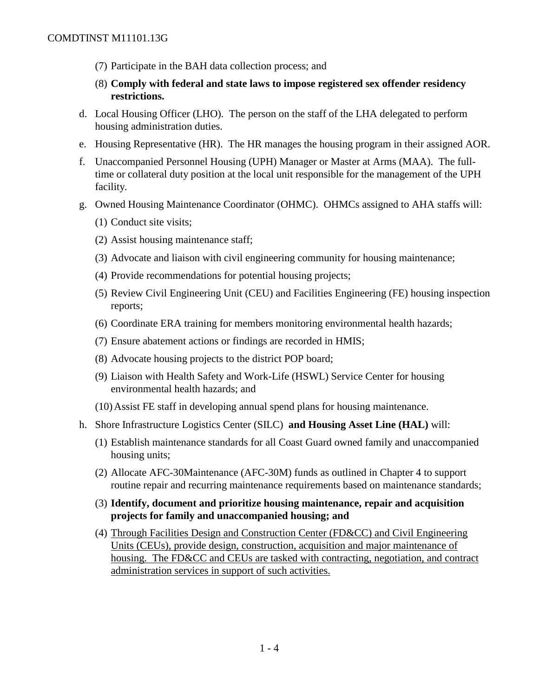- (7) Participate in the BAH data collection process; and
- (8) **Comply with federal and state laws to impose registered sex offender residency restrictions.**
- d. Local Housing Officer (LHO). The person on the staff of the LHA delegated to perform housing administration duties.
- e. Housing Representative (HR). The HR manages the housing program in their assigned AOR.
- f. Unaccompanied Personnel Housing (UPH) Manager or Master at Arms (MAA). The fulltime or collateral duty position at the local unit responsible for the management of the UPH facility.
- g. Owned Housing Maintenance Coordinator (OHMC). OHMCs assigned to AHA staffs will:
	- (1) Conduct site visits;
	- (2) Assist housing maintenance staff;
	- (3) Advocate and liaison with civil engineering community for housing maintenance;
	- (4) Provide recommendations for potential housing projects;
	- (5) Review Civil Engineering Unit (CEU) and Facilities Engineering (FE) housing inspection reports;
	- (6) Coordinate ERA training for members monitoring environmental health hazards;
	- (7) Ensure abatement actions or findings are recorded in HMIS;
	- (8) Advocate housing projects to the district POP board;
	- (9) Liaison with Health Safety and Work-Life (HSWL) Service Center for housing environmental health hazards; and
	- (10)Assist FE staff in developing annual spend plans for housing maintenance.
- h. Shore Infrastructure Logistics Center (SILC) **and Housing Asset Line (HAL)** will:
	- (1) Establish maintenance standards for all Coast Guard owned family and unaccompanied housing units;
	- (2) Allocate AFC-30Maintenance (AFC-30M) funds as outlined in Chapter 4 to support routine repair and recurring maintenance requirements based on maintenance standards;
	- (3) **Identify, document and prioritize housing maintenance, repair and acquisition projects for family and unaccompanied housing; and**
	- (4) Through Facilities Design and Construction Center (FD&CC) and Civil Engineering Units (CEUs), provide design, construction, acquisition and major maintenance of housing. The FD&CC and CEUs are tasked with contracting, negotiation, and contract administration services in support of such activities.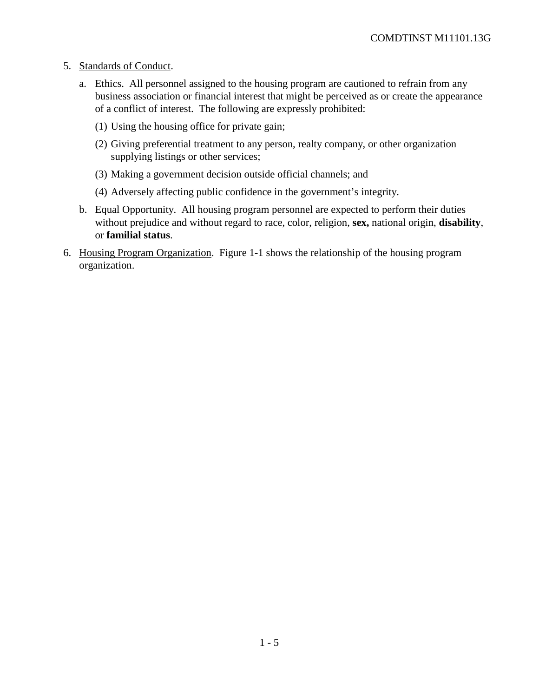- 5. Standards of Conduct.
	- a. Ethics. All personnel assigned to the housing program are cautioned to refrain from any business association or financial interest that might be perceived as or create the appearance of a conflict of interest. The following are expressly prohibited:
		- (1) Using the housing office for private gain;
		- (2) Giving preferential treatment to any person, realty company, or other organization supplying listings or other services;
		- (3) Making a government decision outside official channels; and
		- (4) Adversely affecting public confidence in the government's integrity.
	- b. Equal Opportunity. All housing program personnel are expected to perform their duties without prejudice and without regard to race, color, religion, **sex,** national origin, **disability**, or **familial status**.
- 6. Housing Program Organization. Figure 1-1 shows the relationship of the housing program organization.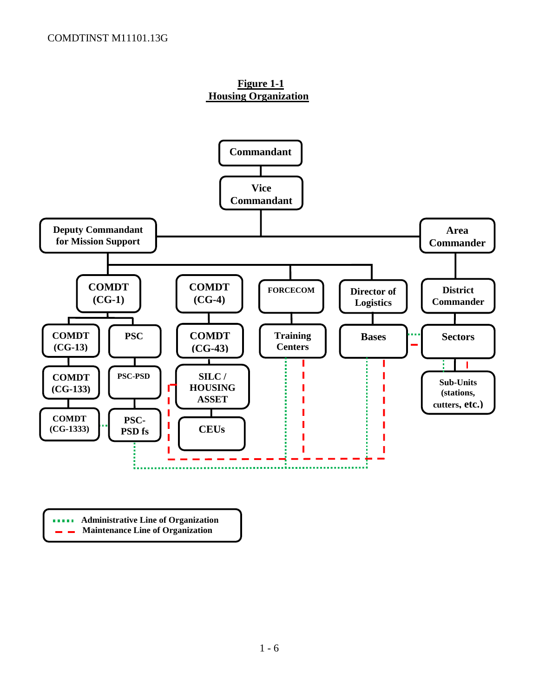**Figure 1-1 Housing Organization**



**111** Administrative Line of Organization  **Maintenance Line of Organization**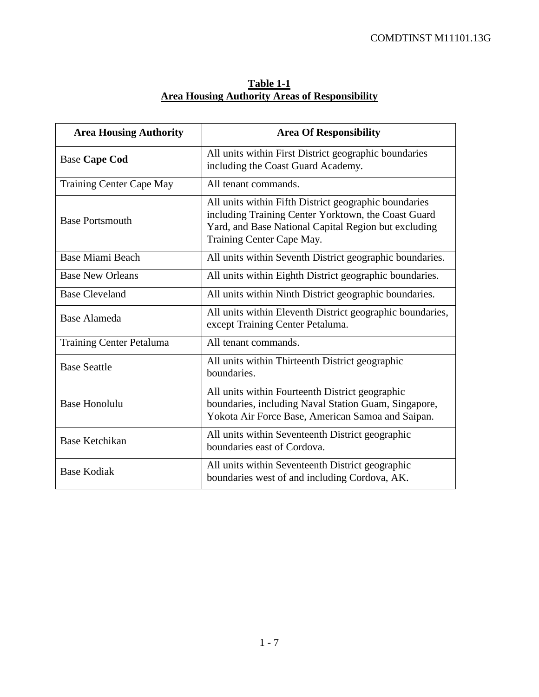| Table 1-1                                             |  |
|-------------------------------------------------------|--|
| <b>Area Housing Authority Areas of Responsibility</b> |  |

| <b>Area Housing Authority</b>   | <b>Area Of Responsibility</b>                                                                                                                                                                     |
|---------------------------------|---------------------------------------------------------------------------------------------------------------------------------------------------------------------------------------------------|
| <b>Base Cape Cod</b>            | All units within First District geographic boundaries<br>including the Coast Guard Academy.                                                                                                       |
| Training Center Cape May        | All tenant commands.                                                                                                                                                                              |
| <b>Base Portsmouth</b>          | All units within Fifth District geographic boundaries<br>including Training Center Yorktown, the Coast Guard<br>Yard, and Base National Capital Region but excluding<br>Training Center Cape May. |
| <b>Base Miami Beach</b>         | All units within Seventh District geographic boundaries.                                                                                                                                          |
| <b>Base New Orleans</b>         | All units within Eighth District geographic boundaries.                                                                                                                                           |
| <b>Base Cleveland</b>           | All units within Ninth District geographic boundaries.                                                                                                                                            |
| <b>Base Alameda</b>             | All units within Eleventh District geographic boundaries,<br>except Training Center Petaluma.                                                                                                     |
| <b>Training Center Petaluma</b> | All tenant commands.                                                                                                                                                                              |
| <b>Base Seattle</b>             | All units within Thirteenth District geographic<br>boundaries.                                                                                                                                    |
| <b>Base Honolulu</b>            | All units within Fourteenth District geographic<br>boundaries, including Naval Station Guam, Singapore,<br>Yokota Air Force Base, American Samoa and Saipan.                                      |
| <b>Base Ketchikan</b>           | All units within Seventeenth District geographic<br>boundaries east of Cordova.                                                                                                                   |
| <b>Base Kodiak</b>              | All units within Seventeenth District geographic<br>boundaries west of and including Cordova, AK.                                                                                                 |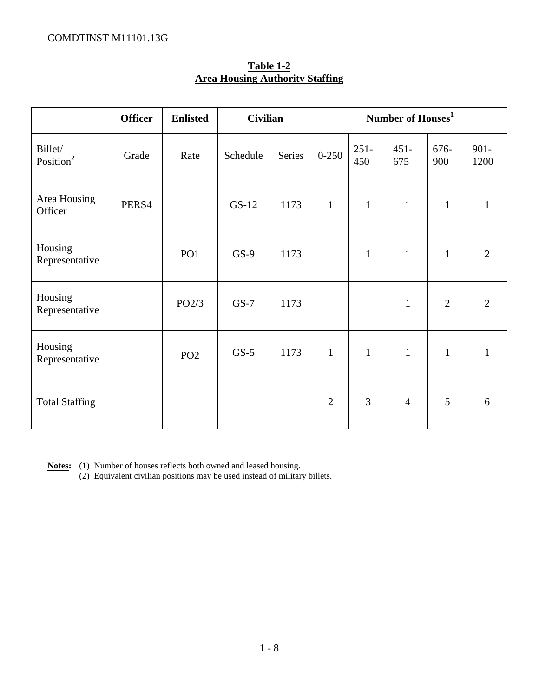**Table 1-2 Area Housing Authority Staffing**

|                                  | <b>Officer</b> | <b>Enlisted</b> | <b>Civilian</b> |        | Number of Houses <sup>1</sup> |                |                |                |                 |  |  |
|----------------------------------|----------------|-----------------|-----------------|--------|-------------------------------|----------------|----------------|----------------|-----------------|--|--|
| Billet/<br>Position <sup>2</sup> | Grade          | Rate            | Schedule        | Series | $0 - 250$                     | $251 -$<br>450 | $451 -$<br>675 | 676-<br>900    | $901 -$<br>1200 |  |  |
| Area Housing<br>Officer          | PERS4          |                 | $GS-12$         | 1173   | $\mathbf{1}$                  | $\mathbf{1}$   | $\mathbf{1}$   | $\mathbf{1}$   | $\mathbf{1}$    |  |  |
| Housing<br>Representative        |                | PO1             | $GS-9$          | 1173   |                               | $\mathbf{1}$   | $\mathbf{1}$   | $\mathbf{1}$   | $\overline{2}$  |  |  |
| Housing<br>Representative        |                | PO2/3           | $GS-7$          | 1173   |                               |                | $\mathbf{1}$   | $\overline{2}$ | $\overline{2}$  |  |  |
| Housing<br>Representative        |                | PO <sub>2</sub> | $GS-5$          | 1173   | $\mathbf{1}$                  | $\mathbf{1}$   | $\mathbf{1}$   | $\mathbf{1}$   | $\mathbf{1}$    |  |  |
| <b>Total Staffing</b>            |                |                 |                 |        | $\overline{2}$                | $\overline{3}$ | $\overline{4}$ | 5              | 6               |  |  |

**Notes:** (1) Number of houses reflects both owned and leased housing.

(2) Equivalent civilian positions may be used instead of military billets.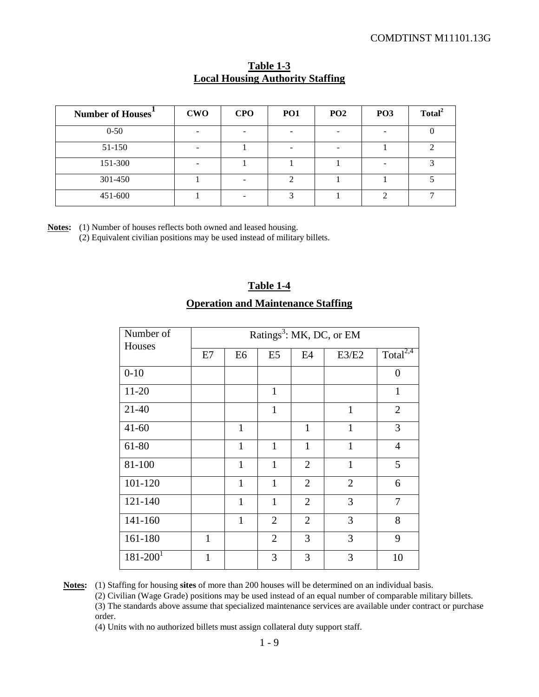| Number of Houses | <b>CWO</b>                   | <b>CPO</b> | PO <sub>1</sub> | PO <sub>2</sub>              | PO <sub>3</sub> | Total <sup>2</sup> |
|------------------|------------------------------|------------|-----------------|------------------------------|-----------------|--------------------|
| $0 - 50$         |                              |            |                 | $\qquad \qquad \blacksquare$ |                 |                    |
| 51-150           | $\qquad \qquad \blacksquare$ |            |                 | $\qquad \qquad \blacksquare$ |                 |                    |
| 151-300          |                              |            |                 |                              |                 |                    |
| 301-450          |                              |            |                 |                              |                 |                    |
| 451-600          |                              |            | 3               |                              | ◠               | ⇁                  |

### **Table 1-3 Local Housing Authority Staffing**

**Notes:** (1) Number of houses reflects both owned and leased housing.

(2) Equivalent civilian positions may be used instead of military billets.

#### **Table 1-4**

#### **Operation and Maintenance Staffing**

| Number of<br>Houses | Ratings <sup>3</sup> : MK, DC, or EM |                |                |                |                |                           |  |  |  |
|---------------------|--------------------------------------|----------------|----------------|----------------|----------------|---------------------------|--|--|--|
|                     | E7                                   | E <sub>6</sub> | E <sub>5</sub> | E4             | E3/E2          | Total $\overline{^{2,4}}$ |  |  |  |
| $0 - 10$            |                                      |                |                |                |                | $\boldsymbol{0}$          |  |  |  |
| $11 - 20$           |                                      |                | $\mathbf{1}$   |                |                | $\mathbf{1}$              |  |  |  |
| $21 - 40$           |                                      |                | $\mathbf{1}$   |                | $\mathbf{1}$   | $\overline{2}$            |  |  |  |
| $41 - 60$           |                                      | $\mathbf{1}$   |                | $\mathbf{1}$   | $\mathbf{1}$   | 3                         |  |  |  |
| 61-80               |                                      | $\mathbf{1}$   | $\mathbf{1}$   | $\mathbf{1}$   | $\mathbf{1}$   | $\overline{4}$            |  |  |  |
| 81-100              |                                      | $\mathbf{1}$   | 1              | $\overline{2}$ | $\mathbf{1}$   | 5                         |  |  |  |
| 101-120             |                                      | $\mathbf{1}$   | $\mathbf{1}$   | $\overline{2}$ | $\overline{2}$ | 6                         |  |  |  |
| 121-140             |                                      | $\mathbf{1}$   | $\mathbf{1}$   | $\overline{2}$ | 3              | 7                         |  |  |  |
| 141-160             |                                      | $\mathbf{1}$   | $\overline{2}$ | $\overline{2}$ | 3              | 8                         |  |  |  |
| 161-180             | $\mathbf{1}$                         |                | $\overline{2}$ | 3              | 3              | 9                         |  |  |  |
| $181 - 200^1$       | $\mathbf{1}$                         |                | 3              | 3              | 3              | 10                        |  |  |  |

**Notes:** (1) Staffing for housing **sites** of more than 200 houses will be determined on an individual basis.

(2) Civilian (Wage Grade) positions may be used instead of an equal number of comparable military billets. (3) The standards above assume that specialized maintenance services are available under contract or purchase order.

(4) Units with no authorized billets must assign collateral duty support staff.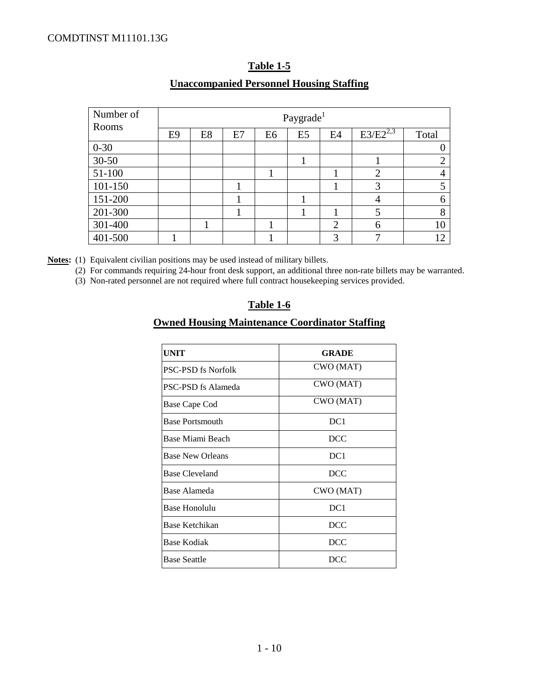| Number of |                |                |    |                | Paygrade <sup>1</sup> |                |                |                |  |  |
|-----------|----------------|----------------|----|----------------|-----------------------|----------------|----------------|----------------|--|--|
| Rooms     | E <sub>9</sub> | E <sub>8</sub> | E7 | E <sub>6</sub> | E <sub>5</sub>        | E <sub>4</sub> | $E3/E2^{2,3}$  | Total          |  |  |
| $0 - 30$  |                |                |    |                |                       |                |                |                |  |  |
| $30 - 50$ |                |                |    |                |                       |                |                | $\overline{2}$ |  |  |
| 51-100    |                |                |    |                |                       |                | $\overline{2}$ | 4              |  |  |
| 101-150   |                |                |    |                |                       |                | 3              |                |  |  |
| 151-200   |                |                |    |                |                       |                | 4              | 6              |  |  |
| 201-300   |                |                |    |                |                       |                | 5              | 8              |  |  |
| 301-400   |                |                |    |                |                       | ◠              | 6              | 10             |  |  |
| 401-500   |                |                |    |                |                       | 3              |                | 12             |  |  |

# **Table 1-5**

# **Unaccompanied Personnel Housing Staffing**

**Notes:** (1) Equivalent civilian positions may be used instead of military billets.

(2) For commands requiring 24-hour front desk support, an additional three non-rate billets may be warranted.

(3) Non-rated personnel are not required where full contract housekeeping services provided.

# **Table 1-6**

# **Owned Housing Maintenance Coordinator Staffing**

| <b>UNIT</b>               | <b>GRADE</b>    |
|---------------------------|-----------------|
| <b>PSC-PSD</b> fs Norfolk | CWO (MAT)       |
| PSC-PSD fs Alameda        | CWO (MAT)       |
| Base Cape Cod             | CWO (MAT)       |
| <b>Base Portsmouth</b>    | DC1             |
| Base Miami Beach          | <b>DCC</b>      |
| <b>Base New Orleans</b>   | DC <sub>1</sub> |
| Base Cleveland            | <b>DCC</b>      |
| Base Alameda              | CWO (MAT)       |
| <b>Base Honolulu</b>      | DC <sub>1</sub> |
| Base Ketchikan            | <b>DCC</b>      |
| <b>Base Kodiak</b>        | <b>DCC</b>      |
| <b>Base Seattle</b>       | DCC             |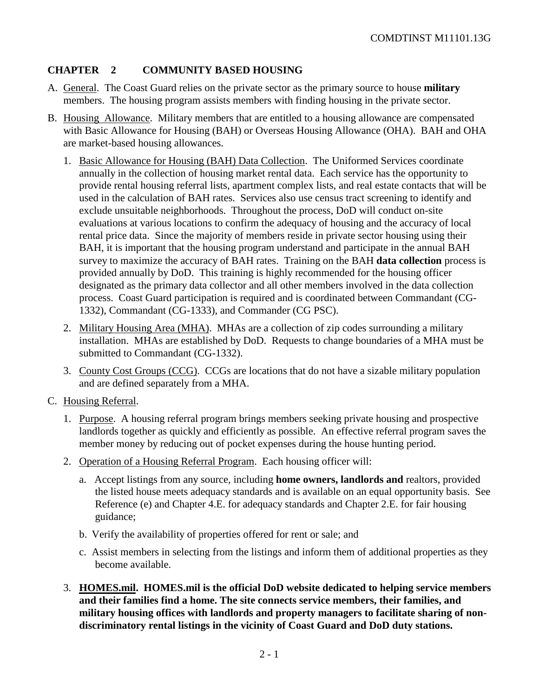# **CHAPTER 2 COMMUNITY BASED HOUSING**

- A. General. The Coast Guard relies on the private sector as the primary source to house **military** members. The housing program assists members with finding housing in the private sector.
- B. Housing Allowance. Military members that are entitled to a housing allowance are compensated with Basic Allowance for Housing (BAH) or Overseas Housing Allowance (OHA). BAH and OHA are market-based housing allowances.
	- 1. Basic Allowance for Housing (BAH) Data Collection. The Uniformed Services coordinate annually in the collection of housing market rental data. Each service has the opportunity to provide rental housing referral lists, apartment complex lists, and real estate contacts that will be used in the calculation of BAH rates. Services also use census tract screening to identify and exclude unsuitable neighborhoods. Throughout the process, DoD will conduct on-site evaluations at various locations to confirm the adequacy of housing and the accuracy of local rental price data. Since the majority of members reside in private sector housing using their BAH, it is important that the housing program understand and participate in the annual BAH survey to maximize the accuracy of BAH rates. Training on the BAH **data collection** process is provided annually by DoD. This training is highly recommended for the housing officer designated as the primary data collector and all other members involved in the data collection process. Coast Guard participation is required and is coordinated between Commandant (CG-1332), Commandant (CG-1333), and Commander (CG PSC).
	- 2. Military Housing Area (MHA).MHAs are a collection of zip codes surrounding a military installation. MHAs are established by DoD. Requests to change boundaries of a MHA must be submitted to Commandant (CG-1332).
	- 3. County Cost Groups (CCG). CCGs are locations that do not have a sizable military population and are defined separately from a MHA.
- C. Housing Referral.
	- 1. Purpose. A housing referral program brings members seeking private housing and prospective landlords together as quickly and efficiently as possible. An effective referral program saves the member money by reducing out of pocket expenses during the house hunting period.
	- 2. Operation of a Housing Referral Program. Each housing officer will:
		- a. Accept listings from any source, including **home owners, landlords and** realtors, provided the listed house meets adequacy standards and is available on an equal opportunity basis. See Reference (e) and Chapter 4.E. for adequacy standards and Chapter 2.E. for fair housing guidance;
		- b. Verify the availability of properties offered for rent or sale; and
		- c. Assist members in selecting from the listings and inform them of additional properties as they become available.
	- 3. **HOMES.mil. HOMES.mil is the official DoD website dedicated to helping service members and their families find a home. The site connects service members, their families, and military housing offices with landlords and property managers to facilitate sharing of nondiscriminatory rental listings in the vicinity of Coast Guard and DoD duty stations.**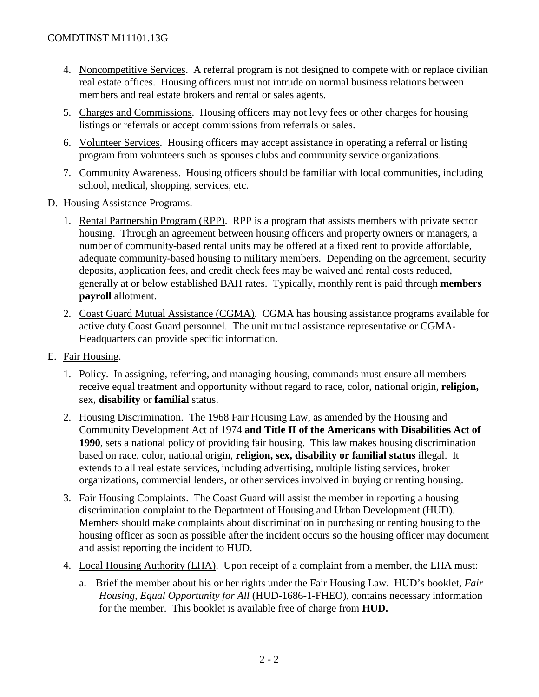- 4. Noncompetitive Services. A referral program is not designed to compete with or replace civilian real estate offices. Housing officers must not intrude on normal business relations between members and real estate brokers and rental or sales agents.
- 5. Charges and Commissions. Housing officers may not levy fees or other charges for housing listings or referrals or accept commissions from referrals or sales.
- 6. Volunteer Services. Housing officers may accept assistance in operating a referral or listing program from volunteers such as spouses clubs and community service organizations.
- 7. Community Awareness. Housing officers should be familiar with local communities, including school, medical, shopping, services, etc.
- D. Housing Assistance Programs.
	- 1. Rental Partnership Program (RPP). RPP is a program that assists members with private sector housing. Through an agreement between housing officers and property owners or managers, a number of community-based rental units may be offered at a fixed rent to provide affordable, adequate community-based housing to military members. Depending on the agreement, security deposits, application fees, and credit check fees may be waived and rental costs reduced, generally at or below established BAH rates. Typically, monthly rent is paid through **members payroll** allotment.
	- 2. Coast Guard Mutual Assistance (CGMA). CGMA has housing assistance programs available for active duty Coast Guard personnel. The unit mutual assistance representative or CGMA-Headquarters can provide specific information.
- E. Fair Housing.
	- 1. Policy. In assigning, referring, and managing housing, commands must ensure all members receive equal treatment and opportunity without regard to race, color, national origin, **religion,** sex, **disability** or **familial** status.
	- 2. Housing Discrimination. The 1968 Fair Housing Law, as amended by the Housing and Community Development Act of 1974 **and Title II of the Americans with Disabilities Act of 1990**, sets a national policy of providing fair housing. This law makes housing discrimination based on race, color, national origin, **religion, sex, disability or familial status** illegal. It extends to all real estate services, including advertising, multiple listing services, broker organizations, commercial lenders, or other services involved in buying or renting housing.
	- 3. Fair Housing Complaints. The Coast Guard will assist the member in reporting a housing discrimination complaint to the Department of Housing and Urban Development (HUD). Members should make complaints about discrimination in purchasing or renting housing to the housing officer as soon as possible after the incident occurs so the housing officer may document and assist reporting the incident to HUD.
	- 4. Local Housing Authority (LHA). Upon receipt of a complaint from a member, the LHA must:
		- a. Brief the member about his or her rights under the Fair Housing Law. HUD's booklet, *Fair Housing, Equal Opportunity for All* (HUD-1686-1-FHEO), contains necessary information for the member. This booklet is available free of charge from **HUD.**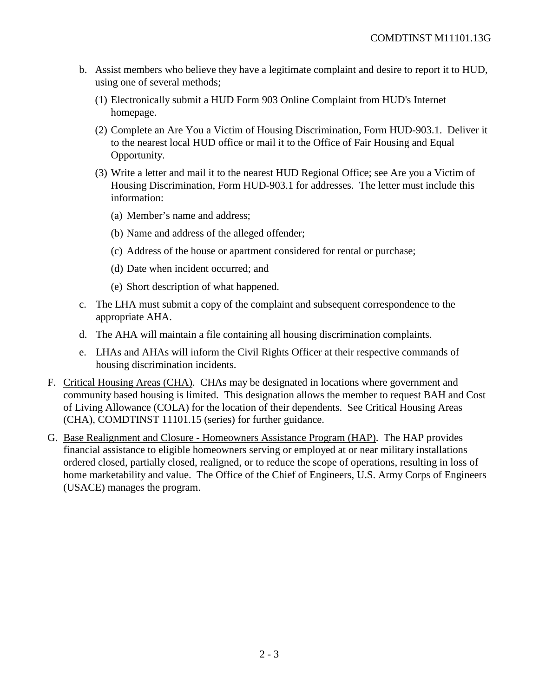- b. Assist members who believe they have a legitimate complaint and desire to report it to HUD, using one of several methods;
	- (1) Electronically submit a HUD Form 903 Online Complaint from HUD's Internet homepage.
	- (2) Complete an Are You a Victim of Housing Discrimination, Form HUD-903.1. Deliver it to the nearest local HUD office or mail it to the Office of Fair Housing and Equal Opportunity.
	- (3) Write a letter and mail it to the nearest HUD Regional Office; see Are you a Victim of Housing Discrimination, Form HUD-903.1 for addresses. The letter must include this information:
		- (a) Member's name and address;
		- (b) Name and address of the alleged offender;
		- (c) Address of the house or apartment considered for rental or purchase;
		- (d) Date when incident occurred; and
		- (e) Short description of what happened.
- c. The LHA must submit a copy of the complaint and subsequent correspondence to the appropriate AHA.
- d. The AHA will maintain a file containing all housing discrimination complaints.
- e. LHAs and AHAs will inform the Civil Rights Officer at their respective commands of housing discrimination incidents.
- F. Critical Housing Areas (CHA). CHAs may be designated in locations where government and community based housing is limited. This designation allows the member to request BAH and Cost of Living Allowance (COLA) for the location of their dependents. See Critical Housing Areas (CHA), COMDTINST 11101.15 (series) for further guidance.
- G. Base Realignment and Closure Homeowners Assistance Program (HAP). The HAP provides financial assistance to eligible homeowners serving or employed at or near military installations ordered closed, partially closed, realigned, or to reduce the scope of operations, resulting in loss of home marketability and value. The Office of the Chief of Engineers, U.S. Army Corps of Engineers (USACE) manages the program.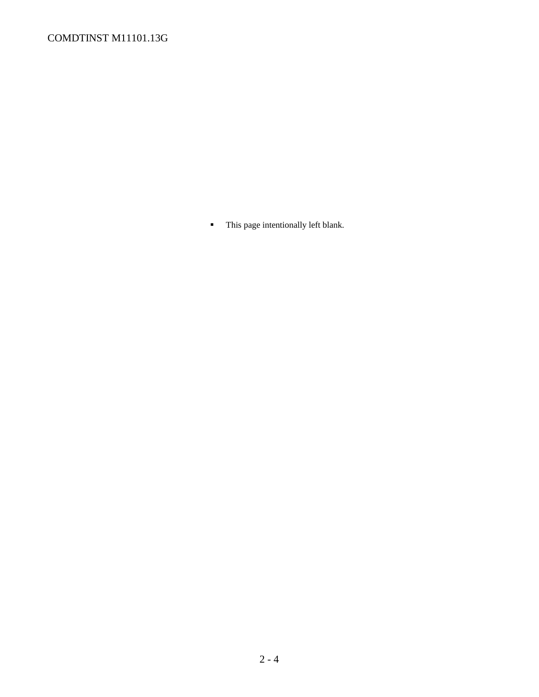# COMDTINST M11101.13G

• This page intentionally left blank.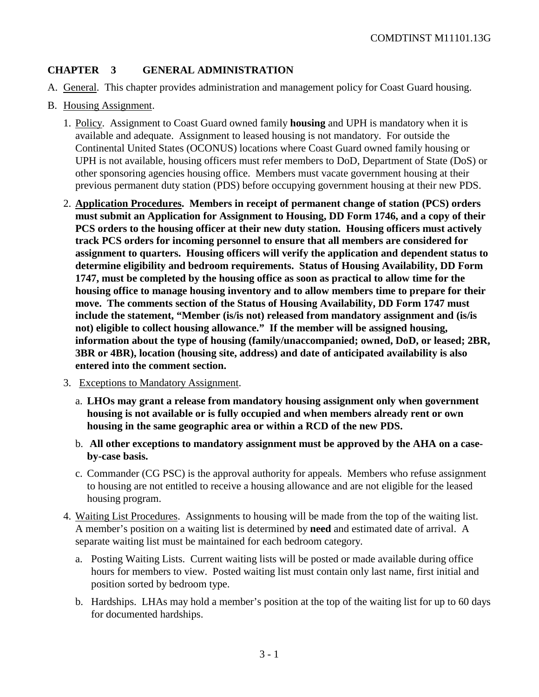# **CHAPTER 3 GENERAL ADMINISTRATION**

- A. General. This chapter provides administration and management policy for Coast Guard housing.
- B. Housing Assignment.
	- 1. Policy. Assignment to Coast Guard owned family **housing** and UPH is mandatory when it is available and adequate. Assignment to leased housing is not mandatory. For outside the Continental United States (OCONUS) locations where Coast Guard owned family housing or UPH is not available, housing officers must refer members to DoD, Department of State (DoS) or other sponsoring agencies housing office. Members must vacate government housing at their previous permanent duty station (PDS) before occupying government housing at their new PDS.
	- 2. **Application Procedures. Members in receipt of permanent change of station (PCS) orders must submit an Application for Assignment to Housing, DD Form 1746, and a copy of their PCS orders to the housing officer at their new duty station. Housing officers must actively track PCS orders for incoming personnel to ensure that all members are considered for assignment to quarters. Housing officers will verify the application and dependent status to determine eligibility and bedroom requirements. Status of Housing Availability, DD Form 1747, must be completed by the housing office as soon as practical to allow time for the housing office to manage housing inventory and to allow members time to prepare for their move. The comments section of the Status of Housing Availability, DD Form 1747 must include the statement, "Member (is/is not) released from mandatory assignment and (is/is not) eligible to collect housing allowance." If the member will be assigned housing, information about the type of housing (family/unaccompanied; owned, DoD, or leased; 2BR, 3BR or 4BR), location (housing site, address) and date of anticipated availability is also entered into the comment section.**
	- 3. Exceptions to Mandatory Assignment.
		- a. **LHOs may grant a release from mandatory housing assignment only when government housing is not available or is fully occupied and when members already rent or own housing in the same geographic area or within a RCD of the new PDS.**
		- b. **All other exceptions to mandatory assignment must be approved by the AHA on a caseby-case basis.**
		- c. Commander (CG PSC) is the approval authority for appeals. Members who refuse assignment to housing are not entitled to receive a housing allowance and are not eligible for the leased housing program.
	- 4. Waiting List Procedures. Assignments to housing will be made from the top of the waiting list. A member's position on a waiting list is determined by **need** and estimated date of arrival. A separate waiting list must be maintained for each bedroom category.
		- a. Posting Waiting Lists. Current waiting lists will be posted or made available during office hours for members to view. Posted waiting list must contain only last name, first initial and position sorted by bedroom type.
		- b. Hardships. LHAs may hold a member's position at the top of the waiting list for up to 60 days for documented hardships.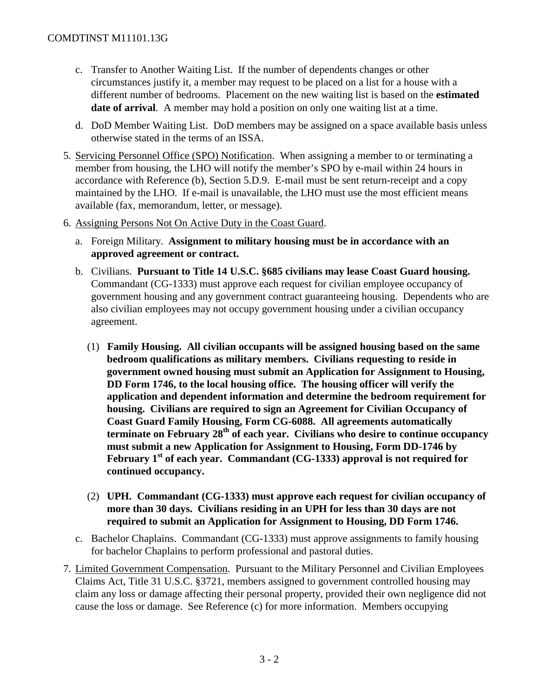- c. Transfer to Another Waiting List. If the number of dependents changes or other circumstances justify it, a member may request to be placed on a list for a house with a different number of bedrooms. Placement on the new waiting list is based on the **estimated date of arrival**. A member may hold a position on only one waiting list at a time.
- d. DoD Member Waiting List. DoD members may be assigned on a space available basis unless otherwise stated in the terms of an ISSA.
- 5. Servicing Personnel Office (SPO) Notification. When assigning a member to or terminating a member from housing, the LHO will notify the member's SPO by e-mail within 24 hours in accordance with Reference (b), Section 5.D.9. E-mail must be sent return-receipt and a copy maintained by the LHO. If e-mail is unavailable, the LHO must use the most efficient means available (fax, memorandum, letter, or message).
- 6. Assigning Persons Not On Active Duty in the Coast Guard.
	- a. Foreign Military. **Assignment to military housing must be in accordance with an approved agreement or contract.**
	- b. Civilians. **Pursuant to Title 14 U.S.C. §685 civilians may lease Coast Guard housing.** Commandant (CG-1333) must approve each request for civilian employee occupancy of government housing and any government contract guaranteeing housing. Dependents who are also civilian employees may not occupy government housing under a civilian occupancy agreement.
		- (1) **Family Housing. All civilian occupants will be assigned housing based on the same bedroom qualifications as military members. Civilians requesting to reside in government owned housing must submit an Application for Assignment to Housing, DD Form 1746, to the local housing office. The housing officer will verify the application and dependent information and determine the bedroom requirement for housing. Civilians are required to sign an Agreement for Civilian Occupancy of Coast Guard Family Housing, Form CG-6088. All agreements automatically terminate on February 28th of each year. Civilians who desire to continue occupancy must submit a new Application for Assignment to Housing, Form DD-1746 by February 1st of each year. Commandant (CG-1333) approval is not required for continued occupancy.**
		- (2) **UPH. Commandant (CG-1333) must approve each request for civilian occupancy of more than 30 days. Civilians residing in an UPH for less than 30 days are not required to submit an Application for Assignment to Housing, DD Form 1746.**
	- c. Bachelor Chaplains. Commandant (CG-1333) must approve assignments to family housing for bachelor Chaplains to perform professional and pastoral duties.
- 7. Limited Government Compensation. Pursuant to the Military Personnel and Civilian Employees Claims Act, Title 31 U.S.C. §3721, members assigned to government controlled housing may claim any loss or damage affecting their personal property, provided their own negligence did not cause the loss or damage. See Reference (c) for more information. Members occupying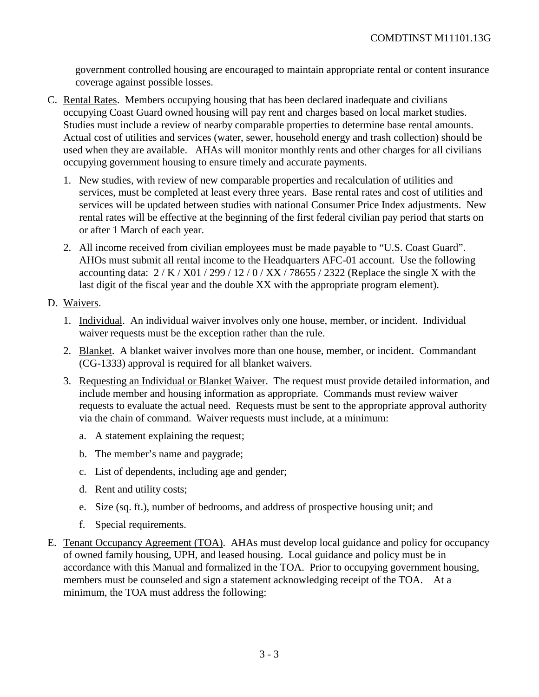government controlled housing are encouraged to maintain appropriate rental or content insurance coverage against possible losses.

- C. Rental Rates. Members occupying housing that has been declared inadequate and civilians occupying Coast Guard owned housing will pay rent and charges based on local market studies. Studies must include a review of nearby comparable properties to determine base rental amounts. Actual cost of utilities and services (water, sewer, household energy and trash collection) should be used when they are available. AHAs will monitor monthly rents and other charges for all civilians occupying government housing to ensure timely and accurate payments.
	- 1. New studies, with review of new comparable properties and recalculation of utilities and services, must be completed at least every three years. Base rental rates and cost of utilities and services will be updated between studies with national Consumer Price Index adjustments. New rental rates will be effective at the beginning of the first federal civilian pay period that starts on or after 1 March of each year.
	- 2. All income received from civilian employees must be made payable to "U.S. Coast Guard". AHOs must submit all rental income to the Headquarters AFC-01 account. Use the following accounting data:  $2 / K / X01 / 299 / 12 / 0 / XX / 78655 / 2322$  (Replace the single X with the last digit of the fiscal year and the double XX with the appropriate program element).
- D. Waivers.
	- 1. Individual. An individual waiver involves only one house, member, or incident. Individual waiver requests must be the exception rather than the rule.
	- 2. Blanket. A blanket waiver involves more than one house, member, or incident. Commandant (CG-1333) approval is required for all blanket waivers.
	- 3. Requesting an Individual or Blanket Waiver. The request must provide detailed information, and include member and housing information as appropriate. Commands must review waiver requests to evaluate the actual need. Requests must be sent to the appropriate approval authority via the chain of command. Waiver requests must include, at a minimum:
		- a. A statement explaining the request;
		- b. The member's name and paygrade;
		- c. List of dependents, including age and gender;
		- d. Rent and utility costs;
		- e. Size (sq. ft.), number of bedrooms, and address of prospective housing unit; and
		- f. Special requirements.
- E. Tenant Occupancy Agreement (TOA). AHAs must develop local guidance and policy for occupancy of owned family housing, UPH, and leased housing. Local guidance and policy must be in accordance with this Manual and formalized in the TOA. Prior to occupying government housing, members must be counseled and sign a statement acknowledging receipt of the TOA. At a minimum, the TOA must address the following: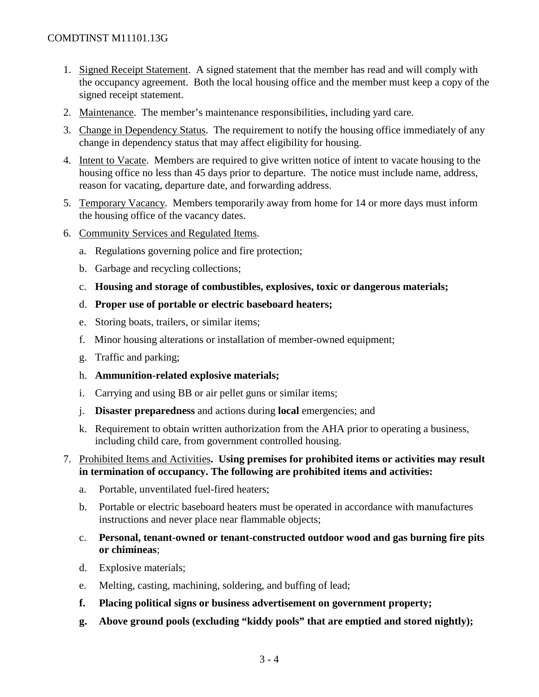- 1. Signed Receipt Statement. A signed statement that the member has read and will comply with the occupancy agreement. Both the local housing office and the member must keep a copy of the signed receipt statement.
- 2. Maintenance. The member's maintenance responsibilities, including yard care.
- 3. Change in Dependency Status. The requirement to notify the housing office immediately of any change in dependency status that may affect eligibility for housing.
- 4. Intent to Vacate. Members are required to give written notice of intent to vacate housing to the housing office no less than 45 days prior to departure. The notice must include name, address, reason for vacating, departure date, and forwarding address.
- 5. Temporary Vacancy. Members temporarily away from home for 14 or more days must inform the housing office of the vacancy dates.
- 6. Community Services and Regulated Items.
	- a. Regulations governing police and fire protection;
	- b. Garbage and recycling collections;
	- c. **Housing and storage of combustibles, explosives, toxic or dangerous materials;**
	- d. **Proper use of portable or electric baseboard heaters;**
	- e. Storing boats, trailers, or similar items;
	- f. Minor housing alterations or installation of member-owned equipment;
	- g. Traffic and parking;
	- h. **Ammunition-related explosive materials;**
	- i. Carrying and using BB or air pellet guns or similar items;
	- j. **Disaster preparedness** and actions during **local** emergencies; and
	- k. Requirement to obtain written authorization from the AHA prior to operating a business, including child care, from government controlled housing.

# 7. Prohibited Items and Activities**. Using premises for prohibited items or activities may result in termination of occupancy. The following are prohibited items and activities:**

- a. Portable, unventilated fuel-fired heaters;
- b. Portable or electric baseboard heaters must be operated in accordance with manufactures instructions and never place near flammable objects;
- c. **Personal, tenant-owned or tenant-constructed outdoor wood and gas burning fire pits or chimineas**;
- d. Explosive materials;
- e. Melting, casting, machining, soldering, and buffing of lead;
- **f. Placing political signs or business advertisement on government property;**
- **g. Above ground pools (excluding "kiddy pools" that are emptied and stored nightly);**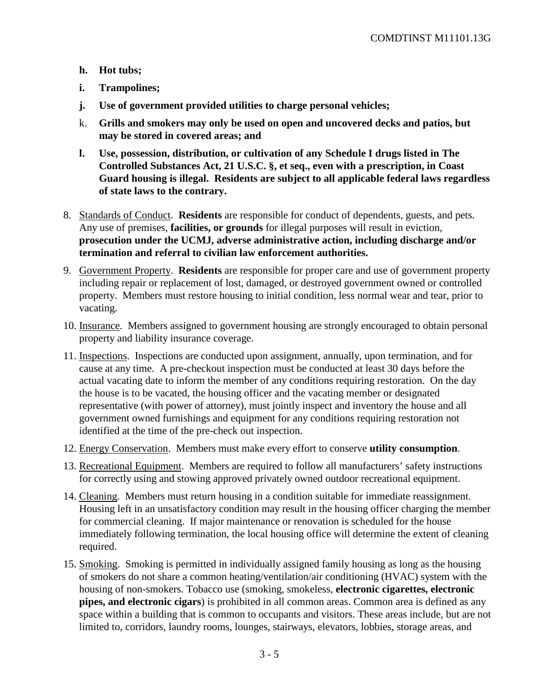# **h. Hot tubs;**

- **i. Trampolines;**
- **j. Use of government provided utilities to charge personal vehicles;**
- k. **Grills and smokers may only be used on open and uncovered decks and patios, but may be stored in covered areas; and**
- **l. Use, possession, distribution, or cultivation of any Schedule I drugs listed in The Controlled Substances Act, 21 U.S.C. §, et seq., even with a prescription, in Coast Guard housing is illegal. Residents are subject to all applicable federal laws regardless of state laws to the contrary.**
- 8. Standards of Conduct. **Residents** are responsible for conduct of dependents, guests, and pets. Any use of premises, **facilities, or grounds** for illegal purposes will result in eviction, **prosecution under the UCMJ, adverse administrative action, including discharge and/or termination and referral to civilian law enforcement authorities.**
- 9. Government Property. **Residents** are responsible for proper care and use of government property including repair or replacement of lost, damaged, or destroyed government owned or controlled property. Members must restore housing to initial condition, less normal wear and tear, prior to vacating.
- 10. Insurance. Members assigned to government housing are strongly encouraged to obtain personal property and liability insurance coverage.
- 11. Inspections. Inspections are conducted upon assignment, annually, upon termination, and for cause at any time. A pre-checkout inspection must be conducted at least 30 days before the actual vacating date to inform the member of any conditions requiring restoration. On the day the house is to be vacated, the housing officer and the vacating member or designated representative (with power of attorney), must jointly inspect and inventory the house and all government owned furnishings and equipment for any conditions requiring restoration not identified at the time of the pre-check out inspection.
- 12. Energy Conservation. Members must make every effort to conserve **utility consumption**.
- 13. Recreational Equipment. Members are required to follow all manufacturers' safety instructions for correctly using and stowing approved privately owned outdoor recreational equipment.
- 14. Cleaning. Members must return housing in a condition suitable for immediate reassignment. Housing left in an unsatisfactory condition may result in the housing officer charging the member for commercial cleaning. If major maintenance or renovation is scheduled for the house immediately following termination, the local housing office will determine the extent of cleaning required.
- 15. Smoking. Smoking is permitted in individually assigned family housing as long as the housing of smokers do not share a common heating/ventilation/air conditioning (HVAC) system with the housing of non-smokers. Tobacco use (smoking, smokeless, **electronic cigarettes, electronic pipes, and electronic cigars**) is prohibited in all common areas. Common area is defined as any space within a building that is common to occupants and visitors. These areas include, but are not limited to, corridors, laundry rooms, lounges, stairways, elevators, lobbies, storage areas, and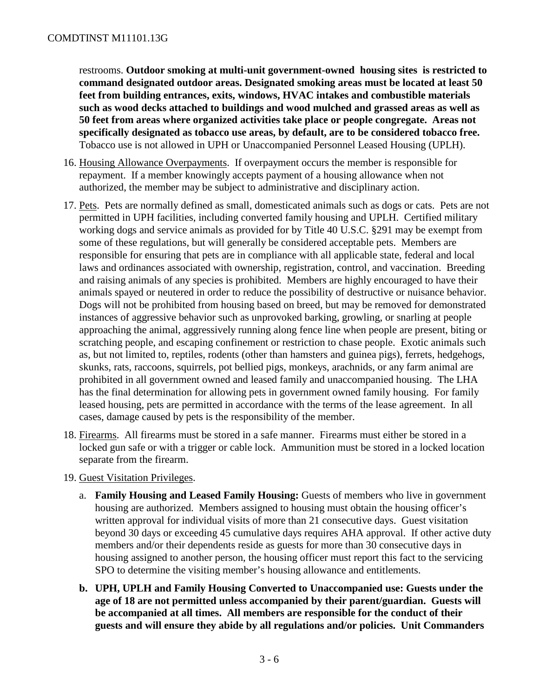restrooms. **Outdoor smoking at multi-unit government-owned housing sites is restricted to command designated outdoor areas. Designated smoking areas must be located at least 50 feet from building entrances, exits, windows, HVAC intakes and combustible materials such as wood decks attached to buildings and wood mulched and grassed areas as well as 50 feet from areas where organized activities take place or people congregate. Areas not specifically designated as tobacco use areas, by default, are to be considered tobacco free.** Tobacco use is not allowed in UPH or Unaccompanied Personnel Leased Housing (UPLH).

- 16. Housing Allowance Overpayments. If overpayment occurs the member is responsible for repayment. If a member knowingly accepts payment of a housing allowance when not authorized, the member may be subject to administrative and disciplinary action.
- 17. Pets. Pets are normally defined as small, domesticated animals such as dogs or cats. Pets are not permitted in UPH facilities, including converted family housing and UPLH. Certified military working dogs and service animals as provided for by Title 40 U.S.C. §291 may be exempt from some of these regulations, but will generally be considered acceptable pets. Members are responsible for ensuring that pets are in compliance with all applicable state, federal and local laws and ordinances associated with ownership, registration, control, and vaccination. Breeding and raising animals of any species is prohibited. Members are highly encouraged to have their animals spayed or neutered in order to reduce the possibility of destructive or nuisance behavior. Dogs will not be prohibited from housing based on breed, but may be removed for demonstrated instances of aggressive behavior such as unprovoked barking, growling, or snarling at people approaching the animal, aggressively running along fence line when people are present, biting or scratching people, and escaping confinement or restriction to chase people. Exotic animals such as, but not limited to, reptiles, rodents (other than hamsters and guinea pigs), ferrets, hedgehogs, skunks, rats, raccoons, squirrels, pot bellied pigs, monkeys, arachnids, or any farm animal are prohibited in all government owned and leased family and unaccompanied housing. The LHA has the final determination for allowing pets in government owned family housing. For family leased housing, pets are permitted in accordance with the terms of the lease agreement. In all cases, damage caused by pets is the responsibility of the member.
- 18. Firearms. All firearms must be stored in a safe manner. Firearms must either be stored in a locked gun safe or with a trigger or cable lock. Ammunition must be stored in a locked location separate from the firearm.
- 19. Guest Visitation Privileges.
	- a. **Family Housing and Leased Family Housing:** Guests of members who live in government housing are authorized. Members assigned to housing must obtain the housing officer's written approval for individual visits of more than 21 consecutive days. Guest visitation beyond 30 days or exceeding 45 cumulative days requires AHA approval. If other active duty members and/or their dependents reside as guests for more than 30 consecutive days in housing assigned to another person, the housing officer must report this fact to the servicing SPO to determine the visiting member's housing allowance and entitlements.
	- **b. UPH, UPLH and Family Housing Converted to Unaccompanied use: Guests under the age of 18 are not permitted unless accompanied by their parent/guardian. Guests will be accompanied at all times. All members are responsible for the conduct of their guests and will ensure they abide by all regulations and/or policies. Unit Commanders**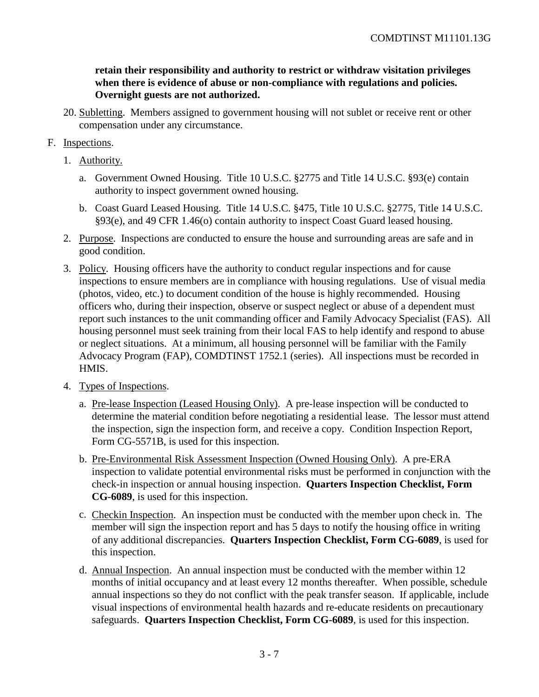**retain their responsibility and authority to restrict or withdraw visitation privileges when there is evidence of abuse or non-compliance with regulations and policies. Overnight guests are not authorized.**

- 20. Subletting. Members assigned to government housing will not sublet or receive rent or other compensation under any circumstance.
- F. Inspections.
	- 1. Authority.
		- a. Government Owned Housing. Title 10 U.S.C. §2775 and Title 14 U.S.C. §93(e) contain authority to inspect government owned housing.
		- b. Coast Guard Leased Housing. Title 14 U.S.C. §475, Title 10 U.S.C. §2775, Title 14 U.S.C. §93(e), and 49 CFR 1.46(o) contain authority to inspect Coast Guard leased housing.
	- 2. Purpose. Inspections are conducted to ensure the house and surrounding areas are safe and in good condition.
	- 3. Policy. Housing officers have the authority to conduct regular inspections and for cause inspections to ensure members are in compliance with housing regulations. Use of visual media (photos, video, etc.) to document condition of the house is highly recommended. Housing officers who, during their inspection, observe or suspect neglect or abuse of a dependent must report such instances to the unit commanding officer and Family Advocacy Specialist (FAS). All housing personnel must seek training from their local FAS to help identify and respond to abuse or neglect situations. At a minimum, all housing personnel will be familiar with the Family Advocacy Program (FAP), COMDTINST 1752.1 (series). All inspections must be recorded in HMIS.
	- 4. Types of Inspections.
		- a. Pre-lease Inspection (Leased Housing Only). A pre-lease inspection will be conducted to determine the material condition before negotiating a residential lease. The lessor must attend the inspection, sign the inspection form, and receive a copy. Condition Inspection Report, Form CG-5571B, is used for this inspection.
		- b. Pre-Environmental Risk Assessment Inspection (Owned Housing Only). A pre-ERA inspection to validate potential environmental risks must be performed in conjunction with the check-in inspection or annual housing inspection. **Quarters Inspection Checklist, Form CG-6089**, is used for this inspection.
		- c. Checkin Inspection. An inspection must be conducted with the member upon check in. The member will sign the inspection report and has 5 days to notify the housing office in writing of any additional discrepancies. **Quarters Inspection Checklist, Form CG-6089**, is used for this inspection.
		- d. Annual Inspection. An annual inspection must be conducted with the member within 12 months of initial occupancy and at least every 12 months thereafter. When possible, schedule annual inspections so they do not conflict with the peak transfer season. If applicable, include visual inspections of environmental health hazards and re-educate residents on precautionary safeguards. **Quarters Inspection Checklist, Form CG-6089**, is used for this inspection.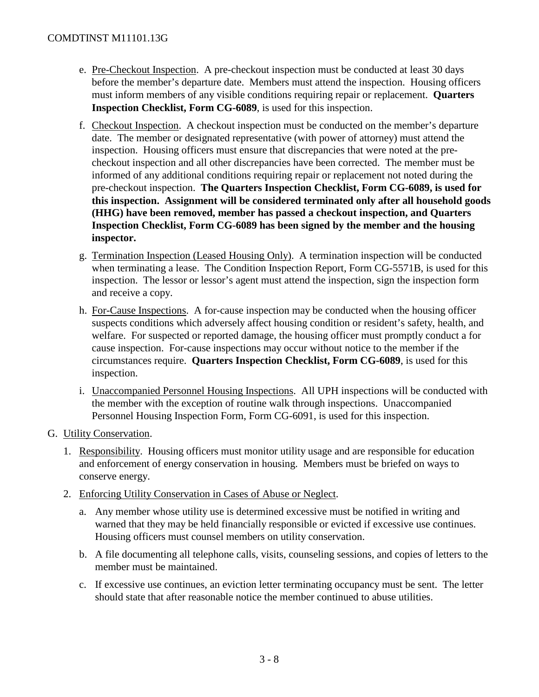- e. Pre-Checkout Inspection. A pre-checkout inspection must be conducted at least 30 days before the member's departure date. Members must attend the inspection. Housing officers must inform members of any visible conditions requiring repair or replacement. **Quarters Inspection Checklist, Form CG-6089**, is used for this inspection.
- f. Checkout Inspection. A checkout inspection must be conducted on the member's departure date. The member or designated representative (with power of attorney) must attend the inspection. Housing officers must ensure that discrepancies that were noted at the precheckout inspection and all other discrepancies have been corrected. The member must be informed of any additional conditions requiring repair or replacement not noted during the pre-checkout inspection. **The Quarters Inspection Checklist, Form CG-6089, is used for this inspection. Assignment will be considered terminated only after all household goods (HHG) have been removed, member has passed a checkout inspection, and Quarters Inspection Checklist, Form CG-6089 has been signed by the member and the housing inspector.**
- g. Termination Inspection (Leased Housing Only). A termination inspection will be conducted when terminating a lease. The Condition Inspection Report, Form CG-5571B, is used for this inspection. The lessor or lessor's agent must attend the inspection, sign the inspection form and receive a copy.
- h. For-Cause Inspections. A for-cause inspection may be conducted when the housing officer suspects conditions which adversely affect housing condition or resident's safety, health, and welfare. For suspected or reported damage, the housing officer must promptly conduct a for cause inspection. For-cause inspections may occur without notice to the member if the circumstances require. **Quarters Inspection Checklist, Form CG-6089**, is used for this inspection.
- i. Unaccompanied Personnel Housing Inspections. All UPH inspections will be conducted with the member with the exception of routine walk through inspections. Unaccompanied Personnel Housing Inspection Form, Form CG-6091, is used for this inspection.
- G. Utility Conservation.
	- 1. Responsibility. Housing officers must monitor utility usage and are responsible for education and enforcement of energy conservation in housing. Members must be briefed on ways to conserve energy.
	- 2. Enforcing Utility Conservation in Cases of Abuse or Neglect.
		- a. Any member whose utility use is determined excessive must be notified in writing and warned that they may be held financially responsible or evicted if excessive use continues. Housing officers must counsel members on utility conservation.
		- b. A file documenting all telephone calls, visits, counseling sessions, and copies of letters to the member must be maintained.
		- c. If excessive use continues, an eviction letter terminating occupancy must be sent. The letter should state that after reasonable notice the member continued to abuse utilities.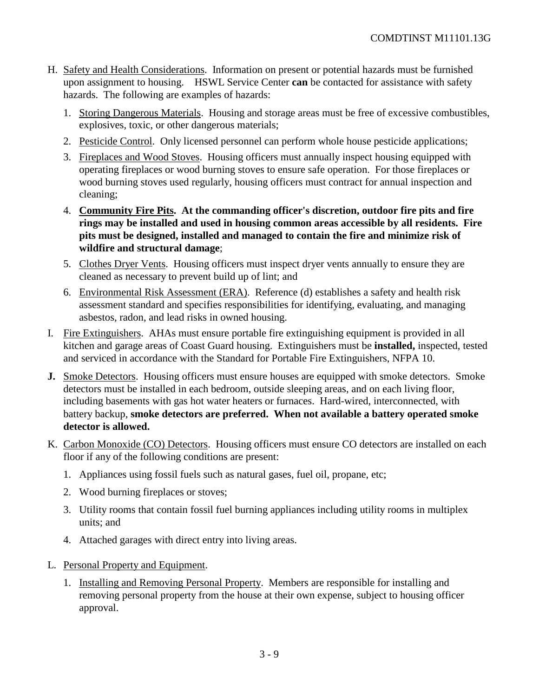- H. Safety and Health Considerations. Information on present or potential hazards must be furnished upon assignment to housing. HSWL Service Center **can** be contacted for assistance with safety hazards. The following are examples of hazards:
	- 1. Storing Dangerous Materials. Housing and storage areas must be free of excessive combustibles, explosives, toxic, or other dangerous materials;
	- 2. Pesticide Control. Only licensed personnel can perform whole house pesticide applications;
	- 3. Fireplaces and Wood Stoves. Housing officers must annually inspect housing equipped with operating fireplaces or wood burning stoves to ensure safe operation. For those fireplaces or wood burning stoves used regularly, housing officers must contract for annual inspection and cleaning;
	- 4. **Community Fire Pits. At the commanding officer's discretion, outdoor fire pits and fire rings may be installed and used in housing common areas accessible by all residents. Fire pits must be designed, installed and managed to contain the fire and minimize risk of wildfire and structural damage**;
	- 5. Clothes Dryer Vents. Housing officers must inspect dryer vents annually to ensure they are cleaned as necessary to prevent build up of lint; and
	- 6. Environmental Risk Assessment (ERA). Reference (d) establishes a safety and health risk assessment standard and specifies responsibilities for identifying, evaluating, and managing asbestos, radon, and lead risks in owned housing.
- I. Fire Extinguishers. AHAs must ensure portable fire extinguishing equipment is provided in all kitchen and garage areas of Coast Guard housing. Extinguishers must be **installed,** inspected, tested and serviced in accordance with the Standard for Portable Fire Extinguishers, NFPA 10.
- **J.** Smoke Detectors. Housing officers must ensure houses are equipped with smoke detectors. Smoke detectors must be installed in each bedroom, outside sleeping areas, and on each living floor, including basements with gas hot water heaters or furnaces. Hard-wired, interconnected, with battery backup, **smoke detectors are preferred. When not available a battery operated smoke detector is allowed.**
- K. Carbon Monoxide (CO) Detectors. Housing officers must ensure CO detectors are installed on each floor if any of the following conditions are present:
	- 1. Appliances using fossil fuels such as natural gases, fuel oil, propane, etc;
	- 2. Wood burning fireplaces or stoves;
	- 3. Utility rooms that contain fossil fuel burning appliances including utility rooms in multiplex units; and
	- 4. Attached garages with direct entry into living areas.
- L. Personal Property and Equipment.
	- 1. Installing and Removing Personal Property. Members are responsible for installing and removing personal property from the house at their own expense, subject to housing officer approval.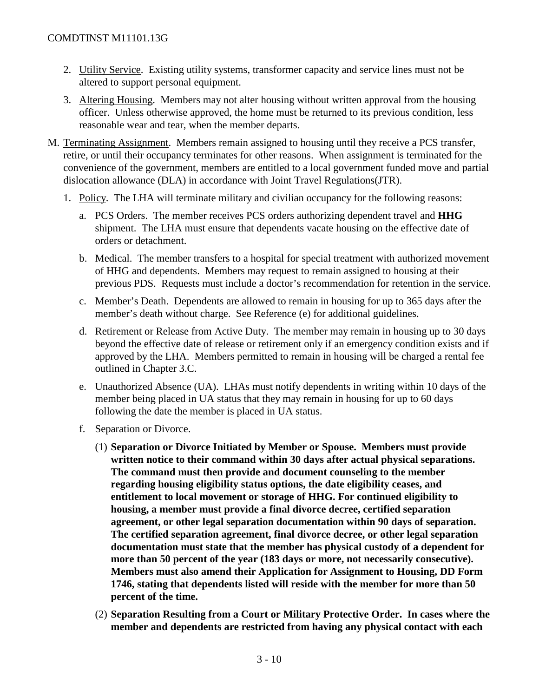- 2. Utility Service. Existing utility systems, transformer capacity and service lines must not be altered to support personal equipment.
- 3. Altering Housing. Members may not alter housing without written approval from the housing officer. Unless otherwise approved, the home must be returned to its previous condition, less reasonable wear and tear, when the member departs.
- M. Terminating Assignment. Members remain assigned to housing until they receive a PCS transfer, retire, or until their occupancy terminates for other reasons. When assignment is terminated for the convenience of the government, members are entitled to a local government funded move and partial dislocation allowance (DLA) in accordance with Joint Travel Regulations(JTR).
	- 1. Policy. The LHA will terminate military and civilian occupancy for the following reasons:
		- a. PCS Orders. The member receives PCS orders authorizing dependent travel and **HHG** shipment. The LHA must ensure that dependents vacate housing on the effective date of orders or detachment.
		- b. Medical. The member transfers to a hospital for special treatment with authorized movement of HHG and dependents. Members may request to remain assigned to housing at their previous PDS. Requests must include a doctor's recommendation for retention in the service.
		- c. Member's Death. Dependents are allowed to remain in housing for up to 365 days after the member's death without charge. See Reference (e) for additional guidelines.
		- d. Retirement or Release from Active Duty. The member may remain in housing up to 30 days beyond the effective date of release or retirement only if an emergency condition exists and if approved by the LHA. Members permitted to remain in housing will be charged a rental fee outlined in Chapter 3.C.
		- e. Unauthorized Absence (UA). LHAs must notify dependents in writing within 10 days of the member being placed in UA status that they may remain in housing for up to 60 days following the date the member is placed in UA status.
		- f. Separation or Divorce.
			- (1) **Separation or Divorce Initiated by Member or Spouse. Members must provide written notice to their command within 30 days after actual physical separations. The command must then provide and document counseling to the member regarding housing eligibility status options, the date eligibility ceases, and entitlement to local movement or storage of HHG. For continued eligibility to housing, a member must provide a final divorce decree, certified separation agreement, or other legal separation documentation within 90 days of separation. The certified separation agreement, final divorce decree, or other legal separation documentation must state that the member has physical custody of a dependent for more than 50 percent of the year (183 days or more, not necessarily consecutive). Members must also amend their Application for Assignment to Housing, DD Form 1746, stating that dependents listed will reside with the member for more than 50 percent of the time.**
			- (2) **Separation Resulting from a Court or Military Protective Order. In cases where the member and dependents are restricted from having any physical contact with each**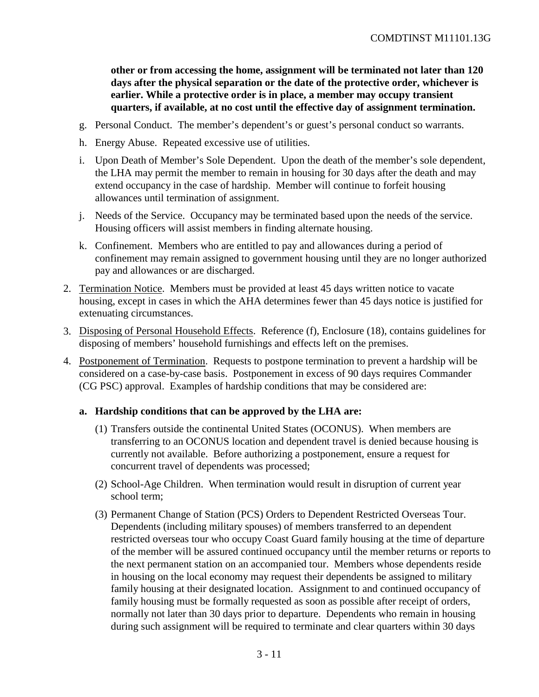**other or from accessing the home, assignment will be terminated not later than 120 days after the physical separation or the date of the protective order, whichever is earlier. While a protective order is in place, a member may occupy transient quarters, if available, at no cost until the effective day of assignment termination.**

- g. Personal Conduct. The member's dependent's or guest's personal conduct so warrants.
- h. Energy Abuse. Repeated excessive use of utilities.
- i. Upon Death of Member's Sole Dependent. Upon the death of the member's sole dependent, the LHA may permit the member to remain in housing for 30 days after the death and may extend occupancy in the case of hardship. Member will continue to forfeit housing allowances until termination of assignment.
- j. Needs of the Service. Occupancy may be terminated based upon the needs of the service. Housing officers will assist members in finding alternate housing.
- k. Confinement. Members who are entitled to pay and allowances during a period of confinement may remain assigned to government housing until they are no longer authorized pay and allowances or are discharged.
- 2. Termination Notice. Members must be provided at least 45 days written notice to vacate housing, except in cases in which the AHA determines fewer than 45 days notice is justified for extenuating circumstances.
- 3. Disposing of Personal Household Effects. Reference (f), Enclosure (18), contains guidelines for disposing of members' household furnishings and effects left on the premises.
- 4. Postponement of Termination. Requests to postpone termination to prevent a hardship will be considered on a case-by-case basis. Postponement in excess of 90 days requires Commander (CG PSC) approval. Examples of hardship conditions that may be considered are:

#### **a. Hardship conditions that can be approved by the LHA are:**

- (1) Transfers outside the continental United States (OCONUS). When members are transferring to an OCONUS location and dependent travel is denied because housing is currently not available. Before authorizing a postponement, ensure a request for concurrent travel of dependents was processed;
- (2) School-Age Children. When termination would result in disruption of current year school term;
- (3) Permanent Change of Station (PCS) Orders to Dependent Restricted Overseas Tour. Dependents (including military spouses) of members transferred to an dependent restricted overseas tour who occupy Coast Guard family housing at the time of departure of the member will be assured continued occupancy until the member returns or reports to the next permanent station on an accompanied tour. Members whose dependents reside in housing on the local economy may request their dependents be assigned to military family housing at their designated location. Assignment to and continued occupancy of family housing must be formally requested as soon as possible after receipt of orders, normally not later than 30 days prior to departure. Dependents who remain in housing during such assignment will be required to terminate and clear quarters within 30 days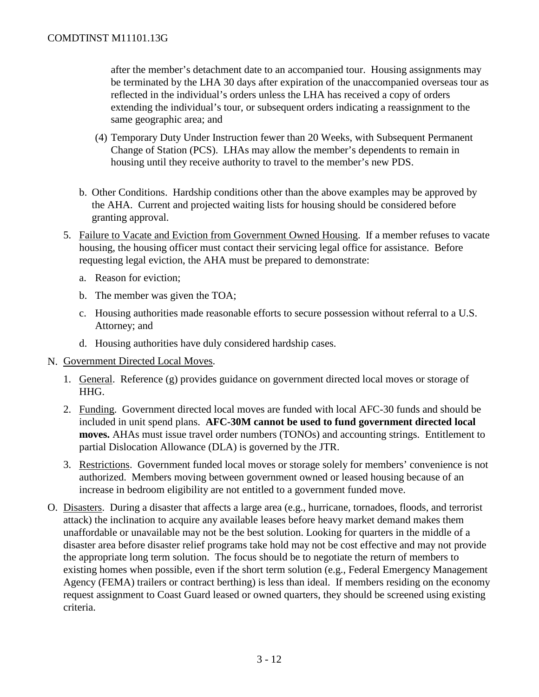after the member's detachment date to an accompanied tour. Housing assignments may be terminated by the LHA 30 days after expiration of the unaccompanied overseas tour as reflected in the individual's orders unless the LHA has received a copy of orders extending the individual's tour, or subsequent orders indicating a reassignment to the same geographic area; and

- (4) Temporary Duty Under Instruction fewer than 20 Weeks, with Subsequent Permanent Change of Station (PCS). LHAs may allow the member's dependents to remain in housing until they receive authority to travel to the member's new PDS.
- b. Other Conditions. Hardship conditions other than the above examples may be approved by the AHA. Current and projected waiting lists for housing should be considered before granting approval.
- 5. Failure to Vacate and Eviction from Government Owned Housing. If a member refuses to vacate housing, the housing officer must contact their servicing legal office for assistance. Before requesting legal eviction, the AHA must be prepared to demonstrate:
	- a. Reason for eviction;
	- b. The member was given the TOA;
	- c. Housing authorities made reasonable efforts to secure possession without referral to a U.S. Attorney; and
	- d. Housing authorities have duly considered hardship cases.
- N. Government Directed Local Moves.
	- 1. General. Reference (g) provides guidance on government directed local moves or storage of HHG.
	- 2. Funding. Government directed local moves are funded with local AFC-30 funds and should be included in unit spend plans. **AFC-30M cannot be used to fund government directed local moves.** AHAs must issue travel order numbers (TONOs) and accounting strings. Entitlement to partial Dislocation Allowance (DLA) is governed by the JTR.
	- 3. Restrictions. Government funded local moves or storage solely for members' convenience is not authorized. Members moving between government owned or leased housing because of an increase in bedroom eligibility are not entitled to a government funded move.
- O. Disasters. During a disaster that affects a large area (e.g., hurricane, tornadoes, floods, and terrorist attack) the inclination to acquire any available leases before heavy market demand makes them unaffordable or unavailable may not be the best solution. Looking for quarters in the middle of a disaster area before disaster relief programs take hold may not be cost effective and may not provide the appropriate long term solution. The focus should be to negotiate the return of members to existing homes when possible, even if the short term solution (e.g., Federal Emergency Management Agency (FEMA) trailers or contract berthing) is less than ideal. If members residing on the economy request assignment to Coast Guard leased or owned quarters, they should be screened using existing criteria.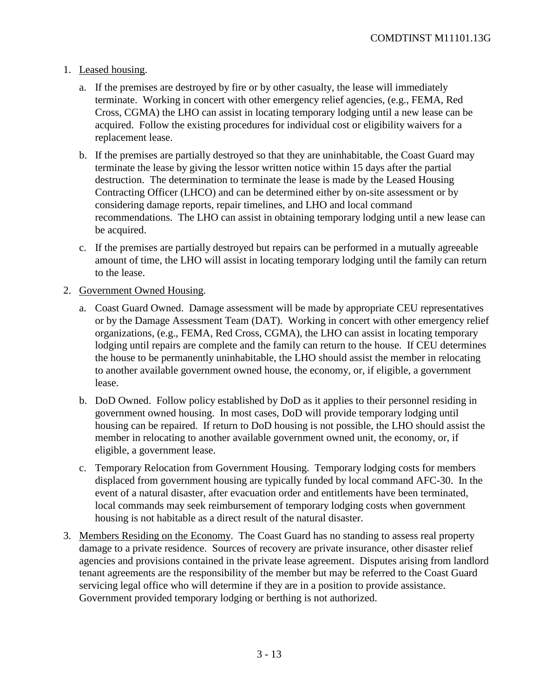### 1. Leased housing.

- a. If the premises are destroyed by fire or by other casualty, the lease will immediately terminate. Working in concert with other emergency relief agencies, (e.g., FEMA, Red Cross, CGMA) the LHO can assist in locating temporary lodging until a new lease can be acquired. Follow the existing procedures for individual cost or eligibility waivers for a replacement lease.
- b. If the premises are partially destroyed so that they are uninhabitable, the Coast Guard may terminate the lease by giving the lessor written notice within 15 days after the partial destruction. The determination to terminate the lease is made by the Leased Housing Contracting Officer (LHCO) and can be determined either by on-site assessment or by considering damage reports, repair timelines, and LHO and local command recommendations. The LHO can assist in obtaining temporary lodging until a new lease can be acquired.
- c. If the premises are partially destroyed but repairs can be performed in a mutually agreeable amount of time, the LHO will assist in locating temporary lodging until the family can return to the lease.

#### 2. Government Owned Housing.

- a. Coast Guard Owned. Damage assessment will be made by appropriate CEU representatives or by the Damage Assessment Team (DAT). Working in concert with other emergency relief organizations, (e.g., FEMA, Red Cross, CGMA), the LHO can assist in locating temporary lodging until repairs are complete and the family can return to the house. If CEU determines the house to be permanently uninhabitable, the LHO should assist the member in relocating to another available government owned house, the economy, or, if eligible, a government lease.
- b. DoD Owned. Follow policy established by DoD as it applies to their personnel residing in government owned housing. In most cases, DoD will provide temporary lodging until housing can be repaired. If return to DoD housing is not possible, the LHO should assist the member in relocating to another available government owned unit, the economy, or, if eligible, a government lease.
- c. Temporary Relocation from Government Housing. Temporary lodging costs for members displaced from government housing are typically funded by local command AFC-30. In the event of a natural disaster, after evacuation order and entitlements have been terminated, local commands may seek reimbursement of temporary lodging costs when government housing is not habitable as a direct result of the natural disaster.
- 3. Members Residing on the Economy. The Coast Guard has no standing to assess real property damage to a private residence. Sources of recovery are private insurance, other disaster relief agencies and provisions contained in the private lease agreement. Disputes arising from landlord tenant agreements are the responsibility of the member but may be referred to the Coast Guard servicing legal office who will determine if they are in a position to provide assistance. Government provided temporary lodging or berthing is not authorized.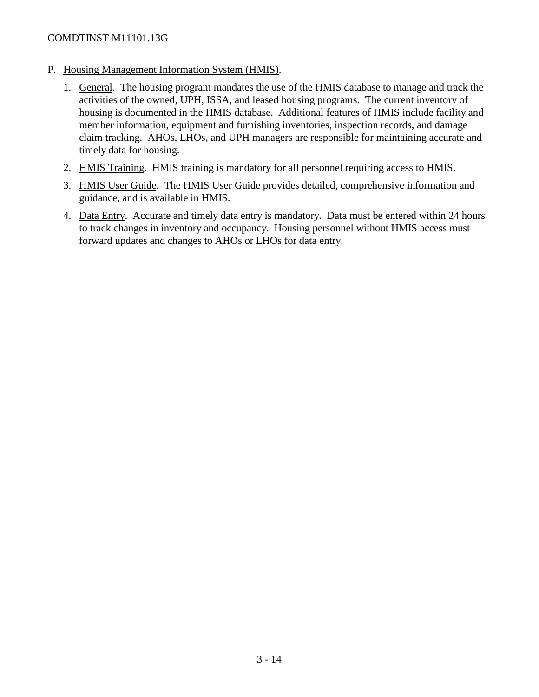- P. Housing Management Information System (HMIS).
	- 1. General. The housing program mandates the use of the HMIS database to manage and track the activities of the owned, UPH, ISSA, and leased housing programs. The current inventory of housing is documented in the HMIS database. Additional features of HMIS include facility and member information, equipment and furnishing inventories, inspection records, and damage claim tracking. AHOs, LHOs, and UPH managers are responsible for maintaining accurate and timely data for housing.
	- 2. HMIS Training. HMIS training is mandatory for all personnel requiring access to HMIS.
	- 3. HMIS User Guide. The HMIS User Guide provides detailed, comprehensive information and guidance, and is available in HMIS.
	- 4. Data Entry. Accurate and timely data entry is mandatory. Data must be entered within 24 hours to track changes in inventory and occupancy. Housing personnel without HMIS access must forward updates and changes to AHOs or LHOs for data entry.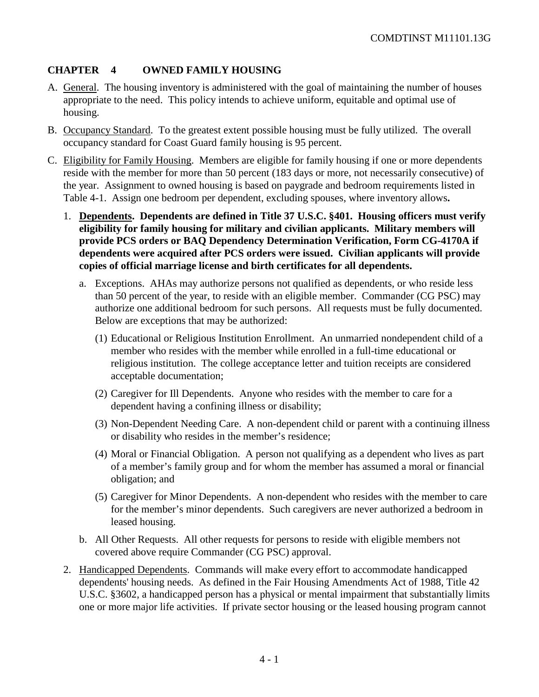#### **CHAPTER 4 OWNED FAMILY HOUSING**

- A. General. The housing inventory is administered with the goal of maintaining the number of houses appropriate to the need. This policy intends to achieve uniform, equitable and optimal use of housing.
- B. Occupancy Standard. To the greatest extent possible housing must be fully utilized. The overall occupancy standard for Coast Guard family housing is 95 percent.
- C. Eligibility for Family Housing. Members are eligible for family housing if one or more dependents reside with the member for more than 50 percent (183 days or more, not necessarily consecutive) of the year. Assignment to owned housing is based on paygrade and bedroom requirements listed in Table 4-1. Assign one bedroom per dependent, excluding spouses, where inventory allows**.**
	- 1. **Dependents. Dependents are defined in Title 37 U.S.C. §401. Housing officers must verify eligibility for family housing for military and civilian applicants. Military members will provide PCS orders or BAQ Dependency Determination Verification, Form CG-4170A if dependents were acquired after PCS orders were issued. Civilian applicants will provide copies of official marriage license and birth certificates for all dependents.** 
		- a. Exceptions. AHAs may authorize persons not qualified as dependents, or who reside less than 50 percent of the year, to reside with an eligible member. Commander (CG PSC) may authorize one additional bedroom for such persons. All requests must be fully documented. Below are exceptions that may be authorized:
			- (1) Educational or Religious Institution Enrollment. An unmarried nondependent child of a member who resides with the member while enrolled in a full-time educational or religious institution. The college acceptance letter and tuition receipts are considered acceptable documentation;
			- (2) Caregiver for Ill Dependents. Anyone who resides with the member to care for a dependent having a confining illness or disability;
			- (3) Non-Dependent Needing Care. A non-dependent child or parent with a continuing illness or disability who resides in the member's residence;
			- (4) Moral or Financial Obligation. A person not qualifying as a dependent who lives as part of a member's family group and for whom the member has assumed a moral or financial obligation; and
			- (5) Caregiver for Minor Dependents. A non-dependent who resides with the member to care for the member's minor dependents. Such caregivers are never authorized a bedroom in leased housing.
		- b. All Other Requests. All other requests for persons to reside with eligible members not covered above require Commander (CG PSC) approval.
	- 2. Handicapped Dependents. Commands will make every effort to accommodate handicapped dependents' housing needs. As defined in the Fair Housing Amendments Act of 1988, Title 42 U.S.C. §3602, a handicapped person has a physical or mental impairment that substantially limits one or more major life activities. If private sector housing or the leased housing program cannot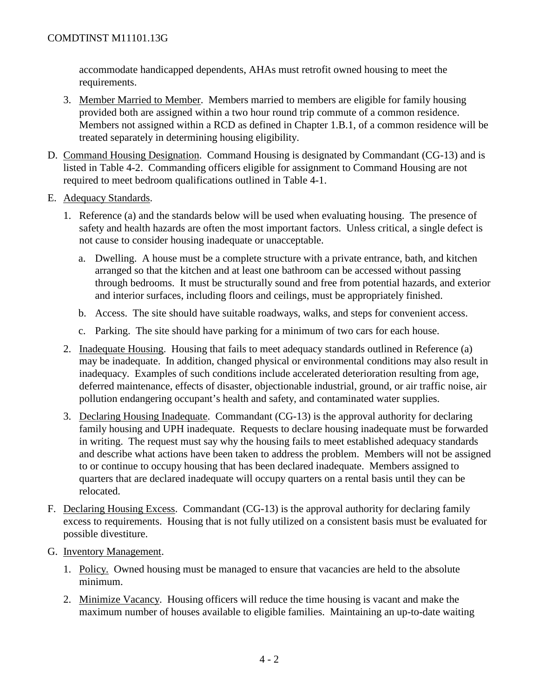accommodate handicapped dependents, AHAs must retrofit owned housing to meet the requirements.

- 3. Member Married to Member. Members married to members are eligible for family housing provided both are assigned within a two hour round trip commute of a common residence. Members not assigned within a RCD as defined in Chapter 1.B.1, of a common residence will be treated separately in determining housing eligibility.
- D. Command Housing Designation. Command Housing is designated by Commandant (CG-13) and is listed in Table 4-2. Commanding officers eligible for assignment to Command Housing are not required to meet bedroom qualifications outlined in Table 4-1.
- E. Adequacy Standards.
	- 1. Reference (a) and the standards below will be used when evaluating housing. The presence of safety and health hazards are often the most important factors. Unless critical, a single defect is not cause to consider housing inadequate or unacceptable.
		- a. Dwelling. A house must be a complete structure with a private entrance, bath, and kitchen arranged so that the kitchen and at least one bathroom can be accessed without passing through bedrooms. It must be structurally sound and free from potential hazards, and exterior and interior surfaces, including floors and ceilings, must be appropriately finished.
		- b. Access. The site should have suitable roadways, walks, and steps for convenient access.
		- c. Parking. The site should have parking for a minimum of two cars for each house.
	- 2. Inadequate Housing. Housing that fails to meet adequacy standards outlined in Reference (a) may be inadequate. In addition, changed physical or environmental conditions may also result in inadequacy. Examples of such conditions include accelerated deterioration resulting from age, deferred maintenance, effects of disaster, objectionable industrial, ground, or air traffic noise, air pollution endangering occupant's health and safety, and contaminated water supplies.
	- 3. Declaring Housing Inadequate. Commandant (CG-13) is the approval authority for declaring family housing and UPH inadequate. Requests to declare housing inadequate must be forwarded in writing. The request must say why the housing fails to meet established adequacy standards and describe what actions have been taken to address the problem. Members will not be assigned to or continue to occupy housing that has been declared inadequate. Members assigned to quarters that are declared inadequate will occupy quarters on a rental basis until they can be relocated.
- F. Declaring Housing Excess. Commandant (CG-13) is the approval authority for declaring family excess to requirements. Housing that is not fully utilized on a consistent basis must be evaluated for possible divestiture.
- G. Inventory Management.
	- 1. Policy. Owned housing must be managed to ensure that vacancies are held to the absolute minimum.
	- 2. Minimize Vacancy. Housing officers will reduce the time housing is vacant and make the maximum number of houses available to eligible families. Maintaining an up-to-date waiting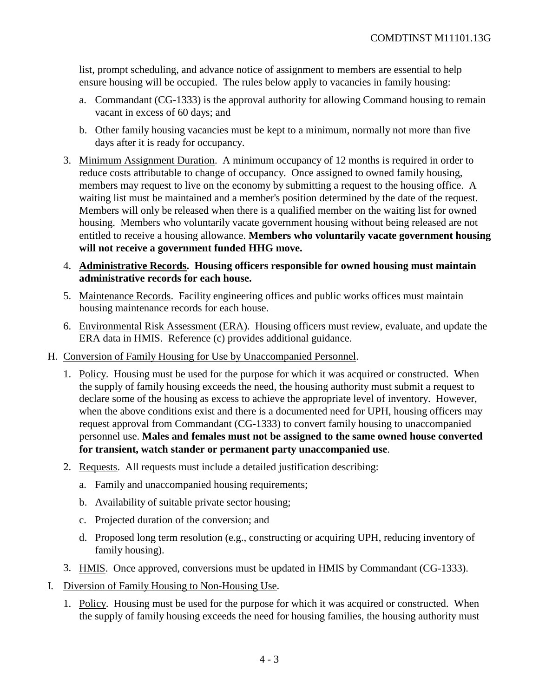list, prompt scheduling, and advance notice of assignment to members are essential to help ensure housing will be occupied. The rules below apply to vacancies in family housing:

- a. Commandant (CG-1333) is the approval authority for allowing Command housing to remain vacant in excess of 60 days; and
- b. Other family housing vacancies must be kept to a minimum, normally not more than five days after it is ready for occupancy.
- 3. Minimum Assignment Duration. A minimum occupancy of 12 months is required in order to reduce costs attributable to change of occupancy. Once assigned to owned family housing, members may request to live on the economy by submitting a request to the housing office. A waiting list must be maintained and a member's position determined by the date of the request. Members will only be released when there is a qualified member on the waiting list for owned housing. Members who voluntarily vacate government housing without being released are not entitled to receive a housing allowance. **Members who voluntarily vacate government housing will not receive a government funded HHG move.**
- 4. **Administrative Records. Housing officers responsible for owned housing must maintain administrative records for each house.**
- 5. Maintenance Records. Facility engineering offices and public works offices must maintain housing maintenance records for each house.
- 6. Environmental Risk Assessment (ERA). Housing officers must review, evaluate, and update the ERA data in HMIS. Reference (c) provides additional guidance.
- H. Conversion of Family Housing for Use by Unaccompanied Personnel.
	- 1. Policy. Housing must be used for the purpose for which it was acquired or constructed. When the supply of family housing exceeds the need, the housing authority must submit a request to declare some of the housing as excess to achieve the appropriate level of inventory. However, when the above conditions exist and there is a documented need for UPH, housing officers may request approval from Commandant (CG-1333) to convert family housing to unaccompanied personnel use. **Males and females must not be assigned to the same owned house converted for transient, watch stander or permanent party unaccompanied use**.
	- 2. Requests. All requests must include a detailed justification describing:
		- a. Family and unaccompanied housing requirements;
		- b. Availability of suitable private sector housing;
		- c. Projected duration of the conversion; and
		- d. Proposed long term resolution (e.g., constructing or acquiring UPH, reducing inventory of family housing).
	- 3. HMIS. Once approved, conversions must be updated in HMIS by Commandant (CG-1333).
- I. Diversion of Family Housing to Non-Housing Use.
	- 1. Policy. Housing must be used for the purpose for which it was acquired or constructed. When the supply of family housing exceeds the need for housing families, the housing authority must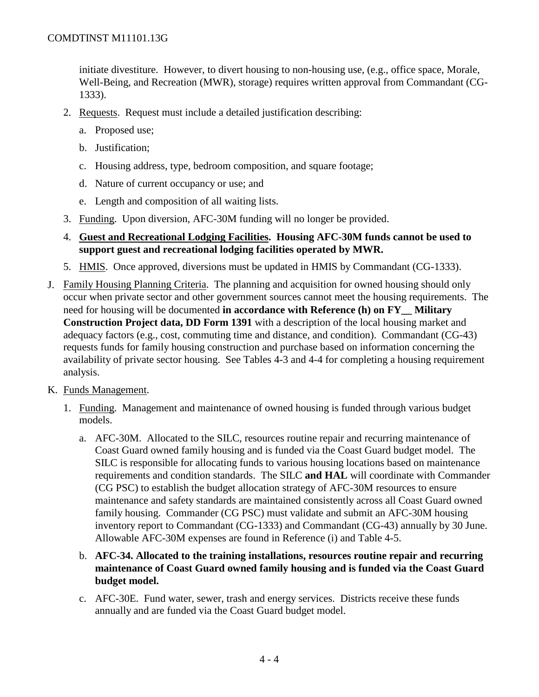initiate divestiture. However, to divert housing to non-housing use, (e.g., office space, Morale, Well-Being, and Recreation (MWR), storage) requires written approval from Commandant (CG-1333).

- 2. Requests. Request must include a detailed justification describing:
	- a. Proposed use;
	- b. Justification;
	- c. Housing address, type, bedroom composition, and square footage;
	- d. Nature of current occupancy or use; and
	- e. Length and composition of all waiting lists.
- 3. Funding. Upon diversion, AFC-30M funding will no longer be provided.
- 4. **Guest and Recreational Lodging Facilities. Housing AFC-30M funds cannot be used to support guest and recreational lodging facilities operated by MWR.**
- 5. HMIS. Once approved, diversions must be updated in HMIS by Commandant (CG-1333).
- J. Family Housing Planning Criteria. The planning and acquisition for owned housing should only occur when private sector and other government sources cannot meet the housing requirements. The need for housing will be documented **in accordance with Reference (h) on FY\_\_ Military Construction Project data, DD Form 1391** with a description of the local housing market and adequacy factors (e.g., cost, commuting time and distance, and condition). Commandant (CG-43) requests funds for family housing construction and purchase based on information concerning the availability of private sector housing. See Tables 4-3 and 4-4 for completing a housing requirement analysis.
- K. Funds Management.
	- 1. Funding. Management and maintenance of owned housing is funded through various budget models.
		- a. AFC-30M. Allocated to the SILC, resources routine repair and recurring maintenance of Coast Guard owned family housing and is funded via the Coast Guard budget model. The SILC is responsible for allocating funds to various housing locations based on maintenance requirements and condition standards. The SILC **and HAL** will coordinate with Commander (CG PSC) to establish the budget allocation strategy of AFC-30M resources to ensure maintenance and safety standards are maintained consistently across all Coast Guard owned family housing. Commander (CG PSC) must validate and submit an AFC-30M housing inventory report to Commandant (CG-1333) and Commandant (CG-43) annually by 30 June. Allowable AFC-30M expenses are found in Reference (i) and Table 4-5.
		- b. **AFC-34. Allocated to the training installations, resources routine repair and recurring maintenance of Coast Guard owned family housing and is funded via the Coast Guard budget model.**
		- c. AFC-30E. Fund water, sewer, trash and energy services. Districts receive these funds annually and are funded via the Coast Guard budget model.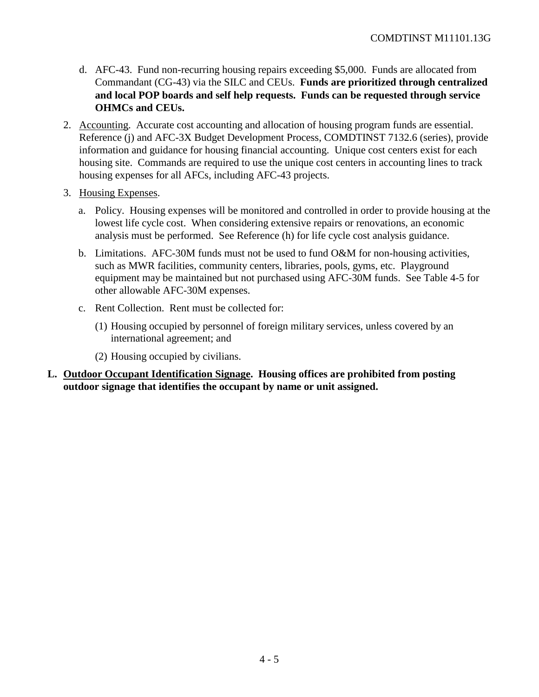- d. AFC-43. Fund non-recurring housing repairs exceeding \$5,000. Funds are allocated from Commandant (CG-43) via the SILC and CEUs. **Funds are prioritized through centralized and local POP boards and self help requests. Funds can be requested through service OHMCs and CEUs.**
- 2. Accounting. Accurate cost accounting and allocation of housing program funds are essential. Reference (j) and AFC-3X Budget Development Process, COMDTINST 7132.6 (series), provide information and guidance for housing financial accounting. Unique cost centers exist for each housing site. Commands are required to use the unique cost centers in accounting lines to track housing expenses for all AFCs, including AFC-43 projects.
- 3. Housing Expenses.
	- a. Policy. Housing expenses will be monitored and controlled in order to provide housing at the lowest life cycle cost. When considering extensive repairs or renovations, an economic analysis must be performed. See Reference (h) for life cycle cost analysis guidance.
	- b. Limitations. AFC-30M funds must not be used to fund O&M for non-housing activities, such as MWR facilities, community centers, libraries, pools, gyms, etc. Playground equipment may be maintained but not purchased using AFC-30M funds. See Table 4-5 for other allowable AFC-30M expenses.
	- c. Rent Collection. Rent must be collected for:
		- (1) Housing occupied by personnel of foreign military services, unless covered by an international agreement; and
		- (2) Housing occupied by civilians.
- **L. Outdoor Occupant Identification Signage. Housing offices are prohibited from posting outdoor signage that identifies the occupant by name or unit assigned.**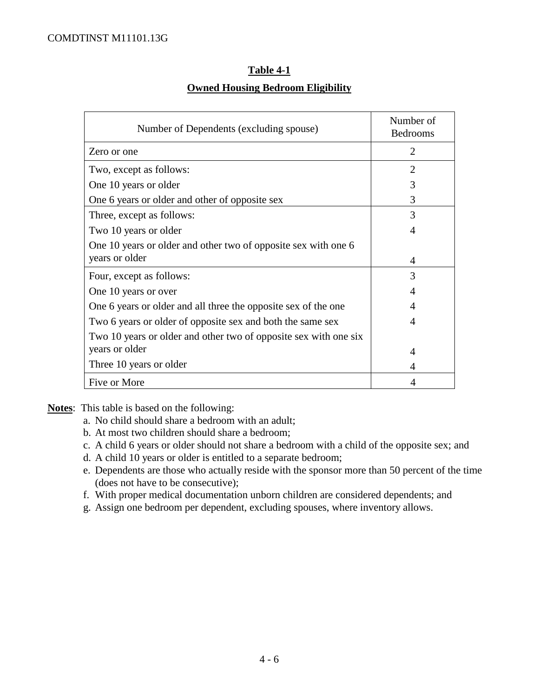| Number of Dependents (excluding spouse)                          | Number of<br><b>Bedrooms</b> |
|------------------------------------------------------------------|------------------------------|
| Zero or one                                                      | 2                            |
| Two, except as follows:                                          | $\overline{2}$               |
| One 10 years or older                                            | 3                            |
| One 6 years or older and other of opposite sex                   | 3                            |
| Three, except as follows:                                        | 3                            |
| Two 10 years or older                                            | 4                            |
| One 10 years or older and other two of opposite sex with one 6   |                              |
| years or older                                                   | 4                            |
| Four, except as follows:                                         | 3                            |
| One 10 years or over                                             | 4                            |
| One 6 years or older and all three the opposite sex of the one   | 4                            |
| Two 6 years or older of opposite sex and both the same sex       | 4                            |
| Two 10 years or older and other two of opposite sex with one six |                              |
| years or older                                                   | 4                            |
| Three 10 years or older                                          | 4                            |
| Five or More                                                     | 4                            |

## **Owned Housing Bedroom Eligibility**

**Notes**: This table is based on the following:

- a. No child should share a bedroom with an adult;
- b. At most two children should share a bedroom;
- c. A child 6 years or older should not share a bedroom with a child of the opposite sex; and
- d. A child 10 years or older is entitled to a separate bedroom;
- e. Dependents are those who actually reside with the sponsor more than 50 percent of the time (does not have to be consecutive);
- f. With proper medical documentation unborn children are considered dependents; and
- g. Assign one bedroom per dependent, excluding spouses, where inventory allows.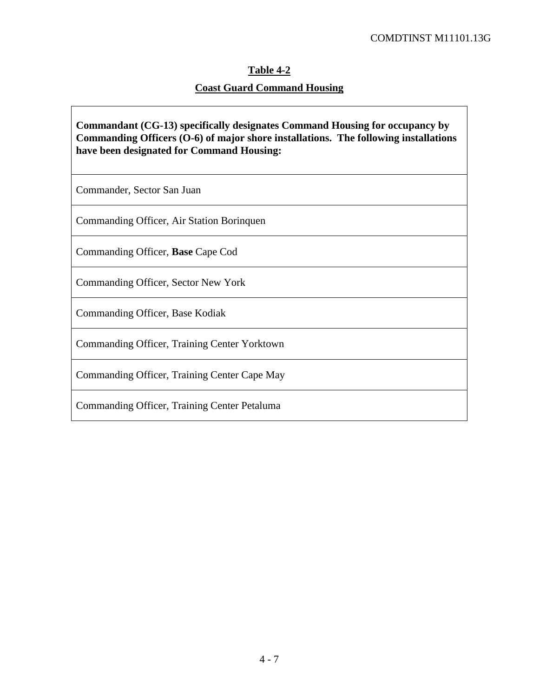#### **Coast Guard Command Housing**

#### **Commandant (CG-13) specifically designates Command Housing for occupancy by Commanding Officers (O-6) of major shore installations. The following installations have been designated for Command Housing:**

Commander, Sector San Juan

Commanding Officer, Air Station Borinquen

Commanding Officer, **Base** Cape Cod

Commanding Officer, Sector New York

Commanding Officer, Base Kodiak

Commanding Officer, Training Center Yorktown

Commanding Officer, Training Center Cape May

Commanding Officer, Training Center Petaluma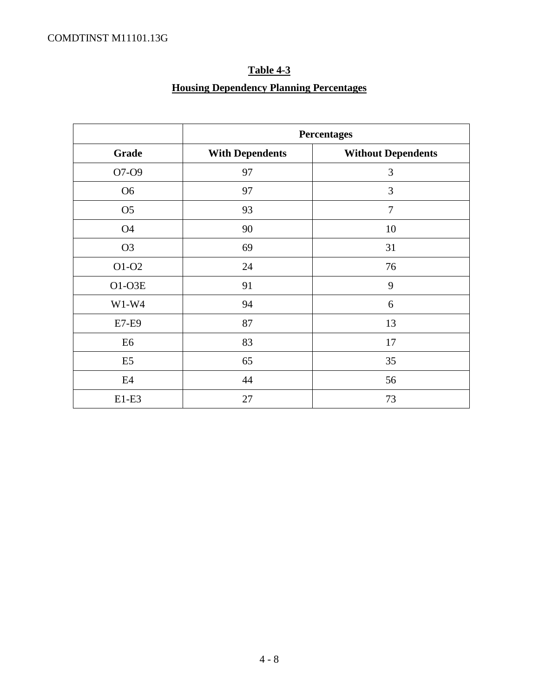## **Housing Dependency Planning Percentages**

|                | <b>Percentages</b>     |                           |
|----------------|------------------------|---------------------------|
| Grade          | <b>With Dependents</b> | <b>Without Dependents</b> |
| O7-O9          | 97                     | 3                         |
| O <sub>6</sub> | 97                     | 3                         |
| O <sub>5</sub> | 93                     | $\overline{7}$            |
| <b>O4</b>      | 90                     | 10                        |
| O <sub>3</sub> | 69                     | 31                        |
| O1-O2          | 24                     | 76                        |
| $O1-O3E$       | 91                     | 9                         |
| $W1-W4$        | 94                     | 6                         |
| E7-E9          | 87                     | 13                        |
| E <sub>6</sub> | 83                     | 17                        |
| E <sub>5</sub> | 65                     | 35                        |
| E4             | 44                     | 56                        |
| $E1-E3$        | 27                     | 73                        |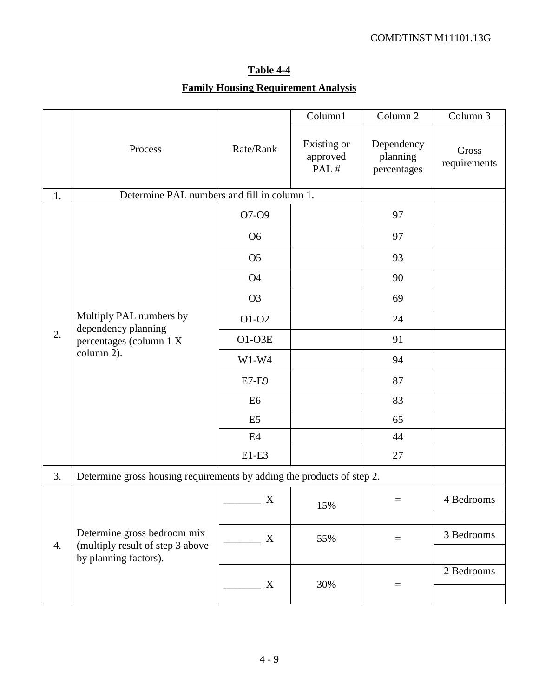| Table 4-4                                  |
|--------------------------------------------|
| <b>Family Housing Requirement Analysis</b> |

|                  |                                                                                          |                  | Column1                         | Column <sub>2</sub>                   | Column 3              |
|------------------|------------------------------------------------------------------------------------------|------------------|---------------------------------|---------------------------------------|-----------------------|
|                  | Process                                                                                  | Rate/Rank        | Existing or<br>approved<br>PAL# | Dependency<br>planning<br>percentages | Gross<br>requirements |
| 1.               | Determine PAL numbers and fill in column 1.                                              |                  |                                 |                                       |                       |
|                  |                                                                                          | O7-O9            |                                 | 97                                    |                       |
|                  |                                                                                          | O <sub>6</sub>   |                                 | 97                                    |                       |
|                  |                                                                                          | O <sub>5</sub>   |                                 | 93                                    |                       |
|                  | Multiply PAL numbers by<br>dependency planning<br>percentages (column 1 X<br>column 2).  | <b>O4</b>        |                                 | 90                                    |                       |
|                  |                                                                                          | O <sub>3</sub>   |                                 | 69                                    |                       |
|                  |                                                                                          | O1-O2            |                                 | 24                                    |                       |
| 2.               |                                                                                          | <b>O1-O3E</b>    |                                 | 91                                    |                       |
|                  |                                                                                          | $W1-W4$          |                                 | 94                                    |                       |
|                  |                                                                                          | <b>E7-E9</b>     |                                 | 87                                    |                       |
|                  |                                                                                          | E <sub>6</sub>   |                                 | 83                                    |                       |
|                  |                                                                                          | E <sub>5</sub>   |                                 | 65                                    |                       |
|                  |                                                                                          | E4               |                                 | 44                                    |                       |
|                  |                                                                                          | $E1-E3$          |                                 | 27                                    |                       |
| 3.               | Determine gross housing requirements by adding the products of step 2.                   |                  |                                 |                                       |                       |
|                  | Determine gross bedroom mix<br>(multiply result of step 3 above<br>by planning factors). | $\boldsymbol{X}$ | 15%                             | $=$                                   | 4 Bedrooms            |
| $\overline{4}$ . |                                                                                          | X                | 55%                             | $\equiv$                              | 3 Bedrooms            |
|                  |                                                                                          | X                | 30%                             | $\equiv$                              | 2 Bedrooms            |
|                  |                                                                                          |                  |                                 |                                       |                       |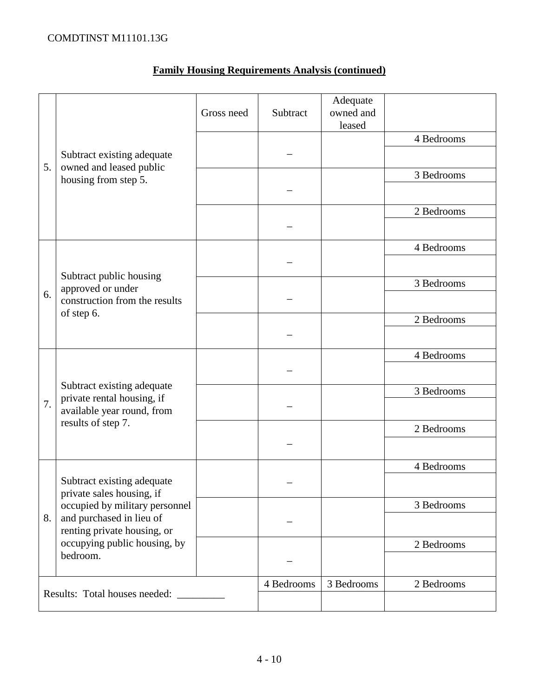|                               |                                                                                                                                                                                      | Gross need | Subtract   | Adequate<br>owned and<br>leased |            |
|-------------------------------|--------------------------------------------------------------------------------------------------------------------------------------------------------------------------------------|------------|------------|---------------------------------|------------|
|                               |                                                                                                                                                                                      |            |            |                                 | 4 Bedrooms |
| 5.                            | Subtract existing adequate<br>owned and leased public                                                                                                                                |            |            |                                 |            |
|                               | housing from step 5.                                                                                                                                                                 |            |            |                                 | 3 Bedrooms |
|                               |                                                                                                                                                                                      |            |            |                                 |            |
|                               |                                                                                                                                                                                      |            |            |                                 | 2 Bedrooms |
|                               |                                                                                                                                                                                      |            |            |                                 |            |
|                               |                                                                                                                                                                                      |            |            |                                 | 4 Bedrooms |
|                               |                                                                                                                                                                                      |            |            |                                 |            |
|                               | Subtract public housing<br>approved or under                                                                                                                                         |            |            |                                 | 3 Bedrooms |
| 6.                            | construction from the results                                                                                                                                                        |            |            |                                 |            |
|                               | of step 6.                                                                                                                                                                           |            |            |                                 | 2 Bedrooms |
|                               |                                                                                                                                                                                      |            |            |                                 |            |
|                               |                                                                                                                                                                                      |            |            |                                 | 4 Bedrooms |
|                               |                                                                                                                                                                                      |            |            |                                 |            |
|                               | Subtract existing adequate<br>private rental housing, if                                                                                                                             |            |            |                                 | 3 Bedrooms |
| 7.                            | available year round, from<br>results of step 7.                                                                                                                                     |            |            |                                 |            |
|                               |                                                                                                                                                                                      |            |            |                                 | 2 Bedrooms |
|                               |                                                                                                                                                                                      |            |            |                                 |            |
|                               |                                                                                                                                                                                      |            |            |                                 | 4 Bedrooms |
|                               | Subtract existing adequate<br>private sales housing, if<br>occupied by military personnel<br>and purchased in lieu of<br>renting private housing, or<br>occupying public housing, by |            |            |                                 |            |
|                               |                                                                                                                                                                                      |            |            |                                 | 3 Bedrooms |
| 8.                            |                                                                                                                                                                                      |            |            |                                 |            |
|                               |                                                                                                                                                                                      |            |            |                                 | 2 Bedrooms |
|                               | bedroom.                                                                                                                                                                             |            |            |                                 |            |
|                               |                                                                                                                                                                                      | 4 Bedrooms | 3 Bedrooms | 2 Bedrooms                      |            |
| Results: Total houses needed: |                                                                                                                                                                                      |            |            |                                 |            |

## **Family Housing Requirements Analysis (continued)**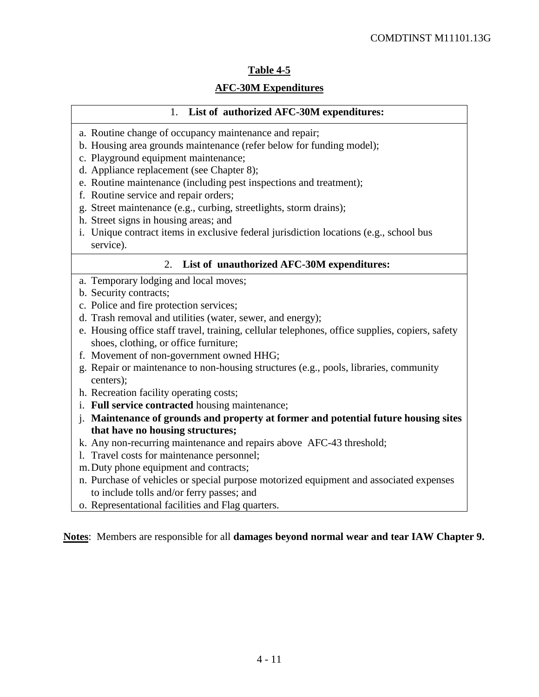#### **AFC-30M Expenditures**

#### 1. **List of authorized AFC-30M expenditures:**

- a. Routine change of occupancy maintenance and repair;
- b. Housing area grounds maintenance (refer below for funding model);
- c. Playground equipment maintenance;
- d. Appliance replacement (see Chapter 8);
- e. Routine maintenance (including pest inspections and treatment);
- f. Routine service and repair orders;
- g. Street maintenance (e.g., curbing, streetlights, storm drains);
- h. Street signs in housing areas; and
- i. Unique contract items in exclusive federal jurisdiction locations (e.g., school bus service).

#### 2. **List of unauthorized AFC-30M expenditures:**

- a. Temporary lodging and local moves;
- b. Security contracts;
- c. Police and fire protection services;
- d. Trash removal and utilities (water, sewer, and energy);
- e. Housing office staff travel, training, cellular telephones, office supplies, copiers, safety shoes, clothing, or office furniture;
- f. Movement of non-government owned HHG;
- g. Repair or maintenance to non-housing structures (e.g., pools, libraries, community centers);
- h. Recreation facility operating costs;
- i. **Full service contracted** housing maintenance;
- j. **Maintenance of grounds and property at former and potential future housing sites that have no housing structures;**
- k. Any non-recurring maintenance and repairs above AFC-43 threshold;
- l. Travel costs for maintenance personnel;
- m.Duty phone equipment and contracts;
- n. Purchase of vehicles or special purpose motorized equipment and associated expenses to include tolls and/or ferry passes; and
- o. Representational facilities and Flag quarters.

**Notes**: Members are responsible for all **damages beyond normal wear and tear IAW Chapter 9.**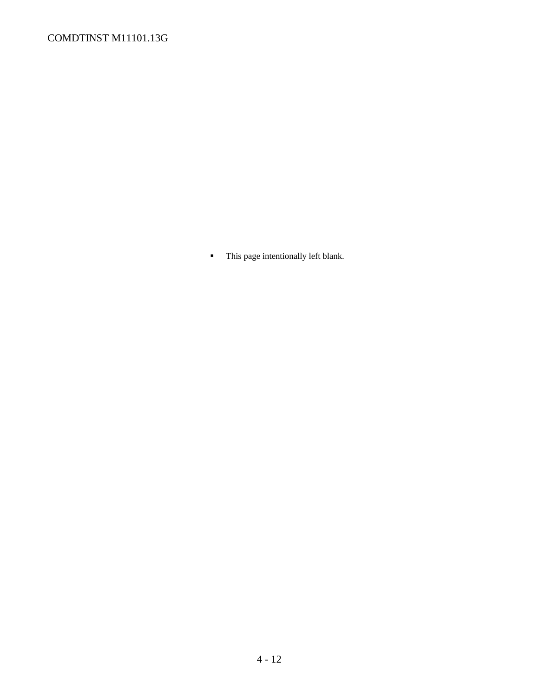• This page intentionally left blank.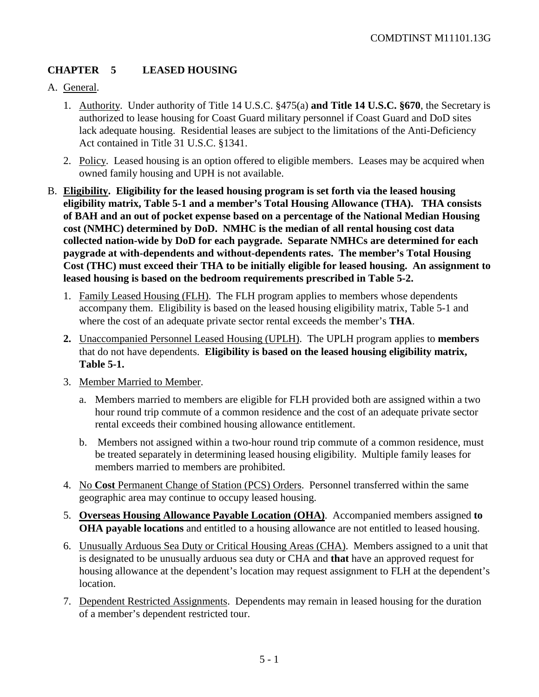## **CHAPTER 5 LEASED HOUSING**

- A. General.
	- 1. Authority. Under authority of Title 14 U.S.C. §475(a) **and Title 14 U.S.C. §670**, the Secretary is authorized to lease housing for Coast Guard military personnel if Coast Guard and DoD sites lack adequate housing. Residential leases are subject to the limitations of the Anti-Deficiency Act contained in Title 31 U.S.C. §1341.
	- 2. Policy. Leased housing is an option offered to eligible members. Leases may be acquired when owned family housing and UPH is not available.
- B. **Eligibility. Eligibility for the leased housing program is set forth via the leased housing eligibility matrix, Table 5-1 and a member's Total Housing Allowance (THA). THA consists of BAH and an out of pocket expense based on a percentage of the National Median Housing cost (NMHC) determined by DoD. NMHC is the median of all rental housing cost data collected nation-wide by DoD for each paygrade. Separate NMHCs are determined for each paygrade at with-dependents and without-dependents rates. The member's Total Housing Cost (THC) must exceed their THA to be initially eligible for leased housing. An assignment to leased housing is based on the bedroom requirements prescribed in Table 5-2.**
	- 1. Family Leased Housing (FLH). The FLH program applies to members whose dependents accompany them. Eligibility is based on the leased housing eligibility matrix, Table 5-1 and where the cost of an adequate private sector rental exceeds the member's **THA**.
	- **2.** Unaccompanied Personnel Leased Housing (UPLH). The UPLH program applies to **members**  that do not have dependents. **Eligibility is based on the leased housing eligibility matrix, Table 5-1.**
	- 3. Member Married to Member.
		- a. Members married to members are eligible for FLH provided both are assigned within a two hour round trip commute of a common residence and the cost of an adequate private sector rental exceeds their combined housing allowance entitlement.
		- b. Members not assigned within a two-hour round trip commute of a common residence, must be treated separately in determining leased housing eligibility. Multiple family leases for members married to members are prohibited.
	- 4. No **Cost** Permanent Change of Station (PCS) Orders. Personnel transferred within the same geographic area may continue to occupy leased housing.
	- 5. **Overseas Housing Allowance Payable Location (OHA)**. Accompanied members assigned **to OHA payable locations** and entitled to a housing allowance are not entitled to leased housing.
	- 6. Unusually Arduous Sea Duty or Critical Housing Areas (CHA). Members assigned to a unit that is designated to be unusually arduous sea duty or CHA and **that** have an approved request for housing allowance at the dependent's location may request assignment to FLH at the dependent's location.
	- 7. Dependent Restricted Assignments. Dependents may remain in leased housing for the duration of a member's dependent restricted tour.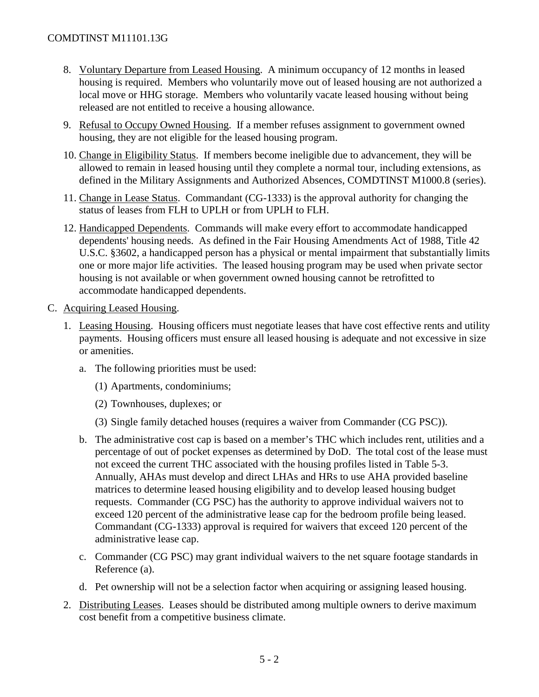- 8. Voluntary Departure from Leased Housing. A minimum occupancy of 12 months in leased housing is required. Members who voluntarily move out of leased housing are not authorized a local move or HHG storage. Members who voluntarily vacate leased housing without being released are not entitled to receive a housing allowance.
- 9. Refusal to Occupy Owned Housing. If a member refuses assignment to government owned housing, they are not eligible for the leased housing program.
- 10. Change in Eligibility Status. If members become ineligible due to advancement, they will be allowed to remain in leased housing until they complete a normal tour, including extensions, as defined in the Military Assignments and Authorized Absences, COMDTINST M1000.8 (series).
- 11. Change in Lease Status. Commandant (CG-1333) is the approval authority for changing the status of leases from FLH to UPLH or from UPLH to FLH.
- 12. Handicapped Dependents. Commands will make every effort to accommodate handicapped dependents' housing needs. As defined in the Fair Housing Amendments Act of 1988, Title 42 U.S.C. §3602, a handicapped person has a physical or mental impairment that substantially limits one or more major life activities. The leased housing program may be used when private sector housing is not available or when government owned housing cannot be retrofitted to accommodate handicapped dependents.
- C. Acquiring Leased Housing.
	- 1. Leasing Housing. Housing officers must negotiate leases that have cost effective rents and utility payments. Housing officers must ensure all leased housing is adequate and not excessive in size or amenities.
		- a. The following priorities must be used:
			- (1) Apartments, condominiums;
			- (2) Townhouses, duplexes; or
			- (3) Single family detached houses (requires a waiver from Commander (CG PSC)).
		- b. The administrative cost cap is based on a member's THC which includes rent, utilities and a percentage of out of pocket expenses as determined by DoD. The total cost of the lease must not exceed the current THC associated with the housing profiles listed in Table 5-3. Annually, AHAs must develop and direct LHAs and HRs to use AHA provided baseline matrices to determine leased housing eligibility and to develop leased housing budget requests. Commander (CG PSC) has the authority to approve individual waivers not to exceed 120 percent of the administrative lease cap for the bedroom profile being leased. Commandant (CG-1333) approval is required for waivers that exceed 120 percent of the administrative lease cap.
		- c. Commander (CG PSC) may grant individual waivers to the net square footage standards in Reference (a).
		- d. Pet ownership will not be a selection factor when acquiring or assigning leased housing.
	- 2. Distributing Leases. Leases should be distributed among multiple owners to derive maximum cost benefit from a competitive business climate.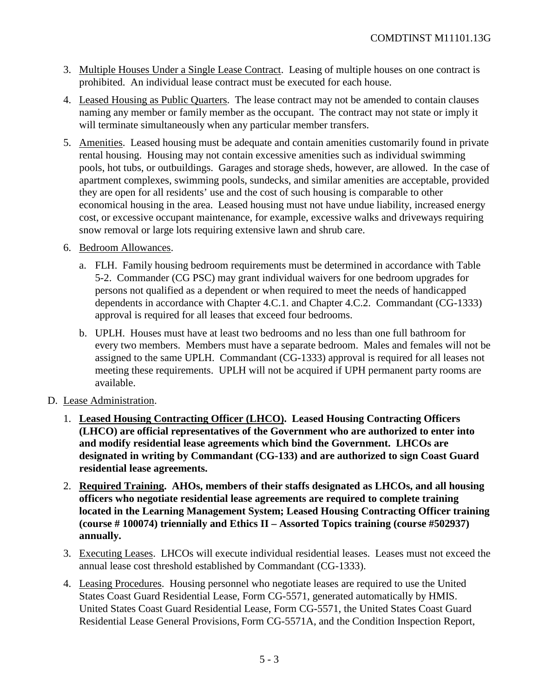- 3. Multiple Houses Under a Single Lease Contract. Leasing of multiple houses on one contract is prohibited. An individual lease contract must be executed for each house.
- 4. Leased Housing as Public Quarters. The lease contract may not be amended to contain clauses naming any member or family member as the occupant. The contract may not state or imply it will terminate simultaneously when any particular member transfers.
- 5. Amenities. Leased housing must be adequate and contain amenities customarily found in private rental housing. Housing may not contain excessive amenities such as individual swimming pools, hot tubs, or outbuildings. Garages and storage sheds, however, are allowed. In the case of apartment complexes, swimming pools, sundecks, and similar amenities are acceptable, provided they are open for all residents' use and the cost of such housing is comparable to other economical housing in the area. Leased housing must not have undue liability, increased energy cost, or excessive occupant maintenance, for example, excessive walks and driveways requiring snow removal or large lots requiring extensive lawn and shrub care.
- 6. Bedroom Allowances.
	- a. FLH. Family housing bedroom requirements must be determined in accordance with Table 5-2. Commander (CG PSC) may grant individual waivers for one bedroom upgrades for persons not qualified as a dependent or when required to meet the needs of handicapped dependents in accordance with Chapter 4.C.1. and Chapter 4.C.2. Commandant (CG-1333) approval is required for all leases that exceed four bedrooms.
	- b. UPLH. Houses must have at least two bedrooms and no less than one full bathroom for every two members. Members must have a separate bedroom. Males and females will not be assigned to the same UPLH. Commandant (CG-1333) approval is required for all leases not meeting these requirements. UPLH will not be acquired if UPH permanent party rooms are available.
- D. Lease Administration.
	- 1. **Leased Housing Contracting Officer (LHCO). Leased Housing Contracting Officers (LHCO) are official representatives of the Government who are authorized to enter into and modify residential lease agreements which bind the Government. LHCOs are designated in writing by Commandant (CG-133) and are authorized to sign Coast Guard residential lease agreements.**
	- 2. **Required Training. AHOs, members of their staffs designated as LHCOs, and all housing officers who negotiate residential lease agreements are required to complete training located in the Learning Management System; Leased Housing Contracting Officer training (course # 100074) triennially and Ethics II – Assorted Topics training (course #502937) annually.**
	- 3. Executing Leases. LHCOs will execute individual residential leases. Leases must not exceed the annual lease cost threshold established by Commandant (CG-1333).
	- 4. Leasing Procedures. Housing personnel who negotiate leases are required to use the United States Coast Guard Residential Lease, Form CG-5571, generated automatically by HMIS. United States Coast Guard Residential Lease, Form CG-5571, the United States Coast Guard Residential Lease General Provisions, Form CG-5571A, and the Condition Inspection Report,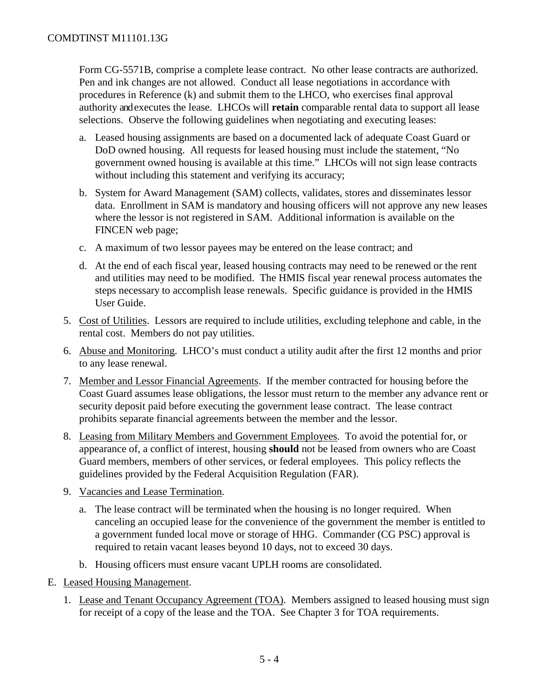Form CG-5571B, comprise a complete lease contract. No other lease contracts are authorized. Pen and ink changes are not allowed. Conduct all lease negotiations in accordance with procedures in Reference (k) and submit them to the LHCO, who exercises final approval authority and executes the lease. LHCOs will **retain** comparable rental data to support all lease selections. Observe the following guidelines when negotiating and executing leases:

- a. Leased housing assignments are based on a documented lack of adequate Coast Guard or DoD owned housing. All requests for leased housing must include the statement, "No government owned housing is available at this time." LHCOs will not sign lease contracts without including this statement and verifying its accuracy;
- b. System for Award Management (SAM) collects, validates, stores and disseminates lessor data. Enrollment in SAM is mandatory and housing officers will not approve any new leases where the lessor is not registered in SAM. Additional information is available on the FINCEN web page;
- c. A maximum of two lessor payees may be entered on the lease contract; and
- d. At the end of each fiscal year, leased housing contracts may need to be renewed or the rent and utilities may need to be modified. The HMIS fiscal year renewal process automates the steps necessary to accomplish lease renewals. Specific guidance is provided in the HMIS User Guide.
- 5. Cost of Utilities. Lessors are required to include utilities, excluding telephone and cable, in the rental cost. Members do not pay utilities.
- 6. Abuse and Monitoring. LHCO's must conduct a utility audit after the first 12 months and prior to any lease renewal.
- 7. Member and Lessor Financial Agreements. If the member contracted for housing before the Coast Guard assumes lease obligations, the lessor must return to the member any advance rent or security deposit paid before executing the government lease contract. The lease contract prohibits separate financial agreements between the member and the lessor.
- 8. Leasing from Military Members and Government Employees. To avoid the potential for, or appearance of, a conflict of interest, housing **should** not be leased from owners who are Coast Guard members, members of other services, or federal employees. This policy reflects the guidelines provided by the Federal Acquisition Regulation (FAR).
- 9. Vacancies and Lease Termination.
	- a. The lease contract will be terminated when the housing is no longer required. When canceling an occupied lease for the convenience of the government the member is entitled to a government funded local move or storage of HHG. Commander (CG PSC) approval is required to retain vacant leases beyond 10 days, not to exceed 30 days.
	- b. Housing officers must ensure vacant UPLH rooms are consolidated.
- E. Leased Housing Management.
	- 1. Lease and Tenant Occupancy Agreement (TOA). Members assigned to leased housing must sign for receipt of a copy of the lease and the TOA. See Chapter 3 for TOA requirements.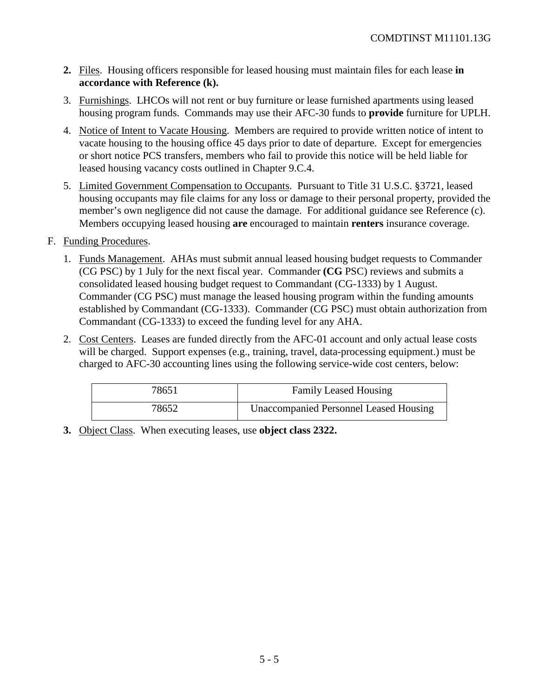- **2.** Files. Housing officers responsible for leased housing must maintain files for each lease **in accordance with Reference (k).**
- 3. Furnishings. LHCOs will not rent or buy furniture or lease furnished apartments using leased housing program funds. Commands may use their AFC-30 funds to **provide** furniture for UPLH.
- 4. Notice of Intent to Vacate Housing. Members are required to provide written notice of intent to vacate housing to the housing office 45 days prior to date of departure. Except for emergencies or short notice PCS transfers, members who fail to provide this notice will be held liable for leased housing vacancy costs outlined in Chapter 9.C.4.
- 5. Limited Government Compensation to Occupants. Pursuant to Title 31 U.S.C. §3721, leased housing occupants may file claims for any loss or damage to their personal property, provided the member's own negligence did not cause the damage. For additional guidance see Reference (c). Members occupying leased housing **are** encouraged to maintain **renters** insurance coverage.
- F. Funding Procedures.
	- 1. Funds Management. AHAs must submit annual leased housing budget requests to Commander (CG PSC) by 1 July for the next fiscal year. Commander **(CG** PSC) reviews and submits a consolidated leased housing budget request to Commandant (CG-1333) by 1 August. Commander (CG PSC) must manage the leased housing program within the funding amounts established by Commandant (CG-1333). Commander (CG PSC) must obtain authorization from Commandant (CG-1333) to exceed the funding level for any AHA.
	- 2. Cost Centers. Leases are funded directly from the AFC-01 account and only actual lease costs will be charged. Support expenses (e.g., training, travel, data-processing equipment.) must be charged to AFC-30 accounting lines using the following service-wide cost centers, below:

| 78651 | <b>Family Leased Housing</b>                  |
|-------|-----------------------------------------------|
| 78652 | <b>Unaccompanied Personnel Leased Housing</b> |

**3.** Object Class. When executing leases, use **object class 2322.**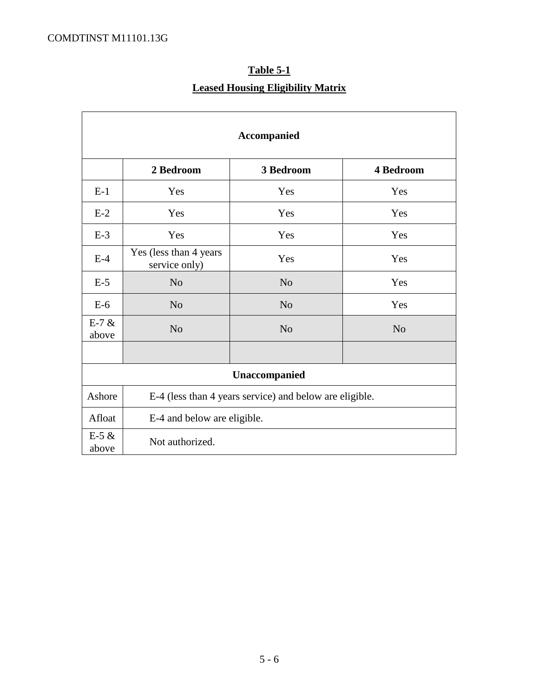| Accompanied      |                                                         |                |                |  |
|------------------|---------------------------------------------------------|----------------|----------------|--|
|                  | 2 Bedroom                                               | 3 Bedroom      | 4 Bedroom      |  |
| $E-1$            | Yes                                                     | Yes            | Yes            |  |
| $E-2$            | Yes                                                     | Yes            | Yes            |  |
| $E-3$            | Yes                                                     | Yes            | Yes            |  |
| $E-4$            | Yes (less than 4 years)<br>service only)                | Yes            | Yes            |  |
| $E-5$            | N <sub>o</sub>                                          | N <sub>o</sub> | Yes            |  |
| $E-6$            | N <sub>o</sub>                                          | N <sub>o</sub> | Yes            |  |
| $E-7$ &<br>above | N <sub>o</sub>                                          | N <sub>o</sub> | N <sub>o</sub> |  |
|                  |                                                         |                |                |  |
| Unaccompanied    |                                                         |                |                |  |
| Ashore           | E-4 (less than 4 years service) and below are eligible. |                |                |  |
| Afloat           | E-4 and below are eligible.                             |                |                |  |
| $E-5 &$<br>above | Not authorized.                                         |                |                |  |

# **Table 5-1 Leased Housing Eligibility Matrix**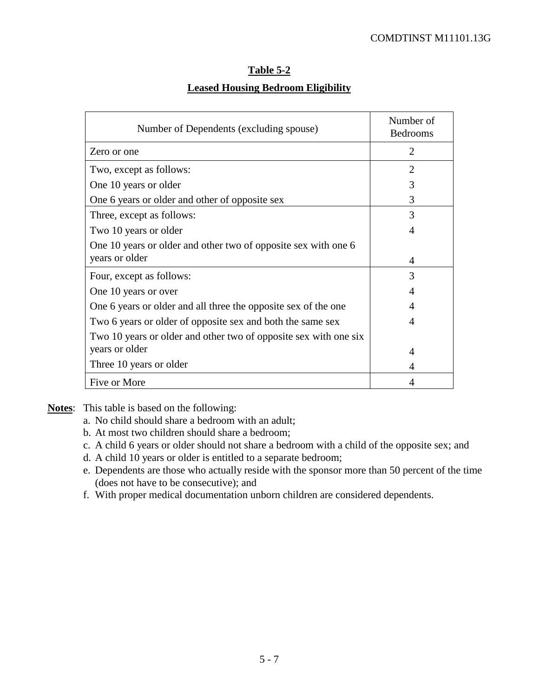| Number of Dependents (excluding spouse)                                          | Number of<br><b>Bedrooms</b> |
|----------------------------------------------------------------------------------|------------------------------|
| Zero or one                                                                      | $\overline{2}$               |
| Two, except as follows:                                                          | 2                            |
| One 10 years or older                                                            | 3                            |
| One 6 years or older and other of opposite sex                                   | 3                            |
| Three, except as follows:                                                        | 3                            |
| Two 10 years or older                                                            | 4                            |
| One 10 years or older and other two of opposite sex with one 6<br>years or older | 4                            |
| Four, except as follows:                                                         | 3                            |
| One 10 years or over                                                             | 4                            |
| One 6 years or older and all three the opposite sex of the one                   | 4                            |
| Two 6 years or older of opposite sex and both the same sex                       | 4                            |
| Two 10 years or older and other two of opposite sex with one six                 |                              |
| years or older                                                                   | 4                            |
| Three 10 years or older                                                          | Δ                            |
| Five or More                                                                     | 4                            |

# **Table 5-2 Leased Housing Bedroom Eligibility**

**Notes**: This table is based on the following:

- a. No child should share a bedroom with an adult;
- b. At most two children should share a bedroom;
- c. A child 6 years or older should not share a bedroom with a child of the opposite sex; and
- d. A child 10 years or older is entitled to a separate bedroom;
- e. Dependents are those who actually reside with the sponsor more than 50 percent of the time (does not have to be consecutive); and
- f. With proper medical documentation unborn children are considered dependents.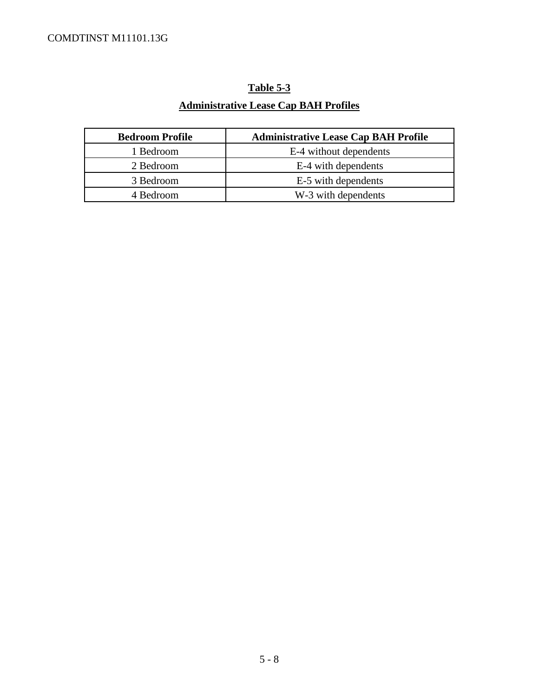## **Table 5-3**

# **Administrative Lease Cap BAH Profiles**

| <b>Bedroom Profile</b> | <b>Administrative Lease Cap BAH Profile</b> |
|------------------------|---------------------------------------------|
| 1 Bedroom              | E-4 without dependents                      |
| 2 Bedroom              | E-4 with dependents                         |
| 3 Bedroom              | E-5 with dependents                         |
| 4 Bedroom              | W-3 with dependents                         |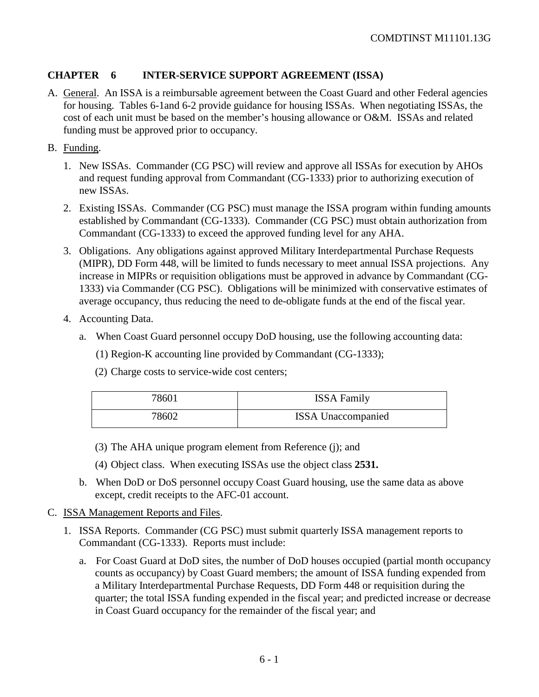### **CHAPTER 6 INTER-SERVICE SUPPORT AGREEMENT (ISSA)**

- A. General. An ISSA is a reimbursable agreement between the Coast Guard and other Federal agencies for housing. Tables 6-1and 6-2 provide guidance for housing ISSAs. When negotiating ISSAs, the cost of each unit must be based on the member's housing allowance or O&M. ISSAs and related funding must be approved prior to occupancy.
- B. Funding.
	- 1. New ISSAs. Commander (CG PSC) will review and approve all ISSAs for execution by AHOs and request funding approval from Commandant (CG-1333) prior to authorizing execution of new ISSAs.
	- 2. Existing ISSAs. Commander (CG PSC) must manage the ISSA program within funding amounts established by Commandant (CG-1333). Commander (CG PSC) must obtain authorization from Commandant (CG-1333) to exceed the approved funding level for any AHA.
	- 3. Obligations. Any obligations against approved Military Interdepartmental Purchase Requests (MIPR), DD Form 448, will be limited to funds necessary to meet annual ISSA projections. Any increase in MIPRs or requisition obligations must be approved in advance by Commandant (CG-1333) via Commander (CG PSC). Obligations will be minimized with conservative estimates of average occupancy, thus reducing the need to de-obligate funds at the end of the fiscal year.
	- 4. Accounting Data.
		- a. When Coast Guard personnel occupy DoD housing, use the following accounting data:
			- (1) Region-K accounting line provided by Commandant (CG-1333);
			- (2) Charge costs to service-wide cost centers;

| 78601 | <b>ISSA Family</b>        |
|-------|---------------------------|
| 78602 | <b>ISSA</b> Unaccompanied |

- (3) The AHA unique program element from Reference (j); and
- (4) Object class. When executing ISSAs use the object class **2531.**
- b. When DoD or DoS personnel occupy Coast Guard housing, use the same data as above except, credit receipts to the AFC-01 account.

#### C. ISSA Management Reports and Files.

- 1. ISSA Reports. Commander (CG PSC) must submit quarterly ISSA management reports to Commandant (CG-1333). Reports must include:
	- a. For Coast Guard at DoD sites, the number of DoD houses occupied (partial month occupancy counts as occupancy) by Coast Guard members; the amount of ISSA funding expended from a Military Interdepartmental Purchase Requests, DD Form 448 or requisition during the quarter; the total ISSA funding expended in the fiscal year; and predicted increase or decrease in Coast Guard occupancy for the remainder of the fiscal year; and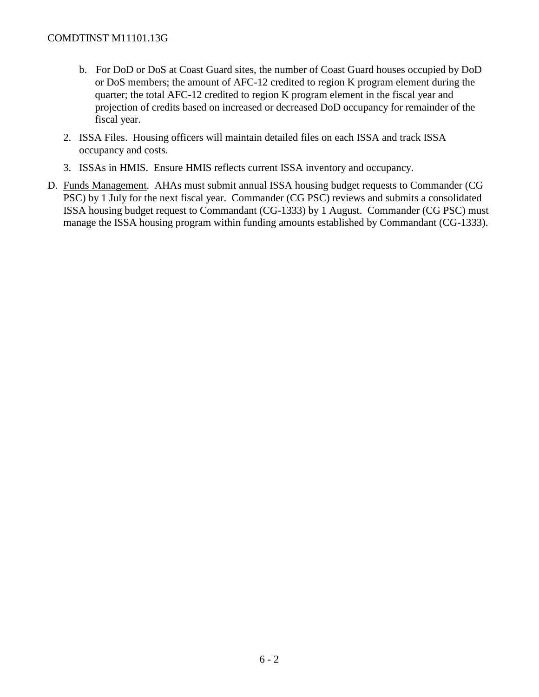- b. For DoD or DoS at Coast Guard sites, the number of Coast Guard houses occupied by DoD or DoS members; the amount of AFC-12 credited to region K program element during the quarter; the total AFC-12 credited to region K program element in the fiscal year and projection of credits based on increased or decreased DoD occupancy for remainder of the fiscal year.
- 2. ISSA Files. Housing officers will maintain detailed files on each ISSA and track ISSA occupancy and costs.
- 3. ISSAs in HMIS. Ensure HMIS reflects current ISSA inventory and occupancy.
- D. Funds Management. AHAs must submit annual ISSA housing budget requests to Commander (CG PSC) by 1 July for the next fiscal year. Commander (CG PSC) reviews and submits a consolidated ISSA housing budget request to Commandant (CG-1333) by 1 August. Commander (CG PSC) must manage the ISSA housing program within funding amounts established by Commandant (CG-1333).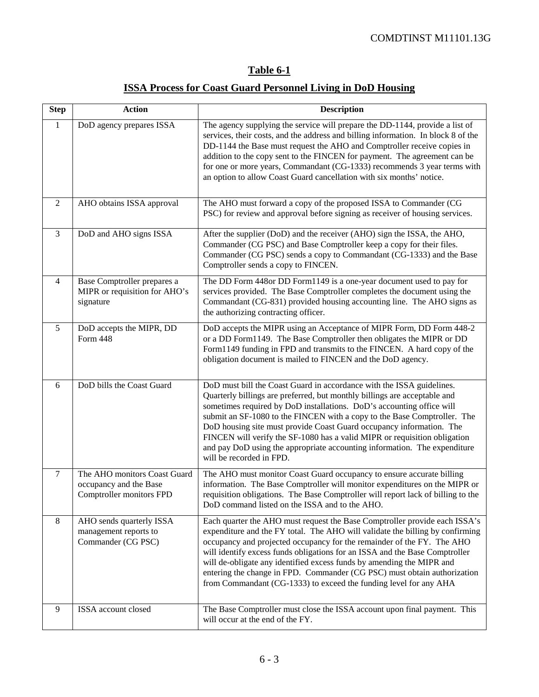# **Table 6-1**

## **ISSA Process for Coast Guard Personnel Living in DoD Housing**

| <b>Step</b>    | <b>Action</b>                                                                      | <b>Description</b>                                                                                                                                                                                                                                                                                                                                                                                                                                                                                                                                                    |
|----------------|------------------------------------------------------------------------------------|-----------------------------------------------------------------------------------------------------------------------------------------------------------------------------------------------------------------------------------------------------------------------------------------------------------------------------------------------------------------------------------------------------------------------------------------------------------------------------------------------------------------------------------------------------------------------|
| $\mathbf{1}$   | DoD agency prepares ISSA                                                           | The agency supplying the service will prepare the DD-1144, provide a list of<br>services, their costs, and the address and billing information. In block 8 of the<br>DD-1144 the Base must request the AHO and Comptroller receive copies in<br>addition to the copy sent to the FINCEN for payment. The agreement can be<br>for one or more years, Commandant (CG-1333) recommends 3 year terms with<br>an option to allow Coast Guard cancellation with six months' notice.                                                                                         |
| $\overline{2}$ | AHO obtains ISSA approval                                                          | The AHO must forward a copy of the proposed ISSA to Commander (CG<br>PSC) for review and approval before signing as receiver of housing services.                                                                                                                                                                                                                                                                                                                                                                                                                     |
| 3              | DoD and AHO signs ISSA                                                             | After the supplier (DoD) and the receiver (AHO) sign the ISSA, the AHO,<br>Commander (CG PSC) and Base Comptroller keep a copy for their files.<br>Commander (CG PSC) sends a copy to Commandant (CG-1333) and the Base<br>Comptroller sends a copy to FINCEN.                                                                                                                                                                                                                                                                                                        |
| 4              | Base Comptroller prepares a<br>MIPR or requisition for AHO's<br>signature          | The DD Form 448or DD Form1149 is a one-year document used to pay for<br>services provided. The Base Comptroller completes the document using the<br>Commandant (CG-831) provided housing accounting line. The AHO signs as<br>the authorizing contracting officer.                                                                                                                                                                                                                                                                                                    |
| 5              | DoD accepts the MIPR, DD<br>Form 448                                               | DoD accepts the MIPR using an Acceptance of MIPR Form, DD Form 448-2<br>or a DD Form1149. The Base Comptroller then obligates the MIPR or DD<br>Form1149 funding in FPD and transmits to the FINCEN. A hard copy of the<br>obligation document is mailed to FINCEN and the DoD agency.                                                                                                                                                                                                                                                                                |
| 6              | DoD bills the Coast Guard                                                          | DoD must bill the Coast Guard in accordance with the ISSA guidelines.<br>Quarterly billings are preferred, but monthly billings are acceptable and<br>sometimes required by DoD installations. DoD's accounting office will<br>submit an SF-1080 to the FINCEN with a copy to the Base Comptroller. The<br>DoD housing site must provide Coast Guard occupancy information. The<br>FINCEN will verify the SF-1080 has a valid MIPR or requisition obligation<br>and pay DoD using the appropriate accounting information. The expenditure<br>will be recorded in FPD. |
| $\tau$         | The AHO monitors Coast Guard<br>occupancy and the Base<br>Comptroller monitors FPD | The AHO must monitor Coast Guard occupancy to ensure accurate billing<br>information. The Base Comptroller will monitor expenditures on the MIPR or<br>requisition obligations. The Base Comptroller will report lack of billing to the<br>DoD command listed on the ISSA and to the AHO.                                                                                                                                                                                                                                                                             |
| 8              | AHO sends quarterly ISSA<br>management reports to<br>Commander (CG PSC)            | Each quarter the AHO must request the Base Comptroller provide each ISSA's<br>expenditure and the FY total. The AHO will validate the billing by confirming<br>occupancy and projected occupancy for the remainder of the FY. The AHO<br>will identify excess funds obligations for an ISSA and the Base Comptroller<br>will de-obligate any identified excess funds by amending the MIPR and<br>entering the change in FPD. Commander (CG PSC) must obtain authorization<br>from Commandant (CG-1333) to exceed the funding level for any AHA                        |
| 9              | ISSA account closed                                                                | The Base Comptroller must close the ISSA account upon final payment. This<br>will occur at the end of the FY.                                                                                                                                                                                                                                                                                                                                                                                                                                                         |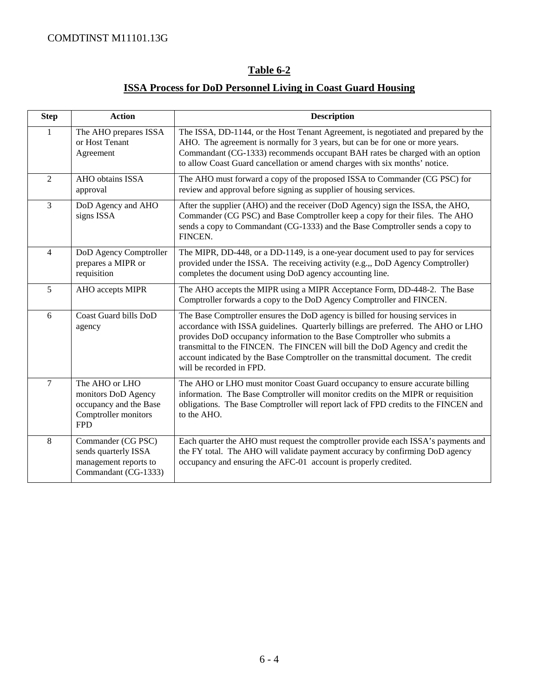# **Table 6-2**

## **ISSA Process for DoD Personnel Living in Coast Guard Housing**

| <b>Step</b>    | <b>Action</b>                                                                                         | <b>Description</b>                                                                                                                                                                                                                                                                                                                                                                                                                               |
|----------------|-------------------------------------------------------------------------------------------------------|--------------------------------------------------------------------------------------------------------------------------------------------------------------------------------------------------------------------------------------------------------------------------------------------------------------------------------------------------------------------------------------------------------------------------------------------------|
| $\mathbf{1}$   | The AHO prepares ISSA<br>or Host Tenant<br>Agreement                                                  | The ISSA, DD-1144, or the Host Tenant Agreement, is negotiated and prepared by the<br>AHO. The agreement is normally for 3 years, but can be for one or more years.<br>Commandant (CG-1333) recommends occupant BAH rates be charged with an option<br>to allow Coast Guard cancellation or amend charges with six months' notice.                                                                                                               |
| $\overline{2}$ | AHO obtains ISSA<br>approval                                                                          | The AHO must forward a copy of the proposed ISSA to Commander (CG PSC) for<br>review and approval before signing as supplier of housing services.                                                                                                                                                                                                                                                                                                |
| $\overline{3}$ | DoD Agency and AHO<br>signs ISSA                                                                      | After the supplier (AHO) and the receiver (DoD Agency) sign the ISSA, the AHO,<br>Commander (CG PSC) and Base Comptroller keep a copy for their files. The AHO<br>sends a copy to Commandant (CG-1333) and the Base Comptroller sends a copy to<br>FINCEN.                                                                                                                                                                                       |
| $\overline{4}$ | DoD Agency Comptroller<br>prepares a MIPR or<br>requisition                                           | The MIPR, DD-448, or a DD-1149, is a one-year document used to pay for services<br>provided under the ISSA. The receiving activity (e.g.,, DoD Agency Comptroller)<br>completes the document using DoD agency accounting line.                                                                                                                                                                                                                   |
| 5              | AHO accepts MIPR                                                                                      | The AHO accepts the MIPR using a MIPR Acceptance Form, DD-448-2. The Base<br>Comptroller forwards a copy to the DoD Agency Comptroller and FINCEN.                                                                                                                                                                                                                                                                                               |
| $6\,$          | Coast Guard bills DoD<br>agency                                                                       | The Base Comptroller ensures the DoD agency is billed for housing services in<br>accordance with ISSA guidelines. Quarterly billings are preferred. The AHO or LHO<br>provides DoD occupancy information to the Base Comptroller who submits a<br>transmittal to the FINCEN. The FINCEN will bill the DoD Agency and credit the<br>account indicated by the Base Comptroller on the transmittal document. The credit<br>will be recorded in FPD. |
| $\overline{7}$ | The AHO or LHO<br>monitors DoD Agency<br>occupancy and the Base<br>Comptroller monitors<br><b>FPD</b> | The AHO or LHO must monitor Coast Guard occupancy to ensure accurate billing<br>information. The Base Comptroller will monitor credits on the MIPR or requisition<br>obligations. The Base Comptroller will report lack of FPD credits to the FINCEN and<br>to the AHO.                                                                                                                                                                          |
| 8              | Commander (CG PSC)<br>sends quarterly ISSA<br>management reports to<br>Commandant (CG-1333)           | Each quarter the AHO must request the comptroller provide each ISSA's payments and<br>the FY total. The AHO will validate payment accuracy by confirming DoD agency<br>occupancy and ensuring the AFC-01 account is properly credited.                                                                                                                                                                                                           |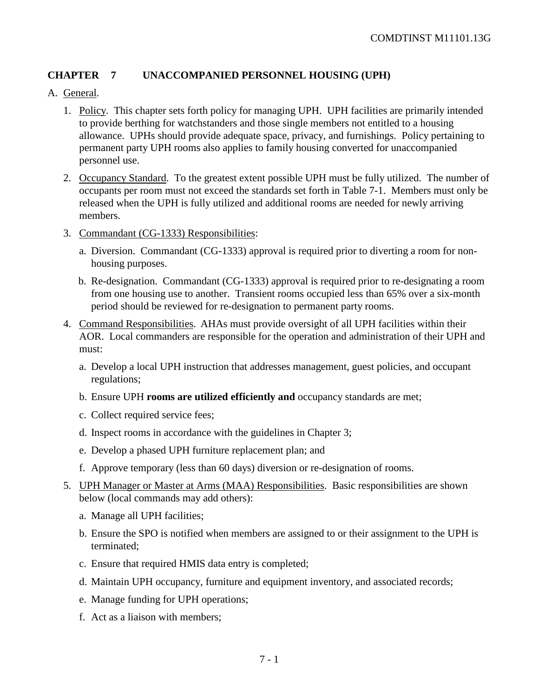#### **CHAPTER 7 UNACCOMPANIED PERSONNEL HOUSING (UPH)**

- A. General.
	- 1. Policy. This chapter sets forth policy for managing UPH. UPH facilities are primarily intended to provide berthing for watchstanders and those single members not entitled to a housing allowance. UPHs should provide adequate space, privacy, and furnishings. Policy pertaining to permanent party UPH rooms also applies to family housing converted for unaccompanied personnel use.
	- 2. Occupancy Standard. To the greatest extent possible UPH must be fully utilized. The number of occupants per room must not exceed the standards set forth in Table 7-1. Members must only be released when the UPH is fully utilized and additional rooms are needed for newly arriving members.
	- 3. Commandant (CG-1333) Responsibilities:
		- a. Diversion. Commandant (CG-1333) approval is required prior to diverting a room for nonhousing purposes.
		- b. Re-designation. Commandant (CG-1333) approval is required prior to re-designating a room from one housing use to another. Transient rooms occupied less than 65% over a six-month period should be reviewed for re-designation to permanent party rooms.
	- 4. Command Responsibilities. AHAs must provide oversight of all UPH facilities within their AOR. Local commanders are responsible for the operation and administration of their UPH and must:
		- a. Develop a local UPH instruction that addresses management, guest policies, and occupant regulations;
		- b. Ensure UPH **rooms are utilized efficiently and** occupancy standards are met;
		- c. Collect required service fees;
		- d. Inspect rooms in accordance with the guidelines in Chapter 3;
		- e. Develop a phased UPH furniture replacement plan; and
		- f. Approve temporary (less than 60 days) diversion or re-designation of rooms.
	- 5. UPH Manager or Master at Arms (MAA) Responsibilities. Basic responsibilities are shown below (local commands may add others):
		- a. Manage all UPH facilities;
		- b. Ensure the SPO is notified when members are assigned to or their assignment to the UPH is terminated;
		- c. Ensure that required HMIS data entry is completed;
		- d. Maintain UPH occupancy, furniture and equipment inventory, and associated records;
		- e. Manage funding for UPH operations;
		- f. Act as a liaison with members;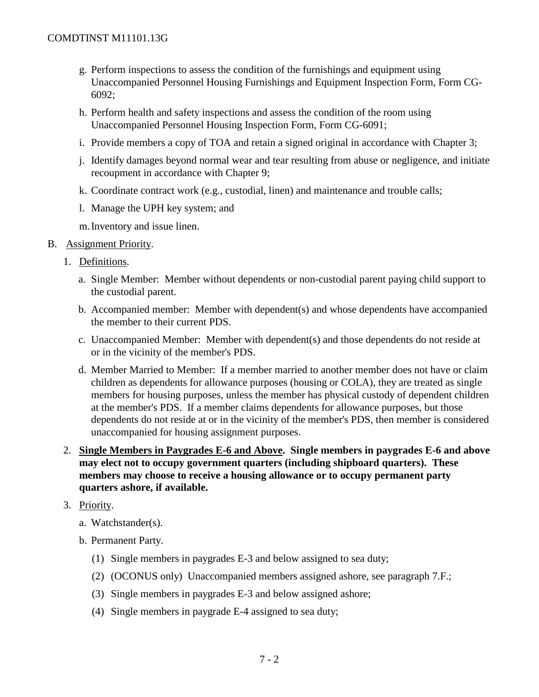- g. Perform inspections to assess the condition of the furnishings and equipment using Unaccompanied Personnel Housing Furnishings and Equipment Inspection Form, Form CG-6092;
- h. Perform health and safety inspections and assess the condition of the room using Unaccompanied Personnel Housing Inspection Form, Form CG-6091;
- i. Provide members a copy of TOA and retain a signed original in accordance with Chapter 3;
- j. Identify damages beyond normal wear and tear resulting from abuse or negligence, and initiate recoupment in accordance with Chapter 9;
- k. Coordinate contract work (e.g., custodial, linen) and maintenance and trouble calls;
- l. Manage the UPH key system; and
- m.Inventory and issue linen.
- B. Assignment Priority.
	- 1. Definitions.
		- a. Single Member: Member without dependents or non-custodial parent paying child support to the custodial parent.
		- b. Accompanied member: Member with dependent(s) and whose dependents have accompanied the member to their current PDS.
		- c. Unaccompanied Member: Member with dependent(s) and those dependents do not reside at or in the vicinity of the member's PDS.
		- d. Member Married to Member: If a member married to another member does not have or claim children as dependents for allowance purposes (housing or COLA), they are treated as single members for housing purposes, unless the member has physical custody of dependent children at the member's PDS. If a member claims dependents for allowance purposes, but those dependents do not reside at or in the vicinity of the member's PDS, then member is considered unaccompanied for housing assignment purposes.
	- 2. **Single Members in Paygrades E-6 and Above. Single members in paygrades E-6 and above may elect not to occupy government quarters (including shipboard quarters). These members may choose to receive a housing allowance or to occupy permanent party quarters ashore, if available.**
	- 3. Priority.
		- a. Watchstander(s).
		- b. Permanent Party.
			- (1) Single members in paygrades E-3 and below assigned to sea duty;
			- (2) (OCONUS only) Unaccompanied members assigned ashore, see paragraph 7.F.;
			- (3) Single members in paygrades E-3 and below assigned ashore;
			- (4) Single members in paygrade E-4 assigned to sea duty;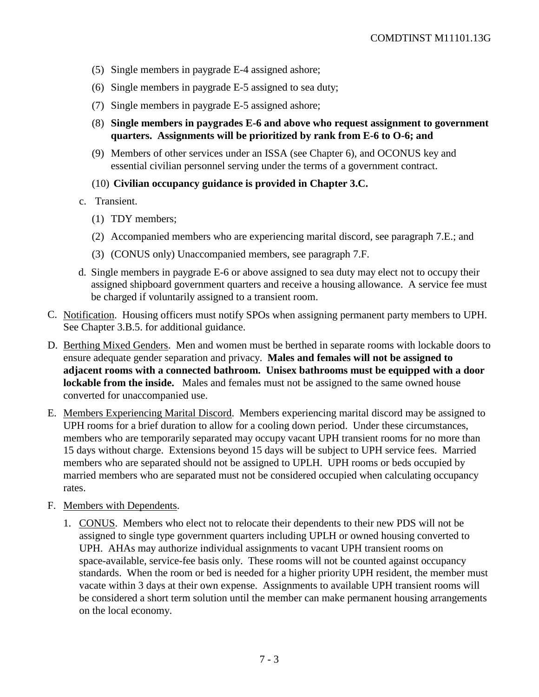- (5) Single members in paygrade E-4 assigned ashore;
- (6) Single members in paygrade E-5 assigned to sea duty;
- (7) Single members in paygrade E-5 assigned ashore;
- (8) **Single members in paygrades E-6 and above who request assignment to government quarters. Assignments will be prioritized by rank from E-6 to O-6; and**
- (9) Members of other services under an ISSA (see Chapter 6), and OCONUS key and essential civilian personnel serving under the terms of a government contract.
- (10) **Civilian occupancy guidance is provided in Chapter 3.C.**
- c. Transient.
	- (1) TDY members;
	- (2) Accompanied members who are experiencing marital discord, see paragraph 7.E.; and
	- (3) (CONUS only) Unaccompanied members, see paragraph 7.F.
- d. Single members in paygrade E-6 or above assigned to sea duty may elect not to occupy their assigned shipboard government quarters and receive a housing allowance. A service fee must be charged if voluntarily assigned to a transient room.
- C. Notification. Housing officers must notify SPOs when assigning permanent party members to UPH. See Chapter 3.B.5. for additional guidance.
- D. Berthing Mixed Genders. Men and women must be berthed in separate rooms with lockable doors to ensure adequate gender separation and privacy. **Males and females will not be assigned to adjacent rooms with a connected bathroom. Unisex bathrooms must be equipped with a door lockable from the inside.** Males and females must not be assigned to the same owned house converted for unaccompanied use.
- E. Members Experiencing Marital Discord. Members experiencing marital discord may be assigned to UPH rooms for a brief duration to allow for a cooling down period. Under these circumstances, members who are temporarily separated may occupy vacant UPH transient rooms for no more than 15 days without charge. Extensions beyond 15 days will be subject to UPH service fees. Married members who are separated should not be assigned to UPLH. UPH rooms or beds occupied by married members who are separated must not be considered occupied when calculating occupancy rates.
- F. Members with Dependents.
	- 1. CONUS. Members who elect not to relocate their dependents to their new PDS will not be assigned to single type government quarters including UPLH or owned housing converted to UPH. AHAs may authorize individual assignments to vacant UPH transient rooms on space-available, service-fee basis only. These rooms will not be counted against occupancy standards. When the room or bed is needed for a higher priority UPH resident, the member must vacate within 3 days at their own expense. Assignments to available UPH transient rooms will be considered a short term solution until the member can make permanent housing arrangements on the local economy.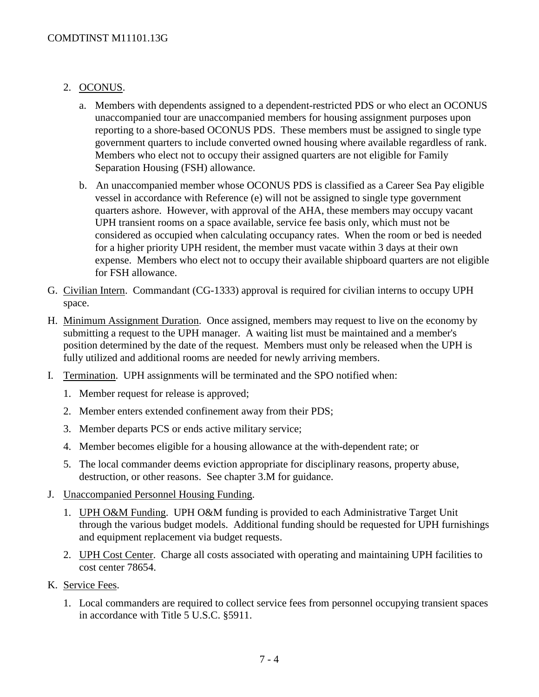### 2. OCONUS.

- a. Members with dependents assigned to a dependent-restricted PDS or who elect an OCONUS unaccompanied tour are unaccompanied members for housing assignment purposes upon reporting to a shore-based OCONUS PDS. These members must be assigned to single type government quarters to include converted owned housing where available regardless of rank. Members who elect not to occupy their assigned quarters are not eligible for Family Separation Housing (FSH) allowance.
- b. An unaccompanied member whose OCONUS PDS is classified as a Career Sea Pay eligible vessel in accordance with Reference (e) will not be assigned to single type government quarters ashore. However, with approval of the AHA, these members may occupy vacant UPH transient rooms on a space available, service fee basis only, which must not be considered as occupied when calculating occupancy rates. When the room or bed is needed for a higher priority UPH resident, the member must vacate within 3 days at their own expense. Members who elect not to occupy their available shipboard quarters are not eligible for FSH allowance.
- G. Civilian Intern. Commandant (CG-1333) approval is required for civilian interns to occupy UPH space.
- H. Minimum Assignment Duration. Once assigned, members may request to live on the economy by submitting a request to the UPH manager. A waiting list must be maintained and a member's position determined by the date of the request. Members must only be released when the UPH is fully utilized and additional rooms are needed for newly arriving members.
- I. Termination. UPH assignments will be terminated and the SPO notified when:
	- 1. Member request for release is approved;
	- 2. Member enters extended confinement away from their PDS;
	- 3. Member departs PCS or ends active military service;
	- 4. Member becomes eligible for a housing allowance at the with-dependent rate; or
	- 5. The local commander deems eviction appropriate for disciplinary reasons, property abuse, destruction, or other reasons. See chapter 3.M for guidance.
- J. Unaccompanied Personnel Housing Funding.
	- 1. UPH O&M Funding. UPH O&M funding is provided to each Administrative Target Unit through the various budget models. Additional funding should be requested for UPH furnishings and equipment replacement via budget requests.
	- 2. UPH Cost Center. Charge all costs associated with operating and maintaining UPH facilities to cost center 78654.
- K. Service Fees.
	- 1. Local commanders are required to collect service fees from personnel occupying transient spaces in accordance with Title 5 U.S.C. §5911.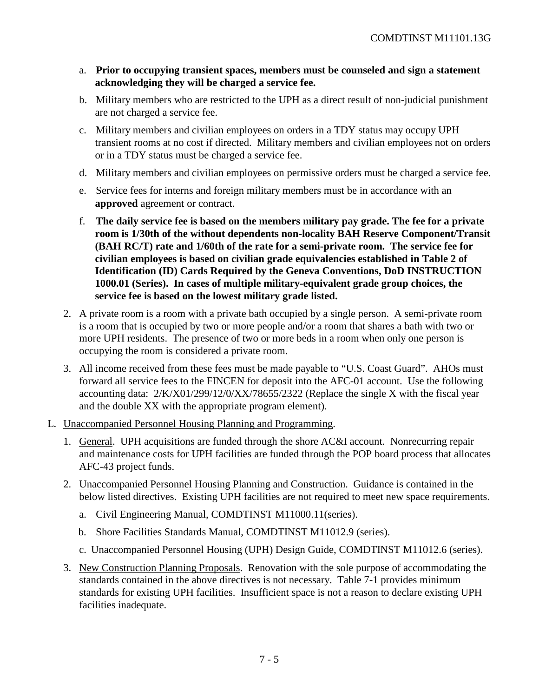- a. **Prior to occupying transient spaces, members must be counseled and sign a statement acknowledging they will be charged a service fee.**
- b. Military members who are restricted to the UPH as a direct result of non-judicial punishment are not charged a service fee.
- c. Military members and civilian employees on orders in a TDY status may occupy UPH transient rooms at no cost if directed. Military members and civilian employees not on orders or in a TDY status must be charged a service fee.
- d. Military members and civilian employees on permissive orders must be charged a service fee.
- e. Service fees for interns and foreign military members must be in accordance with an **approved** agreement or contract.
- f. **The daily service fee is based on the members military pay grade. The fee for a private room is 1/30th of the without dependents non-locality BAH Reserve Component/Transit (BAH RC/T) rate and 1/60th of the rate for a semi-private room. The service fee for civilian employees is based on civilian grade equivalencies established in Table 2 of Identification (ID) Cards Required by the Geneva Conventions, DoD INSTRUCTION 1000.01 (Series). In cases of multiple military-equivalent grade group choices, the service fee is based on the lowest military grade listed.**
- 2. A private room is a room with a private bath occupied by a single person. A semi-private room is a room that is occupied by two or more people and/or a room that shares a bath with two or more UPH residents. The presence of two or more beds in a room when only one person is occupying the room is considered a private room.
- 3. All income received from these fees must be made payable to "U.S. Coast Guard". AHOs must forward all service fees to the FINCEN for deposit into the AFC-01 account. Use the following accounting data: 2/K/X01/299/12/0/XX/78655/2322 (Replace the single X with the fiscal year and the double XX with the appropriate program element).
- L. Unaccompanied Personnel Housing Planning and Programming.
	- 1. General. UPH acquisitions are funded through the shore AC&I account. Nonrecurring repair and maintenance costs for UPH facilities are funded through the POP board process that allocates AFC-43 project funds.
	- 2. Unaccompanied Personnel Housing Planning and Construction. Guidance is contained in the below listed directives. Existing UPH facilities are not required to meet new space requirements.
		- a. Civil Engineering Manual, COMDTINST M11000.11(series).
		- b. Shore Facilities Standards Manual, COMDTINST M11012.9 (series).
		- c. Unaccompanied Personnel Housing (UPH) Design Guide, COMDTINST M11012.6 (series).
	- 3. New Construction Planning Proposals. Renovation with the sole purpose of accommodating the standards contained in the above directives is not necessary. Table 7-1 provides minimum standards for existing UPH facilities. Insufficient space is not a reason to declare existing UPH facilities inadequate.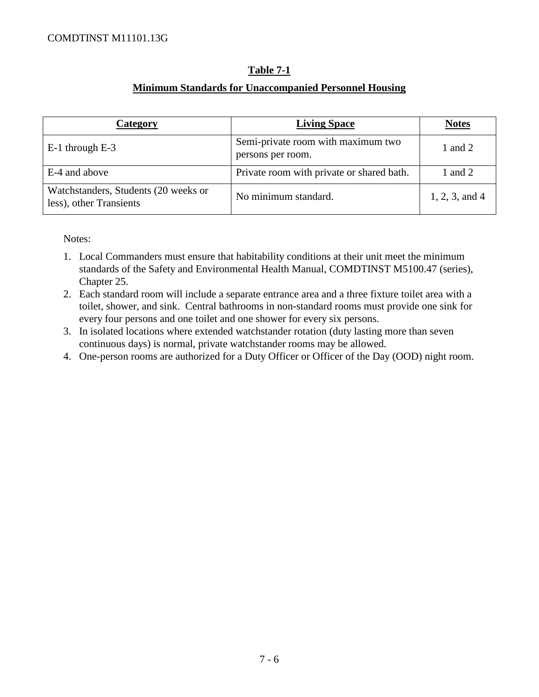### **Table 7-1**

#### **Minimum Standards for Unaccompanied Personnel Housing**

| Category                                                        | <b>Living Space</b>                                     | <b>Notes</b>     |
|-----------------------------------------------------------------|---------------------------------------------------------|------------------|
| E-1 through E-3                                                 | Semi-private room with maximum two<br>persons per room. | 1 and 2          |
| E-4 and above                                                   | Private room with private or shared bath.               | 1 and $2$        |
| Watchstanders, Students (20 weeks or<br>less), other Transients | No minimum standard.                                    | $1, 2, 3,$ and 4 |

Notes:

- 1. Local Commanders must ensure that habitability conditions at their unit meet the minimum standards of the Safety and Environmental Health Manual, COMDTINST M5100.47 (series), Chapter 25.
- 2. Each standard room will include a separate entrance area and a three fixture toilet area with a toilet, shower, and sink. Central bathrooms in non-standard rooms must provide one sink for every four persons and one toilet and one shower for every six persons.
- 3. In isolated locations where extended watchstander rotation (duty lasting more than seven continuous days) is normal, private watchstander rooms may be allowed.
- 4. One-person rooms are authorized for a Duty Officer or Officer of the Day (OOD) night room.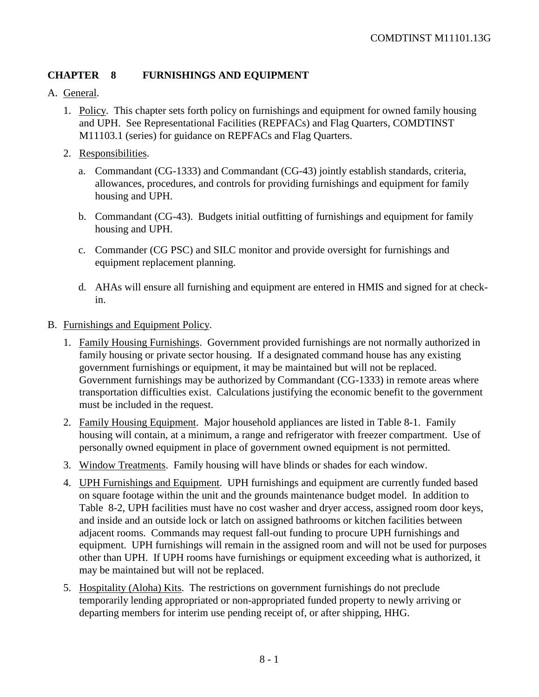### **CHAPTER 8 FURNISHINGS AND EQUIPMENT**

- A. General.
	- 1. Policy. This chapter sets forth policy on furnishings and equipment for owned family housing and UPH. See Representational Facilities (REPFACs) and Flag Quarters, COMDTINST M11103.1 (series) for guidance on REPFACs and Flag Quarters.
	- 2. Responsibilities.
		- a. Commandant (CG-1333) and Commandant (CG-43) jointly establish standards, criteria, allowances, procedures, and controls for providing furnishings and equipment for family housing and UPH.
		- b. Commandant (CG-43). Budgets initial outfitting of furnishings and equipment for family housing and UPH.
		- c. Commander (CG PSC) and SILC monitor and provide oversight for furnishings and equipment replacement planning.
		- d. AHAs will ensure all furnishing and equipment are entered in HMIS and signed for at checkin.
- B. Furnishings and Equipment Policy.
	- 1. Family Housing Furnishings. Government provided furnishings are not normally authorized in family housing or private sector housing. If a designated command house has any existing government furnishings or equipment, it may be maintained but will not be replaced. Government furnishings may be authorized by Commandant (CG-1333) in remote areas where transportation difficulties exist. Calculations justifying the economic benefit to the government must be included in the request.
	- 2. Family Housing Equipment. Major household appliances are listed in Table 8-1. Family housing will contain, at a minimum, a range and refrigerator with freezer compartment. Use of personally owned equipment in place of government owned equipment is not permitted.
	- 3. Window Treatments. Family housing will have blinds or shades for each window.
	- 4. UPH Furnishings and Equipment. UPH furnishings and equipment are currently funded based on square footage within the unit and the grounds maintenance budget model. In addition to Table 8-2, UPH facilities must have no cost washer and dryer access, assigned room door keys, and inside and an outside lock or latch on assigned bathrooms or kitchen facilities between adjacent rooms. Commands may request fall-out funding to procure UPH furnishings and equipment. UPH furnishings will remain in the assigned room and will not be used for purposes other than UPH. If UPH rooms have furnishings or equipment exceeding what is authorized, it may be maintained but will not be replaced.
	- 5. Hospitality (Aloha) Kits. The restrictions on government furnishings do not preclude temporarily lending appropriated or non-appropriated funded property to newly arriving or departing members for interim use pending receipt of, or after shipping, HHG.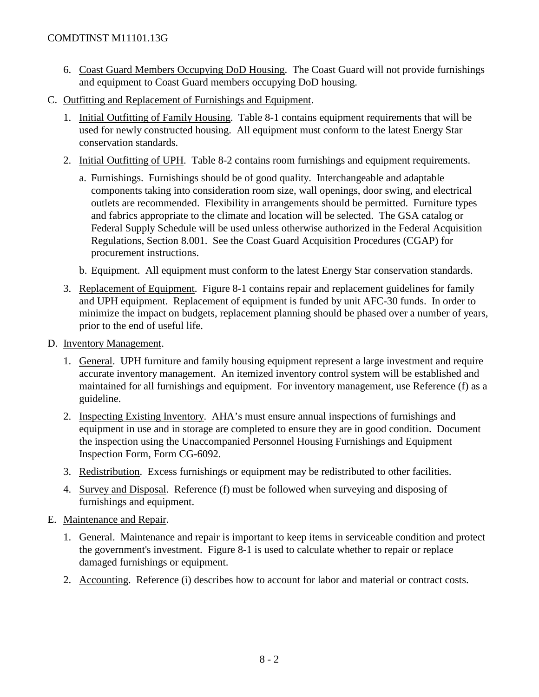- 6. Coast Guard Members Occupying DoD Housing. The Coast Guard will not provide furnishings and equipment to Coast Guard members occupying DoD housing.
- C. Outfitting and Replacement of Furnishings and Equipment.
	- 1. Initial Outfitting of Family Housing. Table 8-1 contains equipment requirements that will be used for newly constructed housing. All equipment must conform to the latest Energy Star conservation standards.
	- 2. Initial Outfitting of UPH. Table 8-2 contains room furnishings and equipment requirements.
		- a. Furnishings. Furnishings should be of good quality. Interchangeable and adaptable components taking into consideration room size, wall openings, door swing, and electrical outlets are recommended. Flexibility in arrangements should be permitted. Furniture types and fabrics appropriate to the climate and location will be selected. The GSA catalog or Federal Supply Schedule will be used unless otherwise authorized in the Federal Acquisition Regulations, Section 8.001. See the Coast Guard Acquisition Procedures (CGAP) for procurement instructions.
		- b. Equipment. All equipment must conform to the latest Energy Star conservation standards.
	- 3. Replacement of Equipment. Figure 8-1 contains repair and replacement guidelines for family and UPH equipment. Replacement of equipment is funded by unit AFC-30 funds. In order to minimize the impact on budgets, replacement planning should be phased over a number of years, prior to the end of useful life.
- D. Inventory Management.
	- 1. General. UPH furniture and family housing equipment represent a large investment and require accurate inventory management. An itemized inventory control system will be established and maintained for all furnishings and equipment. For inventory management, use Reference (f) as a guideline.
	- 2. Inspecting Existing Inventory. AHA's must ensure annual inspections of furnishings and equipment in use and in storage are completed to ensure they are in good condition. Document the inspection using the Unaccompanied Personnel Housing Furnishings and Equipment Inspection Form, Form CG-6092.
	- 3. Redistribution. Excess furnishings or equipment may be redistributed to other facilities.
	- 4. Survey and Disposal. Reference (f) must be followed when surveying and disposing of furnishings and equipment.
- E. Maintenance and Repair.
	- 1. General. Maintenance and repair is important to keep items in serviceable condition and protect the government's investment. Figure 8-1 is used to calculate whether to repair or replace damaged furnishings or equipment.
	- 2. Accounting. Reference (i) describes how to account for labor and material or contract costs.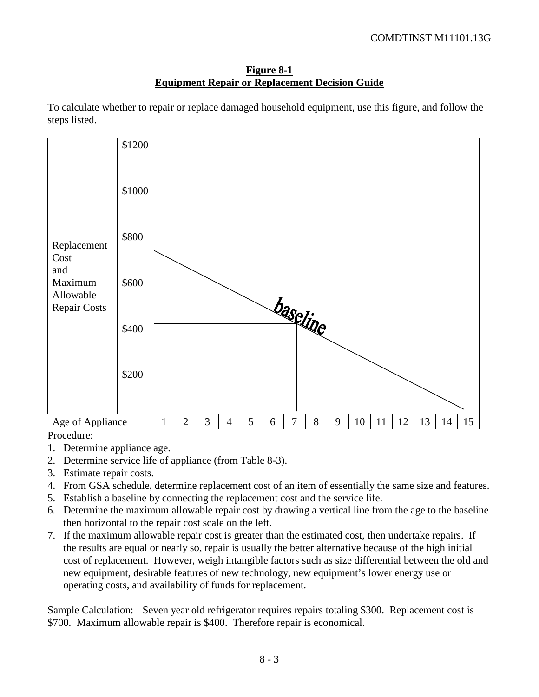**Figure 8-1 Equipment Repair or Replacement Decision Guide**

To calculate whether to repair or replace damaged household equipment, use this figure, and follow the steps listed.



Procedure:

- 1. Determine appliance age.
- 2. Determine service life of appliance (from Table 8-3).
- 3. Estimate repair costs.
- 4. From GSA schedule, determine replacement cost of an item of essentially the same size and features.
- 5. Establish a baseline by connecting the replacement cost and the service life.
- 6. Determine the maximum allowable repair cost by drawing a vertical line from the age to the baseline then horizontal to the repair cost scale on the left.
- 7. If the maximum allowable repair cost is greater than the estimated cost, then undertake repairs. If the results are equal or nearly so, repair is usually the better alternative because of the high initial cost of replacement. However, weigh intangible factors such as size differential between the old and new equipment, desirable features of new technology, new equipment's lower energy use or operating costs, and availability of funds for replacement.

Sample Calculation: Seven year old refrigerator requires repairs totaling \$300. Replacement cost is \$700. Maximum allowable repair is \$400. Therefore repair is economical.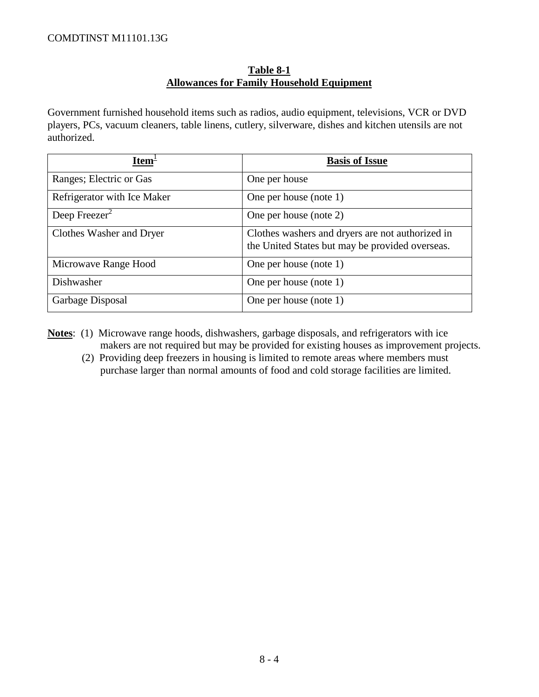#### **Table 8-1 Allowances for Family Household Equipment**

Government furnished household items such as radios, audio equipment, televisions, VCR or DVD players, PCs, vacuum cleaners, table linens, cutlery, silverware, dishes and kitchen utensils are not authorized.

| Item $\pm$                  | <b>Basis of Issue</b>                                                                               |
|-----------------------------|-----------------------------------------------------------------------------------------------------|
| Ranges; Electric or Gas     | One per house                                                                                       |
| Refrigerator with Ice Maker | One per house (note 1)                                                                              |
| Deep Freezer <sup>2</sup>   | One per house (note 2)                                                                              |
| Clothes Washer and Dryer    | Clothes washers and dryers are not authorized in<br>the United States but may be provided overseas. |
| Microwave Range Hood        | One per house (note 1)                                                                              |
| Dishwasher                  | One per house (note 1)                                                                              |
| Garbage Disposal            | One per house (note 1)                                                                              |

- **Notes**: (1) Microwave range hoods, dishwashers, garbage disposals, and refrigerators with ice makers are not required but may be provided for existing houses as improvement projects.
	- (2) Providing deep freezers in housing is limited to remote areas where members must purchase larger than normal amounts of food and cold storage facilities are limited.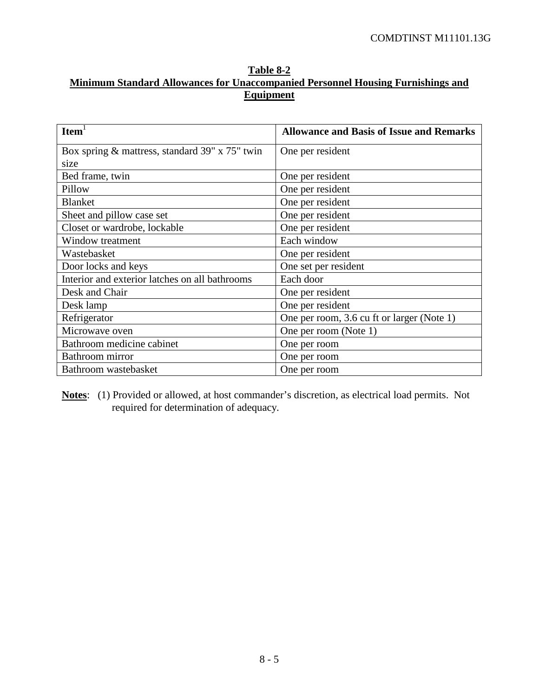| <b>Table 8-2</b>                                                                |
|---------------------------------------------------------------------------------|
| Minimum Standard Allowances for Unaccompanied Personnel Housing Furnishings and |
| Equipment                                                                       |

| $\mathbf{Item}^1$                              | <b>Allowance and Basis of Issue and Remarks</b> |
|------------------------------------------------|-------------------------------------------------|
| Box spring & mattress, standard 39" x 75" twin | One per resident                                |
| size                                           |                                                 |
| Bed frame, twin                                | One per resident                                |
| Pillow                                         | One per resident                                |
| <b>Blanket</b>                                 | One per resident                                |
| Sheet and pillow case set                      | One per resident                                |
| Closet or wardrobe, lockable                   | One per resident                                |
| Window treatment                               | Each window                                     |
| Wastebasket                                    | One per resident                                |
| Door locks and keys                            | One set per resident                            |
| Interior and exterior latches on all bathrooms | Each door                                       |
| Desk and Chair                                 | One per resident                                |
| Desk lamp                                      | One per resident                                |
| Refrigerator                                   | One per room, 3.6 cu ft or larger (Note 1)      |
| Microwave oven                                 | One per room (Note 1)                           |
| Bathroom medicine cabinet                      | One per room                                    |
| <b>Bathroom</b> mirror                         | One per room                                    |
| Bathroom wastebasket                           | One per room                                    |

**Notes**: (1) Provided or allowed, at host commander's discretion, as electrical load permits. Not required for determination of adequacy.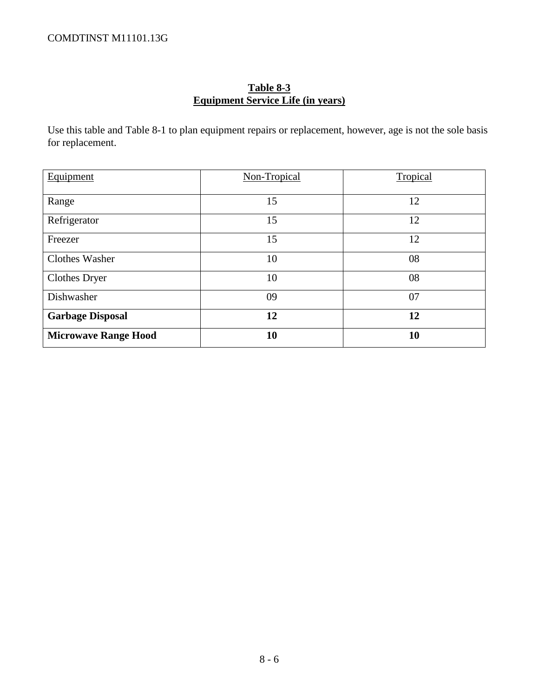# **Table 8-3 Equipment Service Life (in years)**

Use this table and Table 8-1 to plan equipment repairs or replacement, however, age is not the sole basis for replacement.

| Equipment                   | Non-Tropical | <b>Tropical</b> |
|-----------------------------|--------------|-----------------|
| Range                       | 15           | 12              |
| Refrigerator                | 15           | 12              |
| Freezer                     | 15           | 12              |
| <b>Clothes Washer</b>       | 10           | 08              |
| <b>Clothes Dryer</b>        | 10           | 08              |
| Dishwasher                  | 09           | 07              |
| <b>Garbage Disposal</b>     | 12           | 12              |
| <b>Microwave Range Hood</b> | 10           | 10              |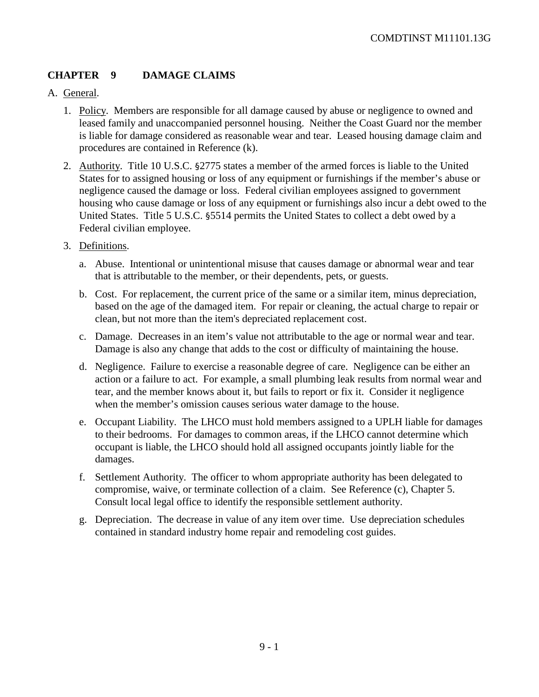# **CHAPTER 9 DAMAGE CLAIMS**

- A. General.
	- 1. Policy. Members are responsible for all damage caused by abuse or negligence to owned and leased family and unaccompanied personnel housing. Neither the Coast Guard nor the member is liable for damage considered as reasonable wear and tear. Leased housing damage claim and procedures are contained in Reference (k).
	- 2. Authority. Title 10 U.S.C. §2775 states a member of the armed forces is liable to the United States for to assigned housing or loss of any equipment or furnishings if the member's abuse or negligence caused the damage or loss. Federal civilian employees assigned to government housing who cause damage or loss of any equipment or furnishings also incur a debt owed to the United States. Title 5 U.S.C. §5514 permits the United States to collect a debt owed by a Federal civilian employee.
	- 3. Definitions.
		- a. Abuse. Intentional or unintentional misuse that causes damage or abnormal wear and tear that is attributable to the member, or their dependents, pets, or guests.
		- b. Cost. For replacement, the current price of the same or a similar item, minus depreciation, based on the age of the damaged item. For repair or cleaning, the actual charge to repair or clean, but not more than the item's depreciated replacement cost.
		- c. Damage. Decreases in an item's value not attributable to the age or normal wear and tear. Damage is also any change that adds to the cost or difficulty of maintaining the house.
		- d. Negligence. Failure to exercise a reasonable degree of care. Negligence can be either an action or a failure to act. For example, a small plumbing leak results from normal wear and tear, and the member knows about it, but fails to report or fix it. Consider it negligence when the member's omission causes serious water damage to the house.
		- e. Occupant Liability. The LHCO must hold members assigned to a UPLH liable for damages to their bedrooms. For damages to common areas, if the LHCO cannot determine which occupant is liable, the LHCO should hold all assigned occupants jointly liable for the damages.
		- f. Settlement Authority. The officer to whom appropriate authority has been delegated to compromise, waive, or terminate collection of a claim. See Reference (c), Chapter 5. Consult local legal office to identify the responsible settlement authority.
		- g. Depreciation. The decrease in value of any item over time. Use depreciation schedules contained in standard industry home repair and remodeling cost guides.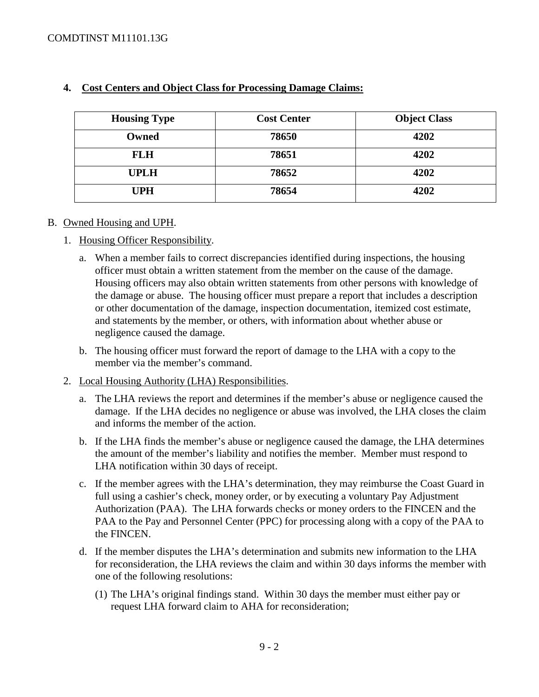## COMDTINST M11101.13G

| <b>Housing Type</b> | <b>Cost Center</b> | <b>Object Class</b> |
|---------------------|--------------------|---------------------|
| Owned               | 78650              | 4202                |
| <b>FLH</b>          | 78651              | 4202                |
| <b>UPLH</b>         | 78652              | 4202                |
| <b>UPH</b>          | 78654              | 4202                |

### **4. Cost Centers and Object Class for Processing Damage Claims:**

#### B. Owned Housing and UPH.

- 1. Housing Officer Responsibility.
	- a. When a member fails to correct discrepancies identified during inspections, the housing officer must obtain a written statement from the member on the cause of the damage. Housing officers may also obtain written statements from other persons with knowledge of the damage or abuse. The housing officer must prepare a report that includes a description or other documentation of the damage, inspection documentation, itemized cost estimate, and statements by the member, or others, with information about whether abuse or negligence caused the damage.
	- b. The housing officer must forward the report of damage to the LHA with a copy to the member via the member's command.

#### 2. Local Housing Authority (LHA) Responsibilities.

- a. The LHA reviews the report and determines if the member's abuse or negligence caused the damage. If the LHA decides no negligence or abuse was involved, the LHA closes the claim and informs the member of the action.
- b. If the LHA finds the member's abuse or negligence caused the damage, the LHA determines the amount of the member's liability and notifies the member. Member must respond to LHA notification within 30 days of receipt.
- c. If the member agrees with the LHA's determination, they may reimburse the Coast Guard in full using a cashier's check, money order, or by executing a voluntary Pay Adjustment Authorization (PAA). The LHA forwards checks or money orders to the FINCEN and the PAA to the Pay and Personnel Center (PPC) for processing along with a copy of the PAA to the FINCEN.
- d. If the member disputes the LHA's determination and submits new information to the LHA for reconsideration, the LHA reviews the claim and within 30 days informs the member with one of the following resolutions:
	- (1) The LHA's original findings stand. Within 30 days the member must either pay or request LHA forward claim to AHA for reconsideration;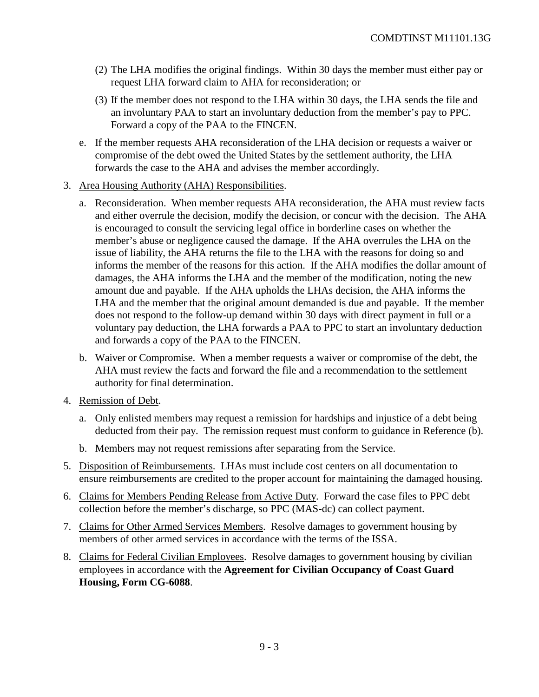- (2) The LHA modifies the original findings. Within 30 days the member must either pay or request LHA forward claim to AHA for reconsideration; or
- (3) If the member does not respond to the LHA within 30 days, the LHA sends the file and an involuntary PAA to start an involuntary deduction from the member's pay to PPC. Forward a copy of the PAA to the FINCEN.
- e. If the member requests AHA reconsideration of the LHA decision or requests a waiver or compromise of the debt owed the United States by the settlement authority, the LHA forwards the case to the AHA and advises the member accordingly.

### 3. Area Housing Authority (AHA) Responsibilities.

- a. Reconsideration. When member requests AHA reconsideration, the AHA must review facts and either overrule the decision, modify the decision, or concur with the decision. The AHA is encouraged to consult the servicing legal office in borderline cases on whether the member's abuse or negligence caused the damage. If the AHA overrules the LHA on the issue of liability, the AHA returns the file to the LHA with the reasons for doing so and informs the member of the reasons for this action. If the AHA modifies the dollar amount of damages, the AHA informs the LHA and the member of the modification, noting the new amount due and payable. If the AHA upholds the LHAs decision, the AHA informs the LHA and the member that the original amount demanded is due and payable. If the member does not respond to the follow-up demand within 30 days with direct payment in full or a voluntary pay deduction, the LHA forwards a PAA to PPC to start an involuntary deduction and forwards a copy of the PAA to the FINCEN.
- b. Waiver or Compromise. When a member requests a waiver or compromise of the debt, the AHA must review the facts and forward the file and a recommendation to the settlement authority for final determination.
- 4. Remission of Debt.
	- a. Only enlisted members may request a remission for hardships and injustice of a debt being deducted from their pay. The remission request must conform to guidance in Reference (b).
	- b. Members may not request remissions after separating from the Service.
- 5. Disposition of Reimbursements. LHAs must include cost centers on all documentation to ensure reimbursements are credited to the proper account for maintaining the damaged housing.
- 6. Claims for Members Pending Release from Active Duty. Forward the case files to PPC debt collection before the member's discharge, so PPC (MAS-dc) can collect payment.
- 7. Claims for Other Armed Services Members. Resolve damages to government housing by members of other armed services in accordance with the terms of the ISSA.
- 8. Claims for Federal Civilian Employees. Resolve damages to government housing by civilian employees in accordance with the **Agreement for Civilian Occupancy of Coast Guard Housing, Form CG-6088**.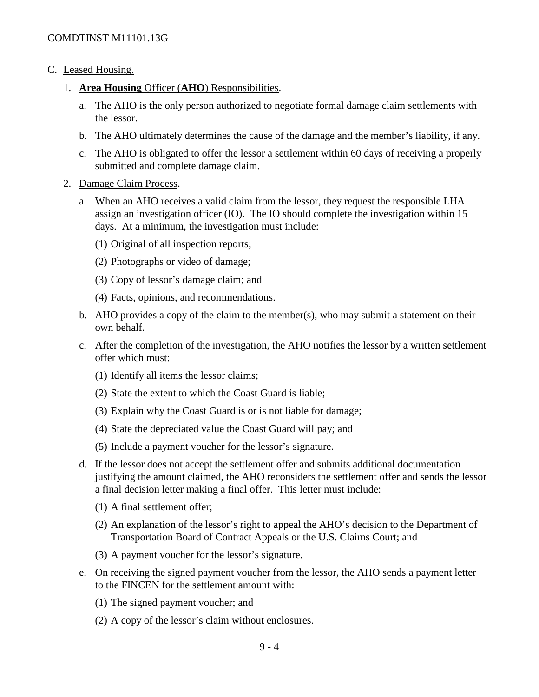## COMDTINST M11101.13G

- C. Leased Housing.
	- 1. **Area Housing** Officer (**AHO**) Responsibilities.
		- a. The AHO is the only person authorized to negotiate formal damage claim settlements with the lessor.
		- b. The AHO ultimately determines the cause of the damage and the member's liability, if any.
		- c. The AHO is obligated to offer the lessor a settlement within 60 days of receiving a properly submitted and complete damage claim.
	- 2. Damage Claim Process.
		- a. When an AHO receives a valid claim from the lessor, they request the responsible LHA assign an investigation officer (IO). The IO should complete the investigation within 15 days. At a minimum, the investigation must include:
			- (1) Original of all inspection reports;
			- (2) Photographs or video of damage;
			- (3) Copy of lessor's damage claim; and
			- (4) Facts, opinions, and recommendations.
		- b. AHO provides a copy of the claim to the member(s), who may submit a statement on their own behalf.
		- c. After the completion of the investigation, the AHO notifies the lessor by a written settlement offer which must:
			- (1) Identify all items the lessor claims;
			- (2) State the extent to which the Coast Guard is liable;
			- (3) Explain why the Coast Guard is or is not liable for damage;
			- (4) State the depreciated value the Coast Guard will pay; and
			- (5) Include a payment voucher for the lessor's signature.
		- d. If the lessor does not accept the settlement offer and submits additional documentation justifying the amount claimed, the AHO reconsiders the settlement offer and sends the lessor a final decision letter making a final offer. This letter must include:
			- (1) A final settlement offer;
			- (2) An explanation of the lessor's right to appeal the AHO's decision to the Department of Transportation Board of Contract Appeals or the U.S. Claims Court; and
			- (3) A payment voucher for the lessor's signature.
		- e. On receiving the signed payment voucher from the lessor, the AHO sends a payment letter to the FINCEN for the settlement amount with:
			- (1) The signed payment voucher; and
			- (2) A copy of the lessor's claim without enclosures.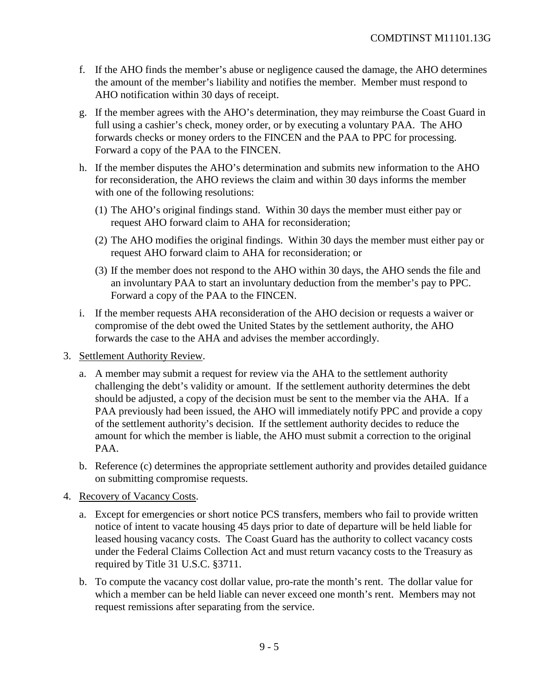- f. If the AHO finds the member's abuse or negligence caused the damage, the AHO determines the amount of the member's liability and notifies the member. Member must respond to AHO notification within 30 days of receipt.
- g. If the member agrees with the AHO's determination, they may reimburse the Coast Guard in full using a cashier's check, money order, or by executing a voluntary PAA. The AHO forwards checks or money orders to the FINCEN and the PAA to PPC for processing. Forward a copy of the PAA to the FINCEN.
- h. If the member disputes the AHO's determination and submits new information to the AHO for reconsideration, the AHO reviews the claim and within 30 days informs the member with one of the following resolutions:
	- (1) The AHO's original findings stand. Within 30 days the member must either pay or request AHO forward claim to AHA for reconsideration;
	- (2) The AHO modifies the original findings. Within 30 days the member must either pay or request AHO forward claim to AHA for reconsideration; or
	- (3) If the member does not respond to the AHO within 30 days, the AHO sends the file and an involuntary PAA to start an involuntary deduction from the member's pay to PPC. Forward a copy of the PAA to the FINCEN.
- i. If the member requests AHA reconsideration of the AHO decision or requests a waiver or compromise of the debt owed the United States by the settlement authority, the AHO forwards the case to the AHA and advises the member accordingly.
- 3. Settlement Authority Review.
	- a. A member may submit a request for review via the AHA to the settlement authority challenging the debt's validity or amount. If the settlement authority determines the debt should be adjusted, a copy of the decision must be sent to the member via the AHA. If a PAA previously had been issued, the AHO will immediately notify PPC and provide a copy of the settlement authority's decision. If the settlement authority decides to reduce the amount for which the member is liable, the AHO must submit a correction to the original PAA.
	- b. Reference (c) determines the appropriate settlement authority and provides detailed guidance on submitting compromise requests.
- 4. Recovery of Vacancy Costs.
	- a. Except for emergencies or short notice PCS transfers, members who fail to provide written notice of intent to vacate housing 45 days prior to date of departure will be held liable for leased housing vacancy costs. The Coast Guard has the authority to collect vacancy costs under the Federal Claims Collection Act and must return vacancy costs to the Treasury as required by Title 31 U.S.C. §3711.
	- b. To compute the vacancy cost dollar value, pro-rate the month's rent. The dollar value for which a member can be held liable can never exceed one month's rent. Members may not request remissions after separating from the service.